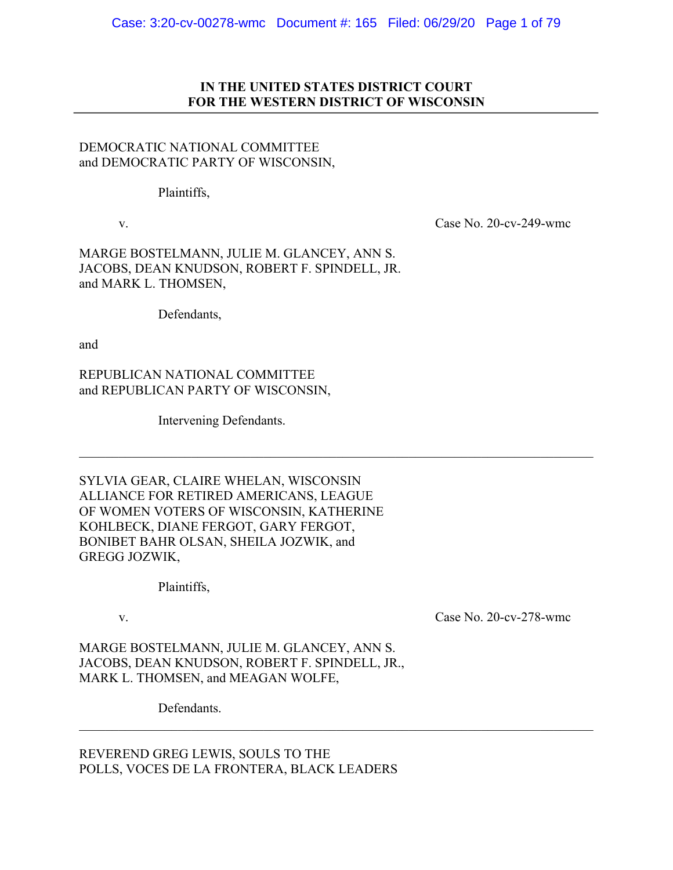## **IN THE UNITED STATES DISTRICT COURT FOR THE WESTERN DISTRICT OF WISCONSIN**

# DEMOCRATIC NATIONAL COMMITTEE and DEMOCRATIC PARTY OF WISCONSIN,

Plaintiffs,

v. Case No. 20-cv-249-wmc

MARGE BOSTELMANN, JULIE M. GLANCEY, ANN S. JACOBS, DEAN KNUDSON, ROBERT F. SPINDELL, JR. and MARK L. THOMSEN,

Defendants,

and

REPUBLICAN NATIONAL COMMITTEE and REPUBLICAN PARTY OF WISCONSIN,

Intervening Defendants.

SYLVIA GEAR, CLAIRE WHELAN, WISCONSIN ALLIANCE FOR RETIRED AMERICANS, LEAGUE OF WOMEN VOTERS OF WISCONSIN, KATHERINE KOHLBECK, DIANE FERGOT, GARY FERGOT, BONIBET BAHR OLSAN, SHEILA JOZWIK, and GREGG JOZWIK,

Plaintiffs,

v. Case No. 20-cv-278-wmc

MARGE BOSTELMANN, JULIE M. GLANCEY, ANN S. JACOBS, DEAN KNUDSON, ROBERT F. SPINDELL, JR., MARK L. THOMSEN, and MEAGAN WOLFE,

Defendants.

REVEREND GREG LEWIS, SOULS TO THE POLLS, VOCES DE LA FRONTERA, BLACK LEADERS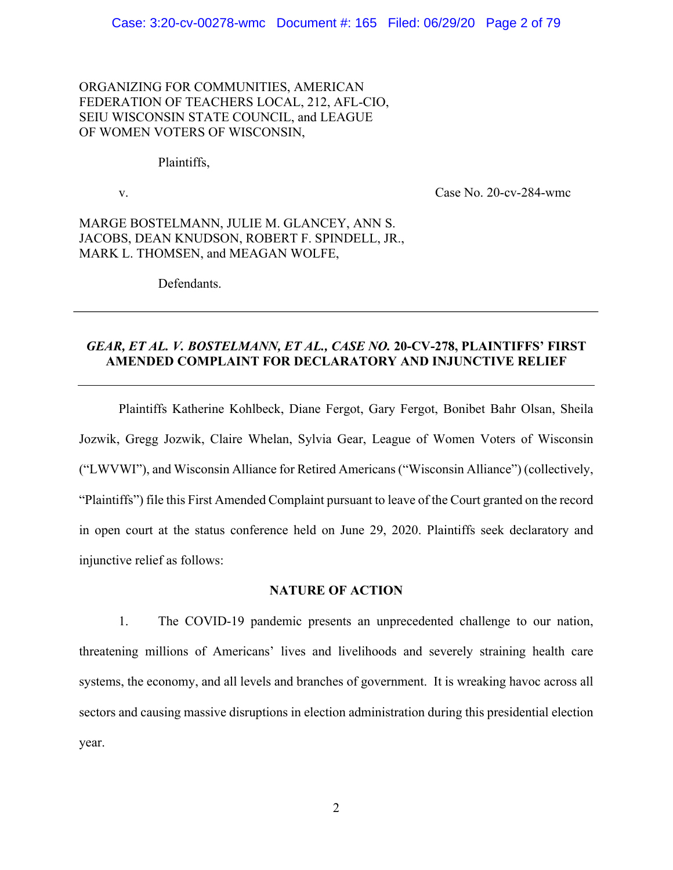ORGANIZING FOR COMMUNITIES, AMERICAN FEDERATION OF TEACHERS LOCAL, 212, AFL-CIO, SEIU WISCONSIN STATE COUNCIL, and LEAGUE OF WOMEN VOTERS OF WISCONSIN,

## Plaintiffs,

v. Case No. 20-cv-284-wmc

MARGE BOSTELMANN, JULIE M. GLANCEY, ANN S. JACOBS, DEAN KNUDSON, ROBERT F. SPINDELL, JR., MARK L. THOMSEN, and MEAGAN WOLFE,

Defendants.

# *GEAR, ET AL. V. BOSTELMANN, ET AL., CASE NO.* **20-CV-278, PLAINTIFFS' FIRST AMENDED COMPLAINT FOR DECLARATORY AND INJUNCTIVE RELIEF**

Plaintiffs Katherine Kohlbeck, Diane Fergot, Gary Fergot, Bonibet Bahr Olsan, Sheila Jozwik, Gregg Jozwik, Claire Whelan, Sylvia Gear, League of Women Voters of Wisconsin ("LWVWI"), and Wisconsin Alliance for Retired Americans("Wisconsin Alliance") (collectively, "Plaintiffs") file this First Amended Complaint pursuant to leave of the Court granted on the record in open court at the status conference held on June 29, 2020. Plaintiffs seek declaratory and injunctive relief as follows:

## **NATURE OF ACTION**

1. The COVID-19 pandemic presents an unprecedented challenge to our nation, threatening millions of Americans' lives and livelihoods and severely straining health care systems, the economy, and all levels and branches of government. It is wreaking havoc across all sectors and causing massive disruptions in election administration during this presidential election year.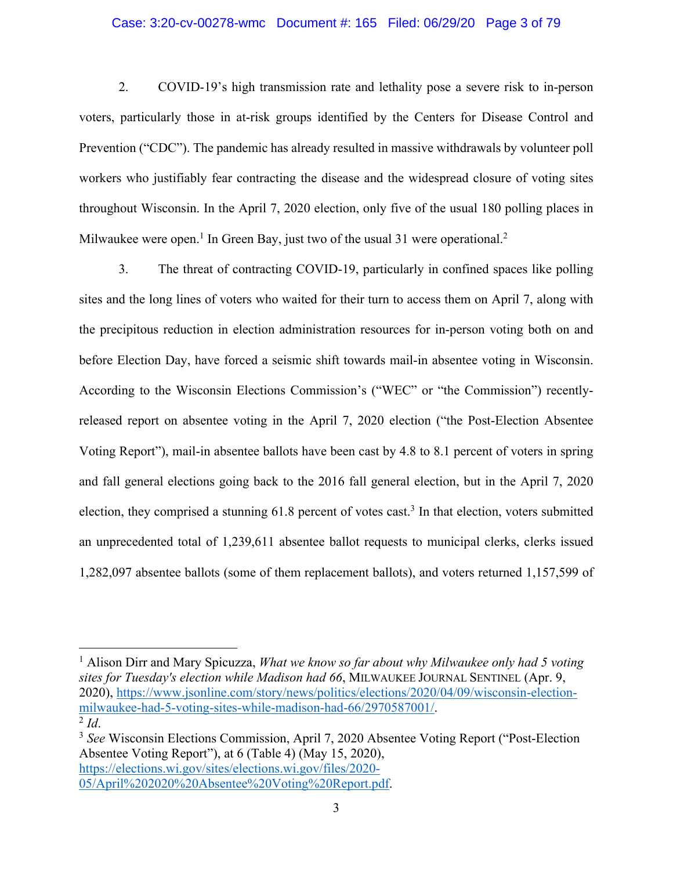## Case: 3:20-cv-00278-wmc Document #: 165 Filed: 06/29/20 Page 3 of 79

2. COVID-19's high transmission rate and lethality pose a severe risk to in-person voters, particularly those in at-risk groups identified by the Centers for Disease Control and Prevention ("CDC"). The pandemic has already resulted in massive withdrawals by volunteer poll workers who justifiably fear contracting the disease and the widespread closure of voting sites throughout Wisconsin. In the April 7, 2020 election, only five of the usual 180 polling places in Milwaukee were open.<sup>1</sup> In Green Bay, just two of the usual 31 were operational.<sup>2</sup>

3. The threat of contracting COVID-19, particularly in confined spaces like polling sites and the long lines of voters who waited for their turn to access them on April 7, along with the precipitous reduction in election administration resources for in-person voting both on and before Election Day, have forced a seismic shift towards mail-in absentee voting in Wisconsin. According to the Wisconsin Elections Commission's ("WEC" or "the Commission") recentlyreleased report on absentee voting in the April 7, 2020 election ("the Post-Election Absentee Voting Report"), mail-in absentee ballots have been cast by 4.8 to 8.1 percent of voters in spring and fall general elections going back to the 2016 fall general election, but in the April 7, 2020 election, they comprised a stunning 61.8 percent of votes cast. <sup>3</sup> In that election, voters submitted an unprecedented total of 1,239,611 absentee ballot requests to municipal clerks, clerks issued 1,282,097 absentee ballots (some of them replacement ballots), and voters returned 1,157,599 of

<sup>1</sup> Alison Dirr and Mary Spicuzza, *What we know so far about why Milwaukee only had 5 voting sites for Tuesday's election while Madison had 66*, MILWAUKEE JOURNAL SENTINEL (Apr. 9, 2020), https://www.jsonline.com/story/news/politics/elections/2020/04/09/wisconsin-electionmilwaukee-had-5-voting-sites-while-madison-had-66/2970587001/.<br><sup>2</sup> *Id*. <sup>3</sup> *See* Wisconsin Elections Commission, April 7, 2020 Absentee Voting Report ("Post-Election")

Absentee Voting Report"), at 6 (Table 4) (May 15, 2020), https://elections.wi.gov/sites/elections.wi.gov/files/2020- 05/April%202020%20Absentee%20Voting%20Report.pdf.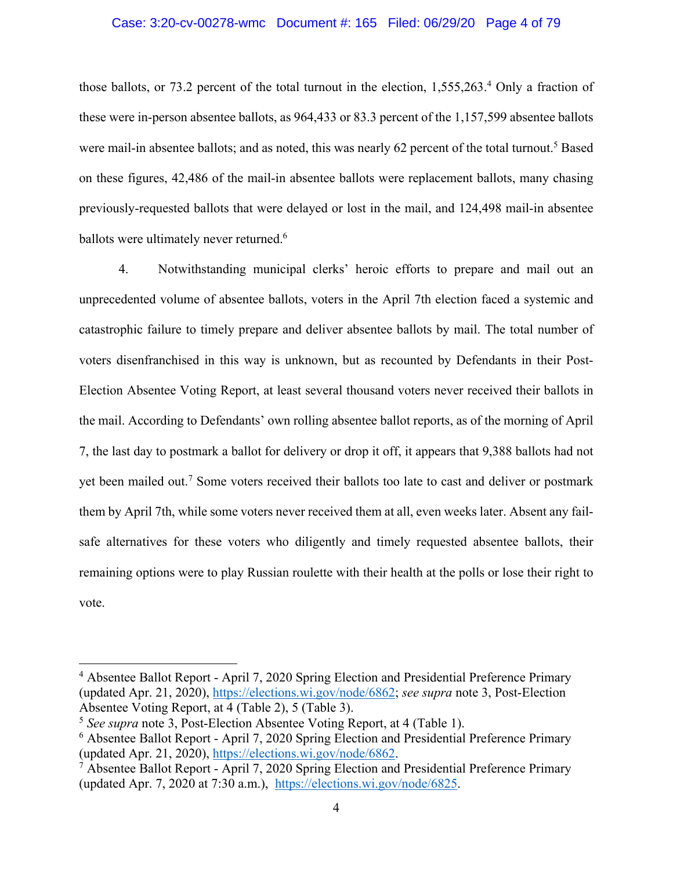### Case: 3:20-cv-00278-wmc Document #: 165 Filed: 06/29/20 Page 4 of 79

those ballots, or 73.2 percent of the total turnout in the election, 1,555,263. <sup>4</sup> Only a fraction of these were in-person absentee ballots, as 964,433 or 83.3 percent of the 1,157,599 absentee ballots were mail-in absentee ballots; and as noted, this was nearly 62 percent of the total turnout.<sup>5</sup> Based on these figures, 42,486 of the mail-in absentee ballots were replacement ballots, many chasing previously-requested ballots that were delayed or lost in the mail, and 124,498 mail-in absentee ballots were ultimately never returned.<sup>6</sup>

4. Notwithstanding municipal clerks' heroic efforts to prepare and mail out an unprecedented volume of absentee ballots, voters in the April 7th election faced a systemic and catastrophic failure to timely prepare and deliver absentee ballots by mail. The total number of voters disenfranchised in this way is unknown, but as recounted by Defendants in their Post-Election Absentee Voting Report, at least several thousand voters never received their ballots in the mail. According to Defendants' own rolling absentee ballot reports, as of the morning of April 7, the last day to postmark a ballot for delivery or drop it off, it appears that 9,388 ballots had not yet been mailed out.7 Some voters received their ballots too late to cast and deliver or postmark them by April 7th, while some voters never received them at all, even weeks later. Absent any failsafe alternatives for these voters who diligently and timely requested absentee ballots, their remaining options were to play Russian roulette with their health at the polls or lose their right to vote.

<sup>4</sup> Absentee Ballot Report - April 7, 2020 Spring Election and Presidential Preference Primary (updated Apr. 21, 2020), https://elections.wi.gov/node/6862; *see supra* note 3, Post-Election Absentee Voting Report, at 4 (Table 2), 5 (Table 3).

<sup>5</sup> *See supra* note 3, Post-Election Absentee Voting Report, at 4 (Table 1).

<sup>6</sup> Absentee Ballot Report - April 7, 2020 Spring Election and Presidential Preference Primary (updated Apr. 21, 2020), https://elections.wi.gov/node/6862.

 $7$  Absentee Ballot Report - April 7, 2020 Spring Election and Presidential Preference Primary (updated Apr. 7, 2020 at 7:30 a.m.), https://elections.wi.gov/node/6825.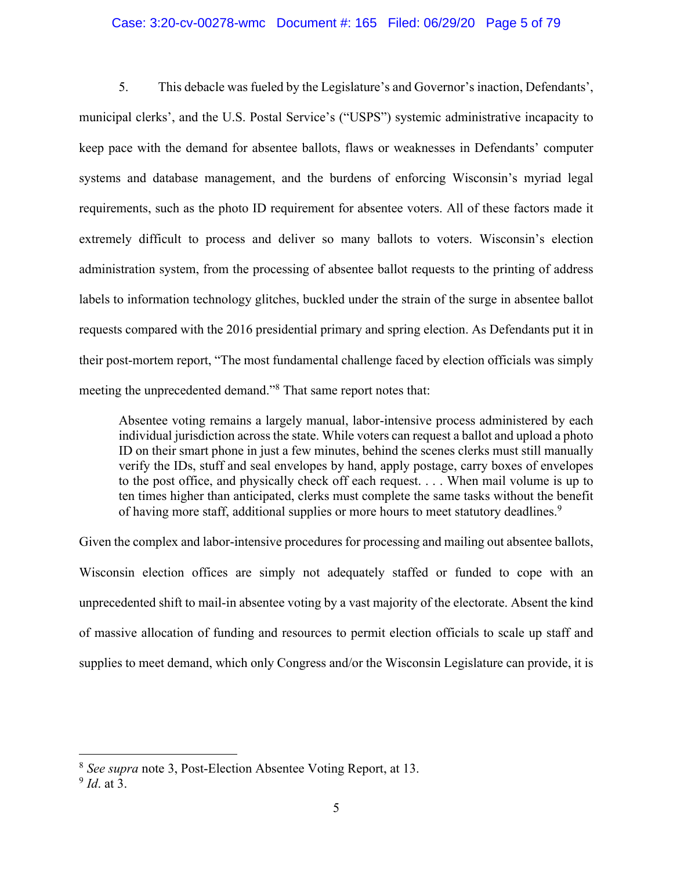### Case: 3:20-cv-00278-wmc Document #: 165 Filed: 06/29/20 Page 5 of 79

5. This debacle was fueled by the Legislature's and Governor's inaction, Defendants', municipal clerks', and the U.S. Postal Service's ("USPS") systemic administrative incapacity to keep pace with the demand for absentee ballots, flaws or weaknesses in Defendants' computer systems and database management, and the burdens of enforcing Wisconsin's myriad legal requirements, such as the photo ID requirement for absentee voters. All of these factors made it extremely difficult to process and deliver so many ballots to voters. Wisconsin's election administration system, from the processing of absentee ballot requests to the printing of address labels to information technology glitches, buckled under the strain of the surge in absentee ballot requests compared with the 2016 presidential primary and spring election. As Defendants put it in their post-mortem report, "The most fundamental challenge faced by election officials was simply meeting the unprecedented demand."8 That same report notes that:

Absentee voting remains a largely manual, labor-intensive process administered by each individual jurisdiction across the state. While voters can request a ballot and upload a photo ID on their smart phone in just a few minutes, behind the scenes clerks must still manually verify the IDs, stuff and seal envelopes by hand, apply postage, carry boxes of envelopes to the post office, and physically check off each request. . . . When mail volume is up to ten times higher than anticipated, clerks must complete the same tasks without the benefit of having more staff, additional supplies or more hours to meet statutory deadlines.<sup>9</sup>

Given the complex and labor-intensive procedures for processing and mailing out absentee ballots, Wisconsin election offices are simply not adequately staffed or funded to cope with an unprecedented shift to mail-in absentee voting by a vast majority of the electorate. Absent the kind of massive allocation of funding and resources to permit election officials to scale up staff and supplies to meet demand, which only Congress and/or the Wisconsin Legislature can provide, it is

<sup>8</sup> *See supra* note 3, Post-Election Absentee Voting Report, at 13.

<sup>9</sup> *Id*. at 3.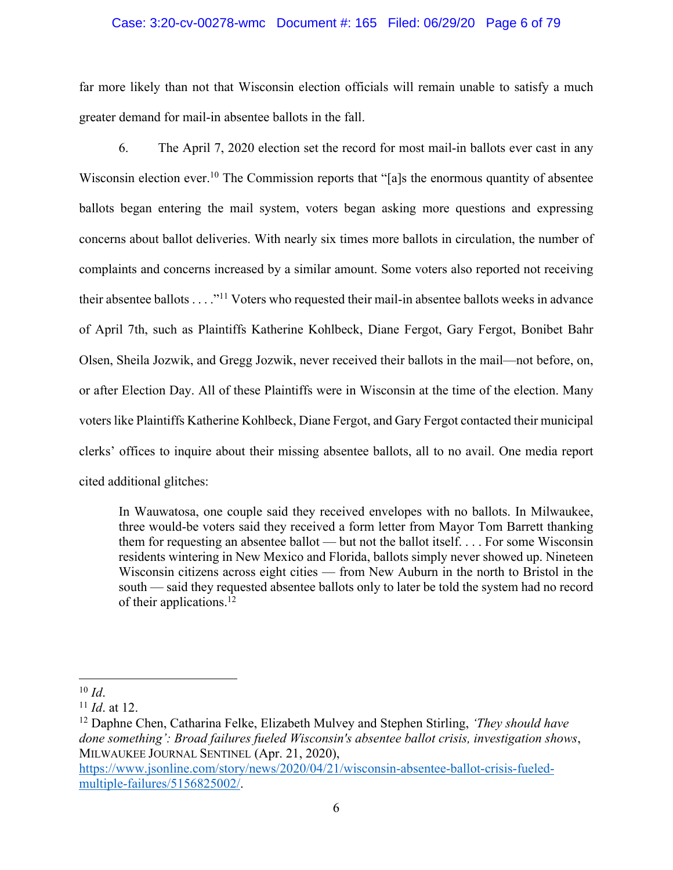## Case: 3:20-cv-00278-wmc Document #: 165 Filed: 06/29/20 Page 6 of 79

far more likely than not that Wisconsin election officials will remain unable to satisfy a much greater demand for mail-in absentee ballots in the fall.

6. The April 7, 2020 election set the record for most mail-in ballots ever cast in any Wisconsin election ever.<sup>10</sup> The Commission reports that "[a]s the enormous quantity of absentee ballots began entering the mail system, voters began asking more questions and expressing concerns about ballot deliveries. With nearly six times more ballots in circulation, the number of complaints and concerns increased by a similar amount. Some voters also reported not receiving their absentee ballots . . . ."11 Voters who requested their mail-in absentee ballots weeks in advance of April 7th, such as Plaintiffs Katherine Kohlbeck, Diane Fergot, Gary Fergot, Bonibet Bahr Olsen, Sheila Jozwik, and Gregg Jozwik, never received their ballots in the mail—not before, on, or after Election Day. All of these Plaintiffs were in Wisconsin at the time of the election. Many voters like Plaintiffs Katherine Kohlbeck, Diane Fergot, and Gary Fergot contacted their municipal clerks' offices to inquire about their missing absentee ballots, all to no avail. One media report cited additional glitches:

In Wauwatosa, one couple said they received envelopes with no ballots. In Milwaukee, three would-be voters said they received a form letter from Mayor Tom Barrett thanking them for requesting an absentee ballot — but not the ballot itself. . . . For some Wisconsin residents wintering in New Mexico and Florida, ballots simply never showed up. Nineteen Wisconsin citizens across eight cities — from New Auburn in the north to Bristol in the south — said they requested absentee ballots only to later be told the system had no record of their applications.<sup>12</sup>

 $10$  *Id.* 

<sup>11</sup> *Id*. at 12.

<sup>12</sup> Daphne Chen, Catharina Felke, Elizabeth Mulvey and Stephen Stirling, *'They should have done something': Broad failures fueled Wisconsin's absentee ballot crisis, investigation shows*, MILWAUKEE JOURNAL SENTINEL (Apr. 21, 2020),

https://www.jsonline.com/story/news/2020/04/21/wisconsin-absentee-ballot-crisis-fueledmultiple-failures/5156825002/.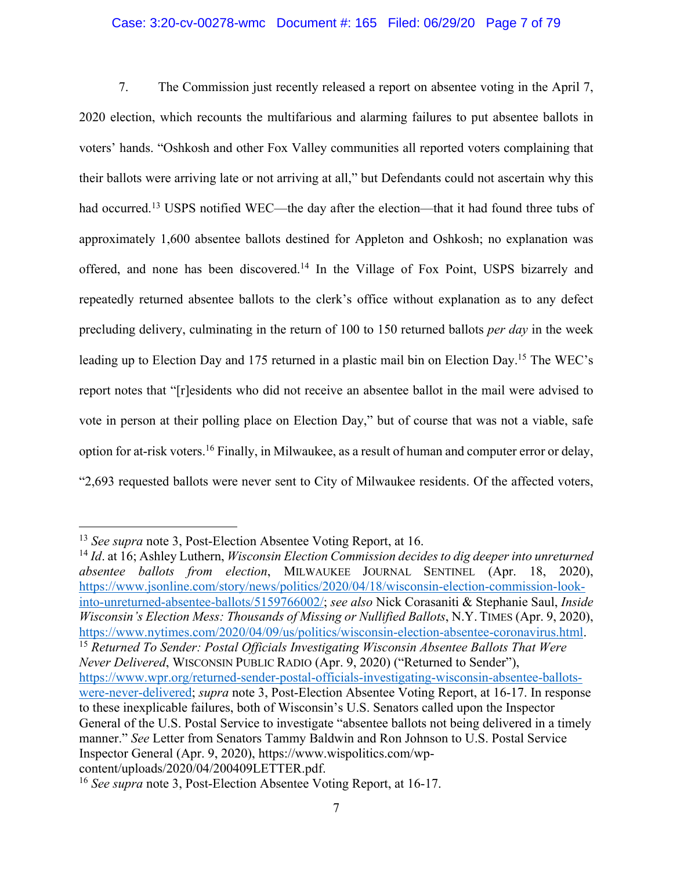## Case: 3:20-cv-00278-wmc Document #: 165 Filed: 06/29/20 Page 7 of 79

7. The Commission just recently released a report on absentee voting in the April 7, 2020 election, which recounts the multifarious and alarming failures to put absentee ballots in voters' hands. "Oshkosh and other Fox Valley communities all reported voters complaining that their ballots were arriving late or not arriving at all," but Defendants could not ascertain why this had occurred.<sup>13</sup> USPS notified WEC—the day after the election—that it had found three tubs of approximately 1,600 absentee ballots destined for Appleton and Oshkosh; no explanation was offered, and none has been discovered.<sup>14</sup> In the Village of Fox Point, USPS bizarrely and repeatedly returned absentee ballots to the clerk's office without explanation as to any defect precluding delivery, culminating in the return of 100 to 150 returned ballots *per day* in the week leading up to Election Day and 175 returned in a plastic mail bin on Election Day.<sup>15</sup> The WEC's report notes that "[r]esidents who did not receive an absentee ballot in the mail were advised to vote in person at their polling place on Election Day," but of course that was not a viable, safe option for at-risk voters.16 Finally, in Milwaukee, as a result of human and computer error or delay, "2,693 requested ballots were never sent to City of Milwaukee residents. Of the affected voters,

<sup>14</sup> *Id*. at 16; Ashley Luthern, *Wisconsin Election Commission decides to dig deeper into unreturned absentee ballots from election*, MILWAUKEE JOURNAL SENTINEL (Apr. 18, 2020), https://www.jsonline.com/story/news/politics/2020/04/18/wisconsin-election-commission-lookinto-unreturned-absentee-ballots/5159766002/; *see also* Nick Corasaniti & Stephanie Saul, *Inside Wisconsin's Election Mess: Thousands of Missing or Nullified Ballots*, N.Y. TIMES (Apr. 9, 2020), https://www.nytimes.com/2020/04/09/us/politics/wisconsin-election-absentee-coronavirus.html.

<sup>15</sup> Returned To Sender: Postal Officials Investigating Wisconsin Absentee Ballots That Were *Never Delivered*, WISCONSIN PUBLIC RADIO (Apr. 9, 2020) ("Returned to Sender"), https://www.wpr.org/returned-sender-postal-officials-investigating-wisconsin-absentee-ballotswere-never-delivered; *supra* note 3, Post-Election Absentee Voting Report, at 16-17. In response to these inexplicable failures, both of Wisconsin's U.S. Senators called upon the Inspector General of the U.S. Postal Service to investigate "absentee ballots not being delivered in a timely manner." *See* Letter from Senators Tammy Baldwin and Ron Johnson to U.S. Postal Service Inspector General (Apr. 9, 2020), https://www.wispolitics.com/wpcontent/uploads/2020/04/200409LETTER.pdf.

<sup>13</sup> *See supra* note 3, Post-Election Absentee Voting Report, at 16.

<sup>16</sup> *See supra* note 3, Post-Election Absentee Voting Report, at 16-17.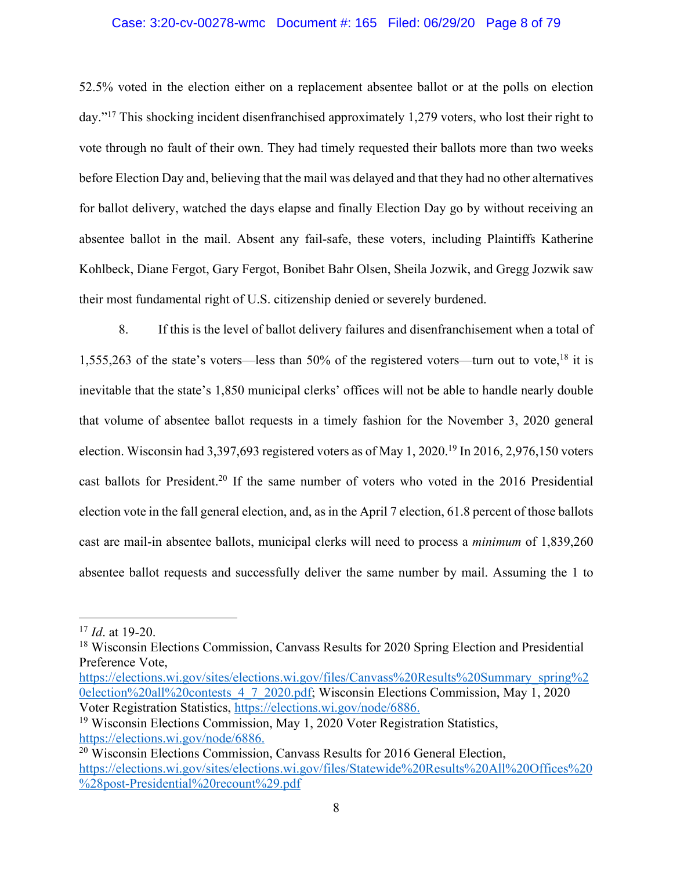## Case: 3:20-cv-00278-wmc Document #: 165 Filed: 06/29/20 Page 8 of 79

52.5% voted in the election either on a replacement absentee ballot or at the polls on election day."17 This shocking incident disenfranchised approximately 1,279 voters, who lost their right to vote through no fault of their own. They had timely requested their ballots more than two weeks before Election Day and, believing that the mail was delayed and that they had no other alternatives for ballot delivery, watched the days elapse and finally Election Day go by without receiving an absentee ballot in the mail. Absent any fail-safe, these voters, including Plaintiffs Katherine Kohlbeck, Diane Fergot, Gary Fergot, Bonibet Bahr Olsen, Sheila Jozwik, and Gregg Jozwik saw their most fundamental right of U.S. citizenship denied or severely burdened.

8. If this is the level of ballot delivery failures and disenfranchisement when a total of 1,555,263 of the state's voters—less than 50% of the registered voters—turn out to vote,18 it is inevitable that the state's 1,850 municipal clerks' offices will not be able to handle nearly double that volume of absentee ballot requests in a timely fashion for the November 3, 2020 general election. Wisconsin had 3,397,693 registered voters as of May 1, 2020.19 In 2016, 2,976,150 voters cast ballots for President.<sup>20</sup> If the same number of voters who voted in the 2016 Presidential election vote in the fall general election, and, as in the April 7 election, 61.8 percent of those ballots cast are mail-in absentee ballots, municipal clerks will need to process a *minimum* of 1,839,260 absentee ballot requests and successfully deliver the same number by mail. Assuming the 1 to

https://elections.wi.gov/sites/elections.wi.gov/files/Canvass%20Results%20Summary\_spring%2 0election%20all%20contests\_4\_7\_2020.pdf; Wisconsin Elections Commission, May 1, 2020 Voter Registration Statistics, https://elections.wi.gov/node/6886.

<sup>17</sup> *Id*. at 19-20.

<sup>&</sup>lt;sup>18</sup> Wisconsin Elections Commission, Canvass Results for 2020 Spring Election and Presidential Preference Vote,

<sup>19</sup> Wisconsin Elections Commission, May 1, 2020 Voter Registration Statistics, https://elections.wi.gov/node/6886.

<sup>20</sup> Wisconsin Elections Commission, Canvass Results for 2016 General Election, https://elections.wi.gov/sites/elections.wi.gov/files/Statewide%20Results%20All%20Offices%20 %28post-Presidential%20recount%29.pdf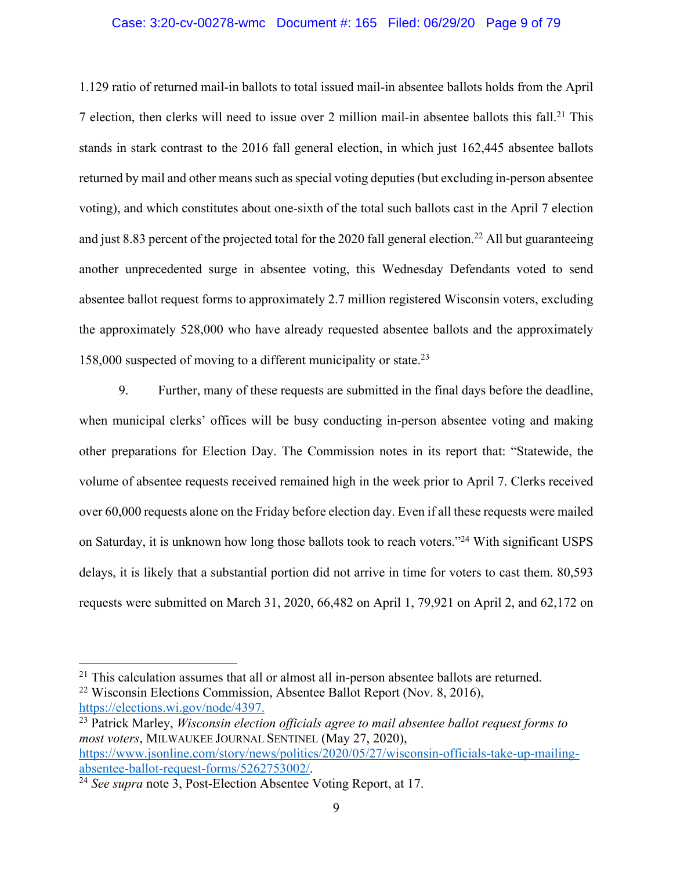### Case: 3:20-cv-00278-wmc Document #: 165 Filed: 06/29/20 Page 9 of 79

1.129 ratio of returned mail-in ballots to total issued mail-in absentee ballots holds from the April 7 election, then clerks will need to issue over 2 million mail-in absentee ballots this fall. <sup>21</sup> This stands in stark contrast to the 2016 fall general election, in which just 162,445 absentee ballots returned by mail and other means such as special voting deputies (but excluding in-person absentee voting), and which constitutes about one-sixth of the total such ballots cast in the April 7 election and just 8.83 percent of the projected total for the 2020 fall general election.<sup>22</sup> All but guaranteeing another unprecedented surge in absentee voting, this Wednesday Defendants voted to send absentee ballot request forms to approximately 2.7 million registered Wisconsin voters, excluding the approximately 528,000 who have already requested absentee ballots and the approximately 158,000 suspected of moving to a different municipality or state.23

9. Further, many of these requests are submitted in the final days before the deadline, when municipal clerks' offices will be busy conducting in-person absentee voting and making other preparations for Election Day. The Commission notes in its report that: "Statewide, the volume of absentee requests received remained high in the week prior to April 7. Clerks received over 60,000 requests alone on the Friday before election day. Even if all these requests were mailed on Saturday, it is unknown how long those ballots took to reach voters."24 With significant USPS delays, it is likely that a substantial portion did not arrive in time for voters to cast them. 80,593 requests were submitted on March 31, 2020, 66,482 on April 1, 79,921 on April 2, and 62,172 on

 $21$  This calculation assumes that all or almost all in-person absentee ballots are returned.

<sup>&</sup>lt;sup>22</sup> Wisconsin Elections Commission, Absentee Ballot Report (Nov. 8, 2016), https://elections.wi.gov/node/4397.

<sup>&</sup>lt;sup>23</sup> Patrick Marley, *Wisconsin election officials agree to mail absentee ballot request forms to most voters*, MILWAUKEE JOURNAL SENTINEL (May 27, 2020), https://www.jsonline.com/story/news/politics/2020/05/27/wisconsin-officials-take-up-mailingabsentee-ballot-request-forms/5262753002/. 24 *See supra* note 3, Post-Election Absentee Voting Report, at 17.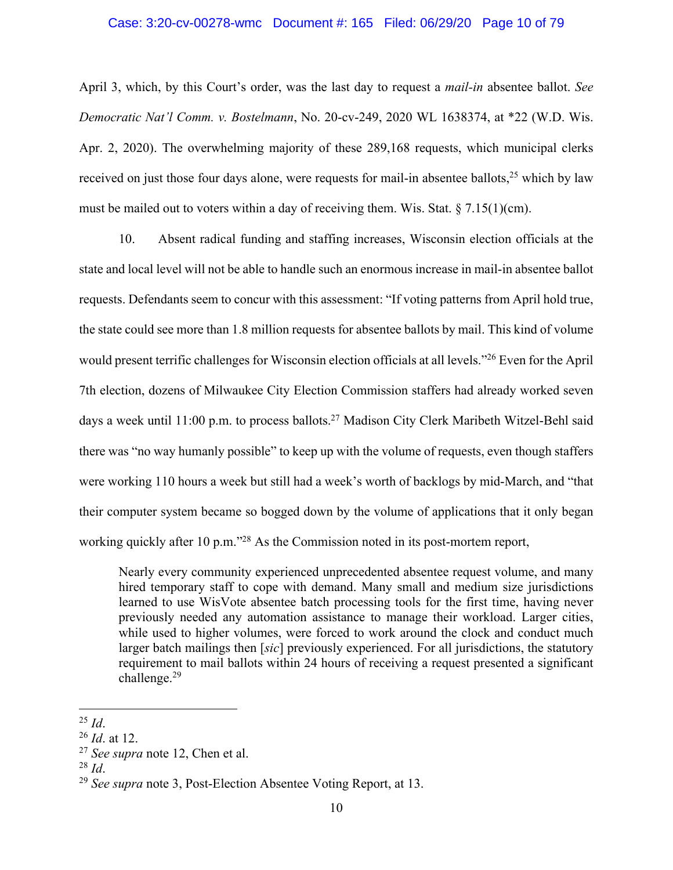### Case: 3:20-cv-00278-wmc Document #: 165 Filed: 06/29/20 Page 10 of 79

April 3, which, by this Court's order, was the last day to request a *mail-in* absentee ballot. *See Democratic Nat'l Comm. v. Bostelmann*, No. 20-cv-249, 2020 WL 1638374, at \*22 (W.D. Wis. Apr. 2, 2020). The overwhelming majority of these 289,168 requests, which municipal clerks received on just those four days alone, were requests for mail-in absentee ballots,<sup>25</sup> which by law must be mailed out to voters within a day of receiving them. Wis. Stat.  $\S 7.15(1)(cm)$ .

10. Absent radical funding and staffing increases, Wisconsin election officials at the state and local level will not be able to handle such an enormous increase in mail-in absentee ballot requests. Defendants seem to concur with this assessment: "If voting patterns from April hold true, the state could see more than 1.8 million requests for absentee ballots by mail. This kind of volume would present terrific challenges for Wisconsin election officials at all levels."26 Even for the April 7th election, dozens of Milwaukee City Election Commission staffers had already worked seven days a week until 11:00 p.m. to process ballots.<sup>27</sup> Madison City Clerk Maribeth Witzel-Behl said there was "no way humanly possible" to keep up with the volume of requests, even though staffers were working 110 hours a week but still had a week's worth of backlogs by mid-March, and "that their computer system became so bogged down by the volume of applications that it only began working quickly after 10 p.m.<sup>"28</sup> As the Commission noted in its post-mortem report,

Nearly every community experienced unprecedented absentee request volume, and many hired temporary staff to cope with demand. Many small and medium size jurisdictions learned to use WisVote absentee batch processing tools for the first time, having never previously needed any automation assistance to manage their workload. Larger cities, while used to higher volumes, were forced to work around the clock and conduct much larger batch mailings then [*sic*] previously experienced. For all jurisdictions, the statutory requirement to mail ballots within 24 hours of receiving a request presented a significant challenge.<sup>29</sup>

 $^{25}$  *Id.* 

<sup>26</sup> *Id*. at 12.

<sup>27</sup> *See supra* note 12, Chen et al.

<sup>28</sup> *Id*.

<sup>29</sup> *See supra* note 3, Post-Election Absentee Voting Report, at 13.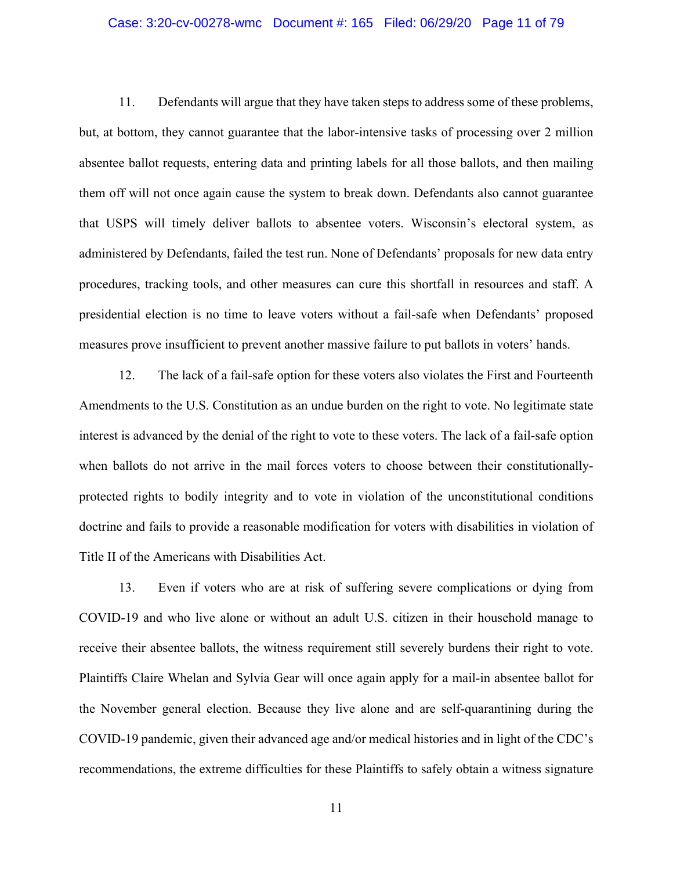## Case: 3:20-cv-00278-wmc Document #: 165 Filed: 06/29/20 Page 11 of 79

11. Defendants will argue that they have taken steps to address some of these problems, but, at bottom, they cannot guarantee that the labor-intensive tasks of processing over 2 million absentee ballot requests, entering data and printing labels for all those ballots, and then mailing them off will not once again cause the system to break down. Defendants also cannot guarantee that USPS will timely deliver ballots to absentee voters. Wisconsin's electoral system, as administered by Defendants, failed the test run. None of Defendants' proposals for new data entry procedures, tracking tools, and other measures can cure this shortfall in resources and staff. A presidential election is no time to leave voters without a fail-safe when Defendants' proposed measures prove insufficient to prevent another massive failure to put ballots in voters' hands.

12. The lack of a fail-safe option for these voters also violates the First and Fourteenth Amendments to the U.S. Constitution as an undue burden on the right to vote. No legitimate state interest is advanced by the denial of the right to vote to these voters. The lack of a fail-safe option when ballots do not arrive in the mail forces voters to choose between their constitutionallyprotected rights to bodily integrity and to vote in violation of the unconstitutional conditions doctrine and fails to provide a reasonable modification for voters with disabilities in violation of Title II of the Americans with Disabilities Act.

13. Even if voters who are at risk of suffering severe complications or dying from COVID-19 and who live alone or without an adult U.S. citizen in their household manage to receive their absentee ballots, the witness requirement still severely burdens their right to vote. Plaintiffs Claire Whelan and Sylvia Gear will once again apply for a mail-in absentee ballot for the November general election. Because they live alone and are self-quarantining during the COVID-19 pandemic, given their advanced age and/or medical histories and in light of the CDC's recommendations, the extreme difficulties for these Plaintiffs to safely obtain a witness signature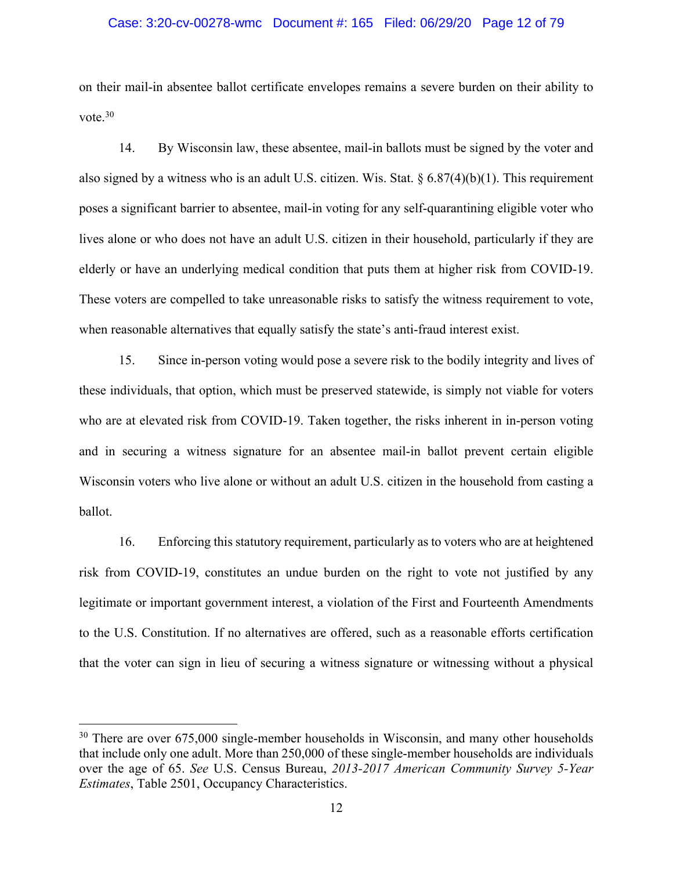### Case: 3:20-cv-00278-wmc Document #: 165 Filed: 06/29/20 Page 12 of 79

on their mail-in absentee ballot certificate envelopes remains a severe burden on their ability to vote.30

14. By Wisconsin law, these absentee, mail-in ballots must be signed by the voter and also signed by a witness who is an adult U.S. citizen. Wis. Stat.  $\S 6.87(4)(b)(1)$ . This requirement poses a significant barrier to absentee, mail-in voting for any self-quarantining eligible voter who lives alone or who does not have an adult U.S. citizen in their household, particularly if they are elderly or have an underlying medical condition that puts them at higher risk from COVID-19. These voters are compelled to take unreasonable risks to satisfy the witness requirement to vote, when reasonable alternatives that equally satisfy the state's anti-fraud interest exist.

15. Since in-person voting would pose a severe risk to the bodily integrity and lives of these individuals, that option, which must be preserved statewide, is simply not viable for voters who are at elevated risk from COVID-19. Taken together, the risks inherent in in-person voting and in securing a witness signature for an absentee mail-in ballot prevent certain eligible Wisconsin voters who live alone or without an adult U.S. citizen in the household from casting a ballot.

16. Enforcing this statutory requirement, particularly as to voters who are at heightened risk from COVID-19, constitutes an undue burden on the right to vote not justified by any legitimate or important government interest, a violation of the First and Fourteenth Amendments to the U.S. Constitution. If no alternatives are offered, such as a reasonable efforts certification that the voter can sign in lieu of securing a witness signature or witnessing without a physical

<sup>&</sup>lt;sup>30</sup> There are over 675,000 single-member households in Wisconsin, and many other households that include only one adult. More than 250,000 of these single-member households are individuals over the age of 65. *See* U.S. Census Bureau, *2013-2017 American Community Survey 5-Year Estimates*, Table 2501, Occupancy Characteristics.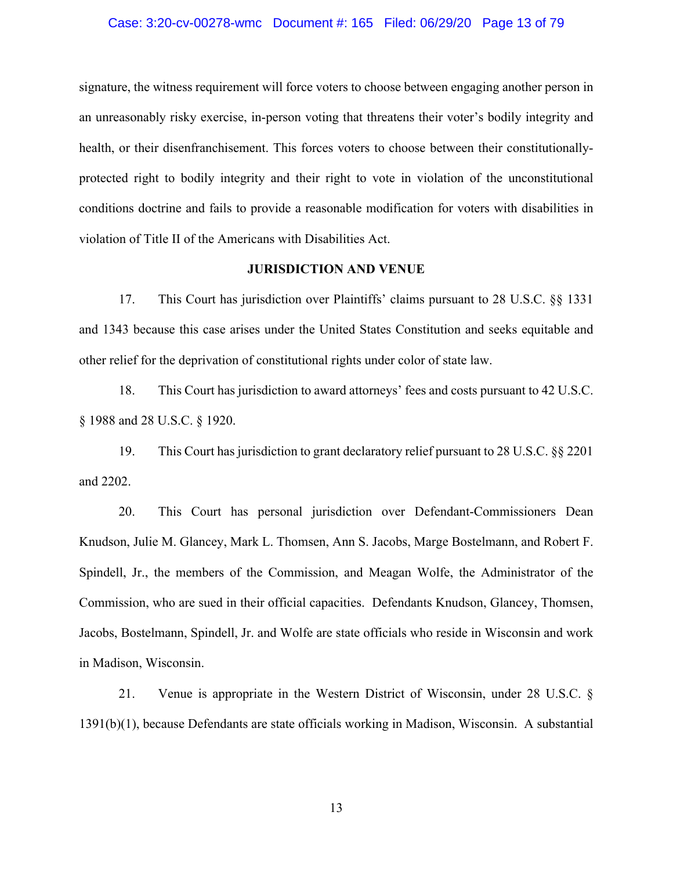### Case: 3:20-cv-00278-wmc Document #: 165 Filed: 06/29/20 Page 13 of 79

signature, the witness requirement will force voters to choose between engaging another person in an unreasonably risky exercise, in-person voting that threatens their voter's bodily integrity and health, or their disenfranchisement. This forces voters to choose between their constitutionallyprotected right to bodily integrity and their right to vote in violation of the unconstitutional conditions doctrine and fails to provide a reasonable modification for voters with disabilities in violation of Title II of the Americans with Disabilities Act.

## **JURISDICTION AND VENUE**

17. This Court has jurisdiction over Plaintiffs' claims pursuant to 28 U.S.C. §§ 1331 and 1343 because this case arises under the United States Constitution and seeks equitable and other relief for the deprivation of constitutional rights under color of state law.

18. This Court has jurisdiction to award attorneys' fees and costs pursuant to 42 U.S.C. § 1988 and 28 U.S.C. § 1920.

19. This Court has jurisdiction to grant declaratory relief pursuant to 28 U.S.C. §§ 2201 and 2202.

20. This Court has personal jurisdiction over Defendant-Commissioners Dean Knudson, Julie M. Glancey, Mark L. Thomsen, Ann S. Jacobs, Marge Bostelmann, and Robert F. Spindell, Jr., the members of the Commission, and Meagan Wolfe, the Administrator of the Commission, who are sued in their official capacities. Defendants Knudson, Glancey, Thomsen, Jacobs, Bostelmann, Spindell, Jr. and Wolfe are state officials who reside in Wisconsin and work in Madison, Wisconsin.

21. Venue is appropriate in the Western District of Wisconsin, under 28 U.S.C. § 1391(b)(1), because Defendants are state officials working in Madison, Wisconsin. A substantial

13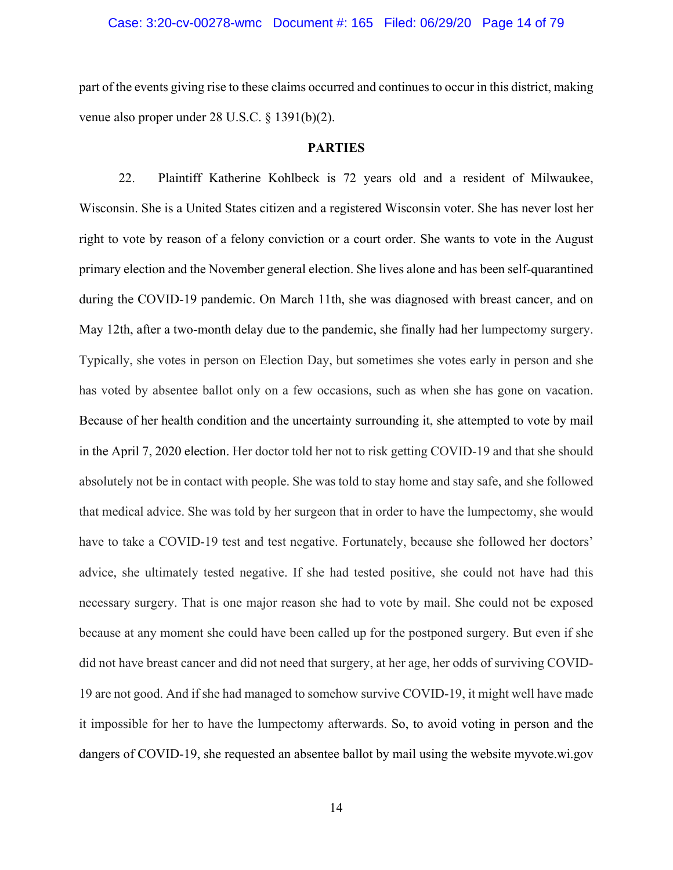# Case: 3:20-cv-00278-wmc Document #: 165 Filed: 06/29/20 Page 14 of 79

part of the events giving rise to these claims occurred and continues to occur in this district, making venue also proper under 28 U.S.C. § 1391(b)(2).

## **PARTIES**

22. Plaintiff Katherine Kohlbeck is 72 years old and a resident of Milwaukee, Wisconsin. She is a United States citizen and a registered Wisconsin voter. She has never lost her right to vote by reason of a felony conviction or a court order. She wants to vote in the August primary election and the November general election. She lives alone and has been self-quarantined during the COVID-19 pandemic. On March 11th, she was diagnosed with breast cancer, and on May 12th, after a two-month delay due to the pandemic, she finally had her lumpectomy surgery. Typically, she votes in person on Election Day, but sometimes she votes early in person and she has voted by absentee ballot only on a few occasions, such as when she has gone on vacation. Because of her health condition and the uncertainty surrounding it, she attempted to vote by mail in the April 7, 2020 election. Her doctor told her not to risk getting COVID-19 and that she should absolutely not be in contact with people. She was told to stay home and stay safe, and she followed that medical advice. She was told by her surgeon that in order to have the lumpectomy, she would have to take a COVID-19 test and test negative. Fortunately, because she followed her doctors' advice, she ultimately tested negative. If she had tested positive, she could not have had this necessary surgery. That is one major reason she had to vote by mail. She could not be exposed because at any moment she could have been called up for the postponed surgery. But even if she did not have breast cancer and did not need that surgery, at her age, her odds of surviving COVID-19 are not good. And if she had managed to somehow survive COVID-19, it might well have made it impossible for her to have the lumpectomy afterwards. So, to avoid voting in person and the dangers of COVID-19, she requested an absentee ballot by mail using the website myvote.wi.gov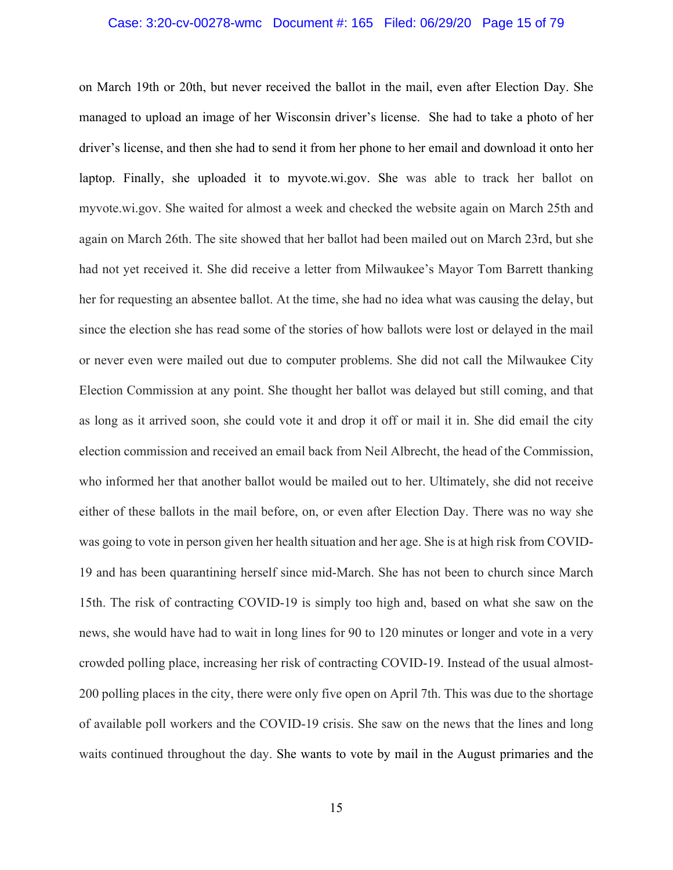# Case: 3:20-cv-00278-wmc Document #: 165 Filed: 06/29/20 Page 15 of 79

on March 19th or 20th, but never received the ballot in the mail, even after Election Day. She managed to upload an image of her Wisconsin driver's license. She had to take a photo of her driver's license, and then she had to send it from her phone to her email and download it onto her laptop. Finally, she uploaded it to myvote.wi.gov. She was able to track her ballot on myvote.wi.gov. She waited for almost a week and checked the website again on March 25th and again on March 26th. The site showed that her ballot had been mailed out on March 23rd, but she had not yet received it. She did receive a letter from Milwaukee's Mayor Tom Barrett thanking her for requesting an absentee ballot. At the time, she had no idea what was causing the delay, but since the election she has read some of the stories of how ballots were lost or delayed in the mail or never even were mailed out due to computer problems. She did not call the Milwaukee City Election Commission at any point. She thought her ballot was delayed but still coming, and that as long as it arrived soon, she could vote it and drop it off or mail it in. She did email the city election commission and received an email back from Neil Albrecht, the head of the Commission, who informed her that another ballot would be mailed out to her. Ultimately, she did not receive either of these ballots in the mail before, on, or even after Election Day. There was no way she was going to vote in person given her health situation and her age. She is at high risk from COVID-19 and has been quarantining herself since mid-March. She has not been to church since March 15th. The risk of contracting COVID-19 is simply too high and, based on what she saw on the news, she would have had to wait in long lines for 90 to 120 minutes or longer and vote in a very crowded polling place, increasing her risk of contracting COVID-19. Instead of the usual almost-200 polling places in the city, there were only five open on April 7th. This was due to the shortage of available poll workers and the COVID-19 crisis. She saw on the news that the lines and long waits continued throughout the day. She wants to vote by mail in the August primaries and the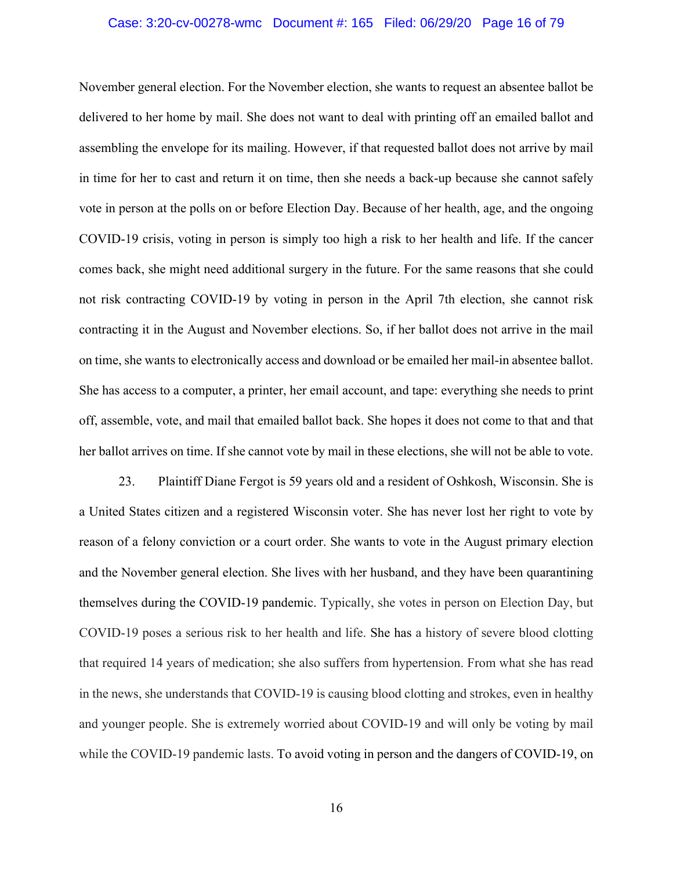# Case: 3:20-cv-00278-wmc Document #: 165 Filed: 06/29/20 Page 16 of 79

November general election. For the November election, she wants to request an absentee ballot be delivered to her home by mail. She does not want to deal with printing off an emailed ballot and assembling the envelope for its mailing. However, if that requested ballot does not arrive by mail in time for her to cast and return it on time, then she needs a back-up because she cannot safely vote in person at the polls on or before Election Day. Because of her health, age, and the ongoing COVID-19 crisis, voting in person is simply too high a risk to her health and life. If the cancer comes back, she might need additional surgery in the future. For the same reasons that she could not risk contracting COVID-19 by voting in person in the April 7th election, she cannot risk contracting it in the August and November elections. So, if her ballot does not arrive in the mail on time, she wants to electronically access and download or be emailed her mail-in absentee ballot. She has access to a computer, a printer, her email account, and tape: everything she needs to print off, assemble, vote, and mail that emailed ballot back. She hopes it does not come to that and that her ballot arrives on time. If she cannot vote by mail in these elections, she will not be able to vote.

23. Plaintiff Diane Fergot is 59 years old and a resident of Oshkosh, Wisconsin. She is a United States citizen and a registered Wisconsin voter. She has never lost her right to vote by reason of a felony conviction or a court order. She wants to vote in the August primary election and the November general election. She lives with her husband, and they have been quarantining themselves during the COVID-19 pandemic. Typically, she votes in person on Election Day, but COVID-19 poses a serious risk to her health and life. She has a history of severe blood clotting that required 14 years of medication; she also suffers from hypertension. From what she has read in the news, she understands that COVID-19 is causing blood clotting and strokes, even in healthy and younger people. She is extremely worried about COVID-19 and will only be voting by mail while the COVID-19 pandemic lasts. To avoid voting in person and the dangers of COVID-19, on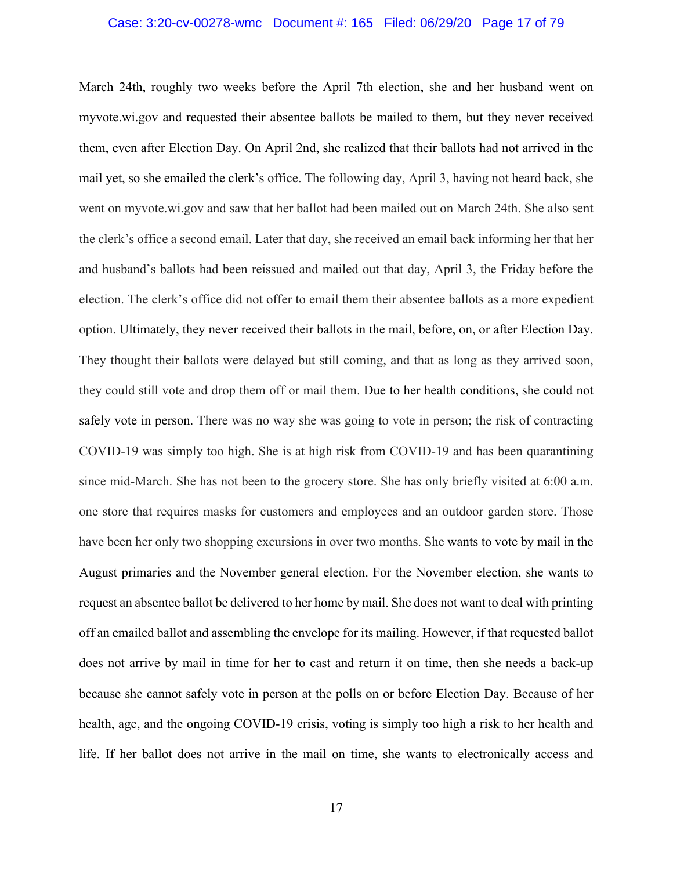# Case: 3:20-cv-00278-wmc Document #: 165 Filed: 06/29/20 Page 17 of 79

March 24th, roughly two weeks before the April 7th election, she and her husband went on myvote.wi.gov and requested their absentee ballots be mailed to them, but they never received them, even after Election Day. On April 2nd, she realized that their ballots had not arrived in the mail yet, so she emailed the clerk's office. The following day, April 3, having not heard back, she went on myvote.wi.gov and saw that her ballot had been mailed out on March 24th. She also sent the clerk's office a second email. Later that day, she received an email back informing her that her and husband's ballots had been reissued and mailed out that day, April 3, the Friday before the election. The clerk's office did not offer to email them their absentee ballots as a more expedient option. Ultimately, they never received their ballots in the mail, before, on, or after Election Day. They thought their ballots were delayed but still coming, and that as long as they arrived soon, they could still vote and drop them off or mail them. Due to her health conditions, she could not safely vote in person. There was no way she was going to vote in person; the risk of contracting COVID-19 was simply too high. She is at high risk from COVID-19 and has been quarantining since mid-March. She has not been to the grocery store. She has only briefly visited at 6:00 a.m. one store that requires masks for customers and employees and an outdoor garden store. Those have been her only two shopping excursions in over two months. She wants to vote by mail in the August primaries and the November general election. For the November election, she wants to request an absentee ballot be delivered to her home by mail. She does not want to deal with printing off an emailed ballot and assembling the envelope for its mailing. However, if that requested ballot does not arrive by mail in time for her to cast and return it on time, then she needs a back-up because she cannot safely vote in person at the polls on or before Election Day. Because of her health, age, and the ongoing COVID-19 crisis, voting is simply too high a risk to her health and life. If her ballot does not arrive in the mail on time, she wants to electronically access and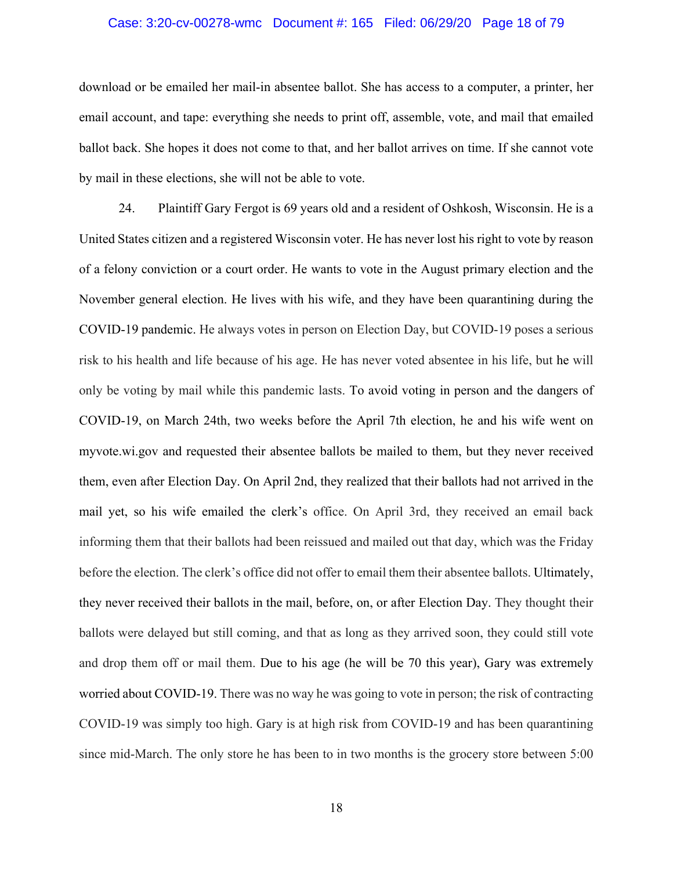# Case: 3:20-cv-00278-wmc Document #: 165 Filed: 06/29/20 Page 18 of 79

download or be emailed her mail-in absentee ballot. She has access to a computer, a printer, her email account, and tape: everything she needs to print off, assemble, vote, and mail that emailed ballot back. She hopes it does not come to that, and her ballot arrives on time. If she cannot vote by mail in these elections, she will not be able to vote.

24. Plaintiff Gary Fergot is 69 years old and a resident of Oshkosh, Wisconsin. He is a United States citizen and a registered Wisconsin voter. He has never lost his right to vote by reason of a felony conviction or a court order. He wants to vote in the August primary election and the November general election. He lives with his wife, and they have been quarantining during the COVID-19 pandemic. He always votes in person on Election Day, but COVID-19 poses a serious risk to his health and life because of his age. He has never voted absentee in his life, but he will only be voting by mail while this pandemic lasts. To avoid voting in person and the dangers of COVID-19, on March 24th, two weeks before the April 7th election, he and his wife went on myvote.wi.gov and requested their absentee ballots be mailed to them, but they never received them, even after Election Day. On April 2nd, they realized that their ballots had not arrived in the mail yet, so his wife emailed the clerk's office. On April 3rd, they received an email back informing them that their ballots had been reissued and mailed out that day, which was the Friday before the election. The clerk's office did not offer to email them their absentee ballots. Ultimately, they never received their ballots in the mail, before, on, or after Election Day. They thought their ballots were delayed but still coming, and that as long as they arrived soon, they could still vote and drop them off or mail them. Due to his age (he will be 70 this year), Gary was extremely worried about COVID-19. There was no way he was going to vote in person; the risk of contracting COVID-19 was simply too high. Gary is at high risk from COVID-19 and has been quarantining since mid-March. The only store he has been to in two months is the grocery store between 5:00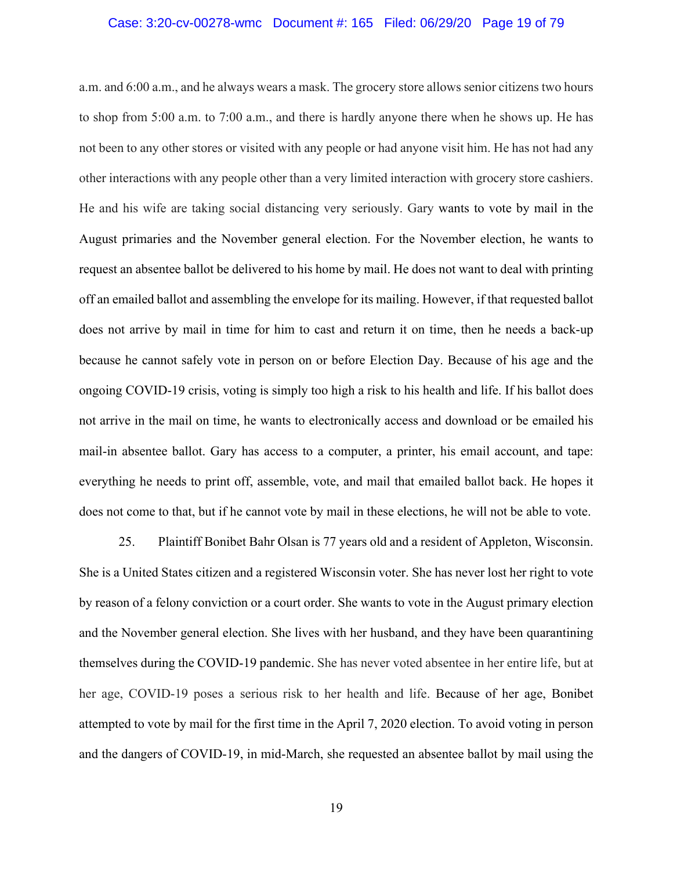# Case: 3:20-cv-00278-wmc Document #: 165 Filed: 06/29/20 Page 19 of 79

a.m. and 6:00 a.m., and he always wears a mask. The grocery store allows senior citizens two hours to shop from 5:00 a.m. to 7:00 a.m., and there is hardly anyone there when he shows up. He has not been to any other stores or visited with any people or had anyone visit him. He has not had any other interactions with any people other than a very limited interaction with grocery store cashiers. He and his wife are taking social distancing very seriously. Gary wants to vote by mail in the August primaries and the November general election. For the November election, he wants to request an absentee ballot be delivered to his home by mail. He does not want to deal with printing off an emailed ballot and assembling the envelope for its mailing. However, if that requested ballot does not arrive by mail in time for him to cast and return it on time, then he needs a back-up because he cannot safely vote in person on or before Election Day. Because of his age and the ongoing COVID-19 crisis, voting is simply too high a risk to his health and life. If his ballot does not arrive in the mail on time, he wants to electronically access and download or be emailed his mail-in absentee ballot. Gary has access to a computer, a printer, his email account, and tape: everything he needs to print off, assemble, vote, and mail that emailed ballot back. He hopes it does not come to that, but if he cannot vote by mail in these elections, he will not be able to vote.

25. Plaintiff Bonibet Bahr Olsan is 77 years old and a resident of Appleton, Wisconsin. She is a United States citizen and a registered Wisconsin voter. She has never lost her right to vote by reason of a felony conviction or a court order. She wants to vote in the August primary election and the November general election. She lives with her husband, and they have been quarantining themselves during the COVID-19 pandemic. She has never voted absentee in her entire life, but at her age, COVID-19 poses a serious risk to her health and life. Because of her age, Bonibet attempted to vote by mail for the first time in the April 7, 2020 election. To avoid voting in person and the dangers of COVID-19, in mid-March, she requested an absentee ballot by mail using the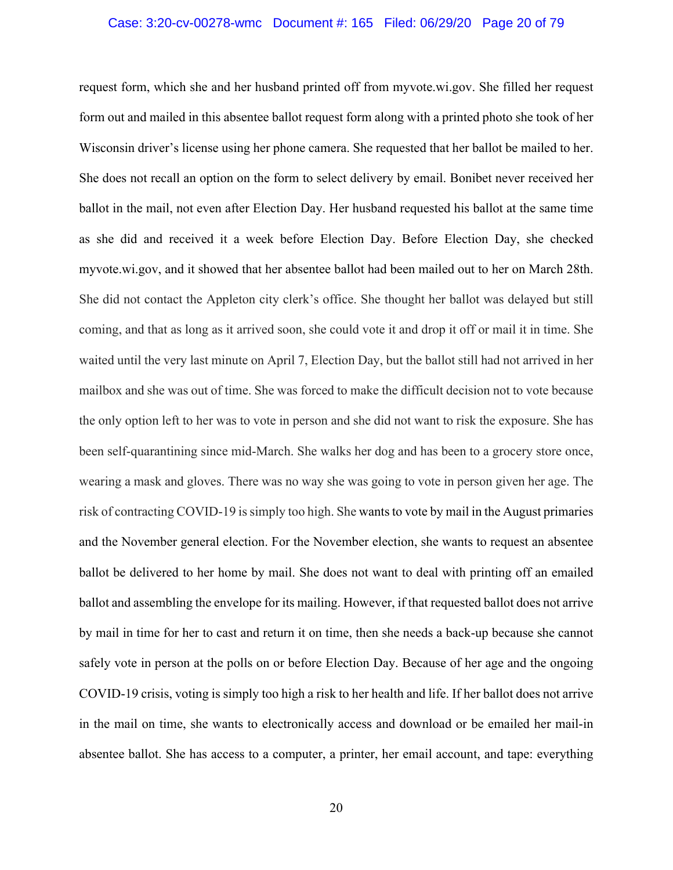# Case: 3:20-cv-00278-wmc Document #: 165 Filed: 06/29/20 Page 20 of 79

request form, which she and her husband printed off from myvote.wi.gov. She filled her request form out and mailed in this absentee ballot request form along with a printed photo she took of her Wisconsin driver's license using her phone camera. She requested that her ballot be mailed to her. She does not recall an option on the form to select delivery by email. Bonibet never received her ballot in the mail, not even after Election Day. Her husband requested his ballot at the same time as she did and received it a week before Election Day. Before Election Day, she checked myvote.wi.gov, and it showed that her absentee ballot had been mailed out to her on March 28th. She did not contact the Appleton city clerk's office. She thought her ballot was delayed but still coming, and that as long as it arrived soon, she could vote it and drop it off or mail it in time. She waited until the very last minute on April 7, Election Day, but the ballot still had not arrived in her mailbox and she was out of time. She was forced to make the difficult decision not to vote because the only option left to her was to vote in person and she did not want to risk the exposure. She has been self-quarantining since mid-March. She walks her dog and has been to a grocery store once, wearing a mask and gloves. There was no way she was going to vote in person given her age. The risk of contracting COVID-19 is simply too high. She wants to vote by mail in the August primaries and the November general election. For the November election, she wants to request an absentee ballot be delivered to her home by mail. She does not want to deal with printing off an emailed ballot and assembling the envelope for its mailing. However, if that requested ballot does not arrive by mail in time for her to cast and return it on time, then she needs a back-up because she cannot safely vote in person at the polls on or before Election Day. Because of her age and the ongoing COVID-19 crisis, voting is simply too high a risk to her health and life. If her ballot does not arrive in the mail on time, she wants to electronically access and download or be emailed her mail-in absentee ballot. She has access to a computer, a printer, her email account, and tape: everything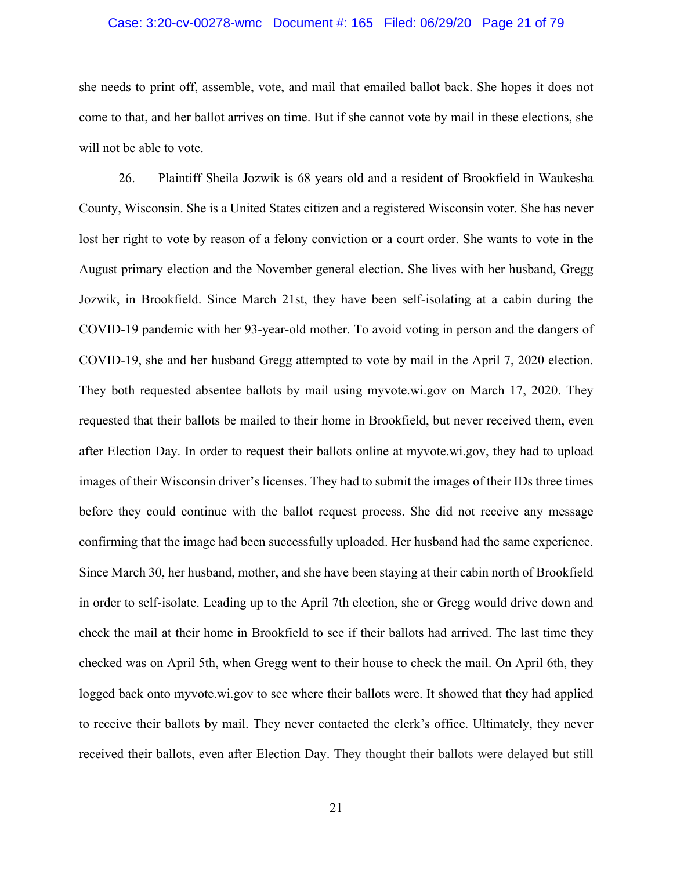# Case: 3:20-cv-00278-wmc Document #: 165 Filed: 06/29/20 Page 21 of 79

she needs to print off, assemble, vote, and mail that emailed ballot back. She hopes it does not come to that, and her ballot arrives on time. But if she cannot vote by mail in these elections, she will not be able to vote.

26. Plaintiff Sheila Jozwik is 68 years old and a resident of Brookfield in Waukesha County, Wisconsin. She is a United States citizen and a registered Wisconsin voter. She has never lost her right to vote by reason of a felony conviction or a court order. She wants to vote in the August primary election and the November general election. She lives with her husband, Gregg Jozwik, in Brookfield. Since March 21st, they have been self-isolating at a cabin during the COVID-19 pandemic with her 93-year-old mother. To avoid voting in person and the dangers of COVID-19, she and her husband Gregg attempted to vote by mail in the April 7, 2020 election. They both requested absentee ballots by mail using myvote.wi.gov on March 17, 2020. They requested that their ballots be mailed to their home in Brookfield, but never received them, even after Election Day. In order to request their ballots online at myvote.wi.gov, they had to upload images of their Wisconsin driver's licenses. They had to submit the images of their IDs three times before they could continue with the ballot request process. She did not receive any message confirming that the image had been successfully uploaded. Her husband had the same experience. Since March 30, her husband, mother, and she have been staying at their cabin north of Brookfield in order to self-isolate. Leading up to the April 7th election, she or Gregg would drive down and check the mail at their home in Brookfield to see if their ballots had arrived. The last time they checked was on April 5th, when Gregg went to their house to check the mail. On April 6th, they logged back onto myvote.wi.gov to see where their ballots were. It showed that they had applied to receive their ballots by mail. They never contacted the clerk's office. Ultimately, they never received their ballots, even after Election Day. They thought their ballots were delayed but still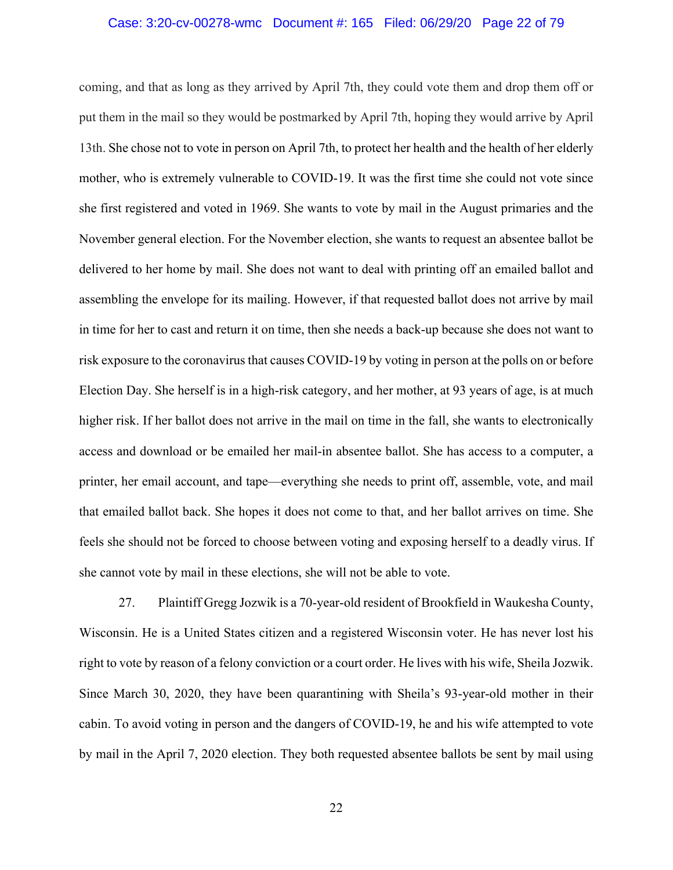## Case: 3:20-cv-00278-wmc Document #: 165 Filed: 06/29/20 Page 22 of 79

coming, and that as long as they arrived by April 7th, they could vote them and drop them off or put them in the mail so they would be postmarked by April 7th, hoping they would arrive by April 13th. She chose not to vote in person on April 7th, to protect her health and the health of her elderly mother, who is extremely vulnerable to COVID-19. It was the first time she could not vote since she first registered and voted in 1969. She wants to vote by mail in the August primaries and the November general election. For the November election, she wants to request an absentee ballot be delivered to her home by mail. She does not want to deal with printing off an emailed ballot and assembling the envelope for its mailing. However, if that requested ballot does not arrive by mail in time for her to cast and return it on time, then she needs a back-up because she does not want to risk exposure to the coronavirus that causes COVID-19 by voting in person at the polls on or before Election Day. She herself is in a high-risk category, and her mother, at 93 years of age, is at much higher risk. If her ballot does not arrive in the mail on time in the fall, she wants to electronically access and download or be emailed her mail-in absentee ballot. She has access to a computer, a printer, her email account, and tape—everything she needs to print off, assemble, vote, and mail that emailed ballot back. She hopes it does not come to that, and her ballot arrives on time. She feels she should not be forced to choose between voting and exposing herself to a deadly virus. If she cannot vote by mail in these elections, she will not be able to vote.

27. Plaintiff Gregg Jozwik is a 70-year-old resident of Brookfield in Waukesha County, Wisconsin. He is a United States citizen and a registered Wisconsin voter. He has never lost his right to vote by reason of a felony conviction or a court order. He lives with his wife, Sheila Jozwik. Since March 30, 2020, they have been quarantining with Sheila's 93-year-old mother in their cabin. To avoid voting in person and the dangers of COVID-19, he and his wife attempted to vote by mail in the April 7, 2020 election. They both requested absentee ballots be sent by mail using

22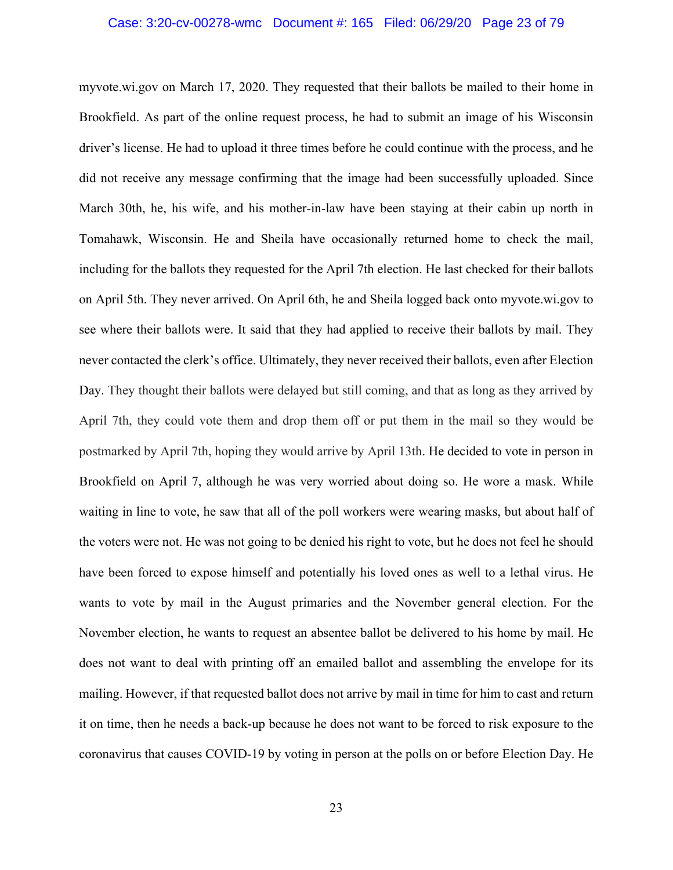# Case: 3:20-cv-00278-wmc Document #: 165 Filed: 06/29/20 Page 23 of 79

myvote.wi.gov on March 17, 2020. They requested that their ballots be mailed to their home in Brookfield. As part of the online request process, he had to submit an image of his Wisconsin driver's license. He had to upload it three times before he could continue with the process, and he did not receive any message confirming that the image had been successfully uploaded. Since March 30th, he, his wife, and his mother-in-law have been staying at their cabin up north in Tomahawk, Wisconsin. He and Sheila have occasionally returned home to check the mail, including for the ballots they requested for the April 7th election. He last checked for their ballots on April 5th. They never arrived. On April 6th, he and Sheila logged back onto myvote.wi.gov to see where their ballots were. It said that they had applied to receive their ballots by mail. They never contacted the clerk's office. Ultimately, they never received their ballots, even after Election Day. They thought their ballots were delayed but still coming, and that as long as they arrived by April 7th, they could vote them and drop them off or put them in the mail so they would be postmarked by April 7th, hoping they would arrive by April 13th. He decided to vote in person in Brookfield on April 7, although he was very worried about doing so. He wore a mask. While waiting in line to vote, he saw that all of the poll workers were wearing masks, but about half of the voters were not. He was not going to be denied his right to vote, but he does not feel he should have been forced to expose himself and potentially his loved ones as well to a lethal virus. He wants to vote by mail in the August primaries and the November general election. For the November election, he wants to request an absentee ballot be delivered to his home by mail. He does not want to deal with printing off an emailed ballot and assembling the envelope for its mailing. However, if that requested ballot does not arrive by mail in time for him to cast and return it on time, then he needs a back-up because he does not want to be forced to risk exposure to the coronavirus that causes COVID-19 by voting in person at the polls on or before Election Day. He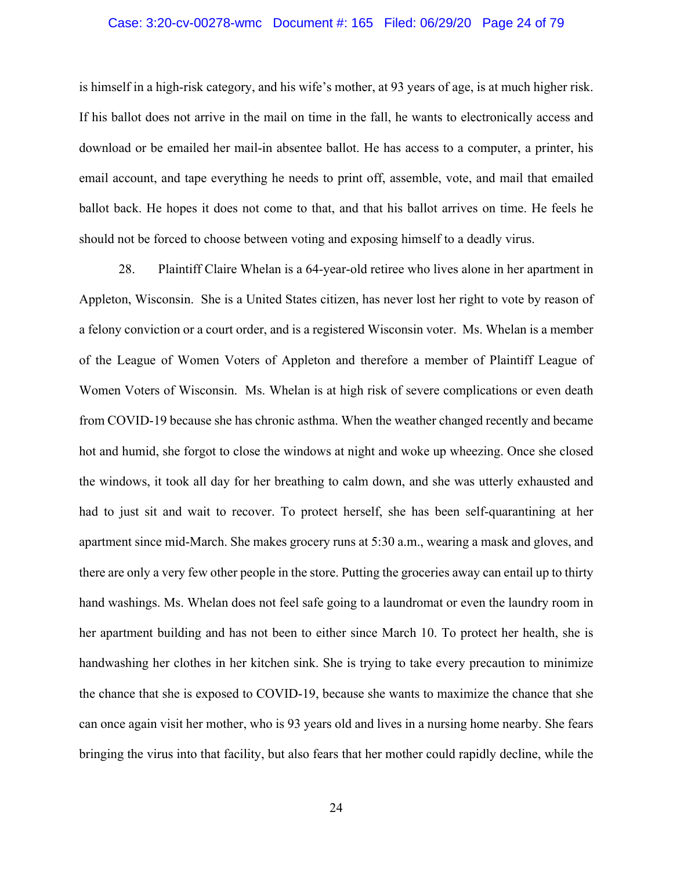# Case: 3:20-cv-00278-wmc Document #: 165 Filed: 06/29/20 Page 24 of 79

is himself in a high-risk category, and his wife's mother, at 93 years of age, is at much higher risk. If his ballot does not arrive in the mail on time in the fall, he wants to electronically access and download or be emailed her mail-in absentee ballot. He has access to a computer, a printer, his email account, and tape everything he needs to print off, assemble, vote, and mail that emailed ballot back. He hopes it does not come to that, and that his ballot arrives on time. He feels he should not be forced to choose between voting and exposing himself to a deadly virus.

28. Plaintiff Claire Whelan is a 64-year-old retiree who lives alone in her apartment in Appleton, Wisconsin. She is a United States citizen, has never lost her right to vote by reason of a felony conviction or a court order, and is a registered Wisconsin voter. Ms. Whelan is a member of the League of Women Voters of Appleton and therefore a member of Plaintiff League of Women Voters of Wisconsin. Ms. Whelan is at high risk of severe complications or even death from COVID-19 because she has chronic asthma. When the weather changed recently and became hot and humid, she forgot to close the windows at night and woke up wheezing. Once she closed the windows, it took all day for her breathing to calm down, and she was utterly exhausted and had to just sit and wait to recover. To protect herself, she has been self-quarantining at her apartment since mid-March. She makes grocery runs at 5:30 a.m., wearing a mask and gloves, and there are only a very few other people in the store. Putting the groceries away can entail up to thirty hand washings. Ms. Whelan does not feel safe going to a laundromat or even the laundry room in her apartment building and has not been to either since March 10. To protect her health, she is handwashing her clothes in her kitchen sink. She is trying to take every precaution to minimize the chance that she is exposed to COVID-19, because she wants to maximize the chance that she can once again visit her mother, who is 93 years old and lives in a nursing home nearby. She fears bringing the virus into that facility, but also fears that her mother could rapidly decline, while the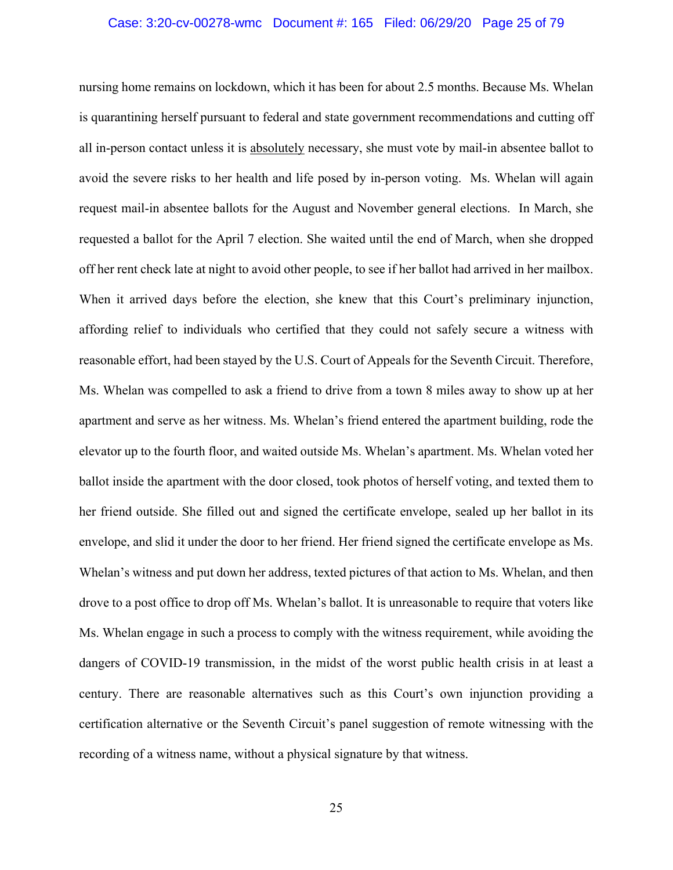## Case: 3:20-cv-00278-wmc Document #: 165 Filed: 06/29/20 Page 25 of 79

nursing home remains on lockdown, which it has been for about 2.5 months. Because Ms. Whelan is quarantining herself pursuant to federal and state government recommendations and cutting off all in-person contact unless it is absolutely necessary, she must vote by mail-in absentee ballot to avoid the severe risks to her health and life posed by in-person voting. Ms. Whelan will again request mail-in absentee ballots for the August and November general elections. In March, she requested a ballot for the April 7 election. She waited until the end of March, when she dropped off her rent check late at night to avoid other people, to see if her ballot had arrived in her mailbox. When it arrived days before the election, she knew that this Court's preliminary injunction, affording relief to individuals who certified that they could not safely secure a witness with reasonable effort, had been stayed by the U.S. Court of Appeals for the Seventh Circuit. Therefore, Ms. Whelan was compelled to ask a friend to drive from a town 8 miles away to show up at her apartment and serve as her witness. Ms. Whelan's friend entered the apartment building, rode the elevator up to the fourth floor, and waited outside Ms. Whelan's apartment. Ms. Whelan voted her ballot inside the apartment with the door closed, took photos of herself voting, and texted them to her friend outside. She filled out and signed the certificate envelope, sealed up her ballot in its envelope, and slid it under the door to her friend. Her friend signed the certificate envelope as Ms. Whelan's witness and put down her address, texted pictures of that action to Ms. Whelan, and then drove to a post office to drop off Ms. Whelan's ballot. It is unreasonable to require that voters like Ms. Whelan engage in such a process to comply with the witness requirement, while avoiding the dangers of COVID-19 transmission, in the midst of the worst public health crisis in at least a century. There are reasonable alternatives such as this Court's own injunction providing a certification alternative or the Seventh Circuit's panel suggestion of remote witnessing with the recording of a witness name, without a physical signature by that witness.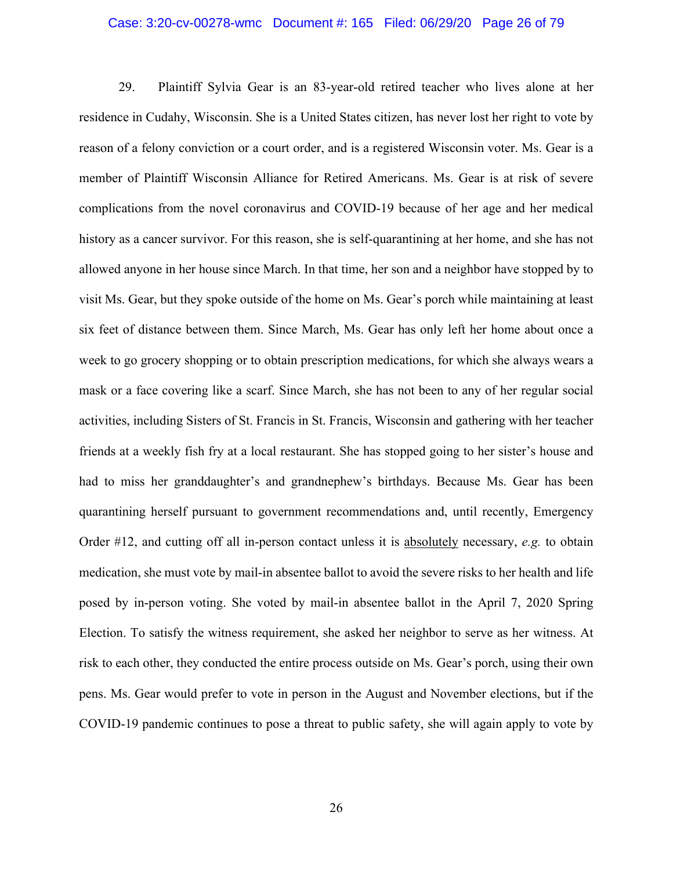### Case: 3:20-cv-00278-wmc Document #: 165 Filed: 06/29/20 Page 26 of 79

29. Plaintiff Sylvia Gear is an 83-year-old retired teacher who lives alone at her residence in Cudahy, Wisconsin. She is a United States citizen, has never lost her right to vote by reason of a felony conviction or a court order, and is a registered Wisconsin voter. Ms. Gear is a member of Plaintiff Wisconsin Alliance for Retired Americans. Ms. Gear is at risk of severe complications from the novel coronavirus and COVID-19 because of her age and her medical history as a cancer survivor. For this reason, she is self-quarantining at her home, and she has not allowed anyone in her house since March. In that time, her son and a neighbor have stopped by to visit Ms. Gear, but they spoke outside of the home on Ms. Gear's porch while maintaining at least six feet of distance between them. Since March, Ms. Gear has only left her home about once a week to go grocery shopping or to obtain prescription medications, for which she always wears a mask or a face covering like a scarf. Since March, she has not been to any of her regular social activities, including Sisters of St. Francis in St. Francis, Wisconsin and gathering with her teacher friends at a weekly fish fry at a local restaurant. She has stopped going to her sister's house and had to miss her granddaughter's and grandnephew's birthdays. Because Ms. Gear has been quarantining herself pursuant to government recommendations and, until recently, Emergency Order #12, and cutting off all in-person contact unless it is absolutely necessary, *e.g.* to obtain medication, she must vote by mail-in absentee ballot to avoid the severe risks to her health and life posed by in-person voting. She voted by mail-in absentee ballot in the April 7, 2020 Spring Election. To satisfy the witness requirement, she asked her neighbor to serve as her witness. At risk to each other, they conducted the entire process outside on Ms. Gear's porch, using their own pens. Ms. Gear would prefer to vote in person in the August and November elections, but if the COVID-19 pandemic continues to pose a threat to public safety, she will again apply to vote by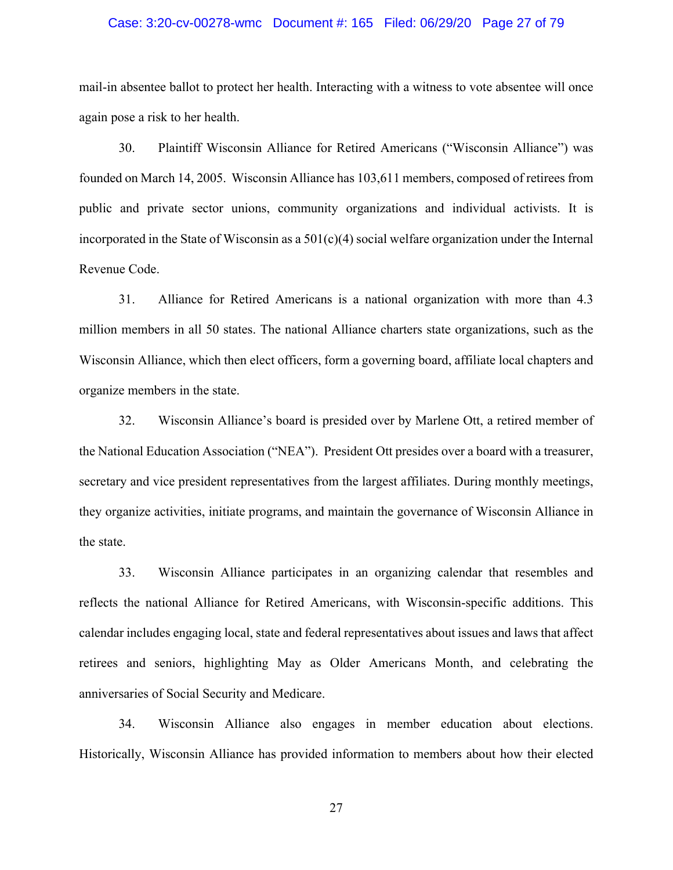## Case: 3:20-cv-00278-wmc Document #: 165 Filed: 06/29/20 Page 27 of 79

mail-in absentee ballot to protect her health. Interacting with a witness to vote absentee will once again pose a risk to her health.

30. Plaintiff Wisconsin Alliance for Retired Americans ("Wisconsin Alliance") was founded on March 14, 2005. Wisconsin Alliance has 103,611 members, composed of retirees from public and private sector unions, community organizations and individual activists. It is incorporated in the State of Wisconsin as a  $501(c)(4)$  social welfare organization under the Internal Revenue Code.

31. Alliance for Retired Americans is a national organization with more than 4.3 million members in all 50 states. The national Alliance charters state organizations, such as the Wisconsin Alliance, which then elect officers, form a governing board, affiliate local chapters and organize members in the state.

32. Wisconsin Alliance's board is presided over by Marlene Ott, a retired member of the National Education Association ("NEA"). President Ott presides over a board with a treasurer, secretary and vice president representatives from the largest affiliates. During monthly meetings, they organize activities, initiate programs, and maintain the governance of Wisconsin Alliance in the state.

33. Wisconsin Alliance participates in an organizing calendar that resembles and reflects the national Alliance for Retired Americans, with Wisconsin-specific additions. This calendar includes engaging local, state and federal representatives about issues and laws that affect retirees and seniors, highlighting May as Older Americans Month, and celebrating the anniversaries of Social Security and Medicare.

34. Wisconsin Alliance also engages in member education about elections. Historically, Wisconsin Alliance has provided information to members about how their elected

27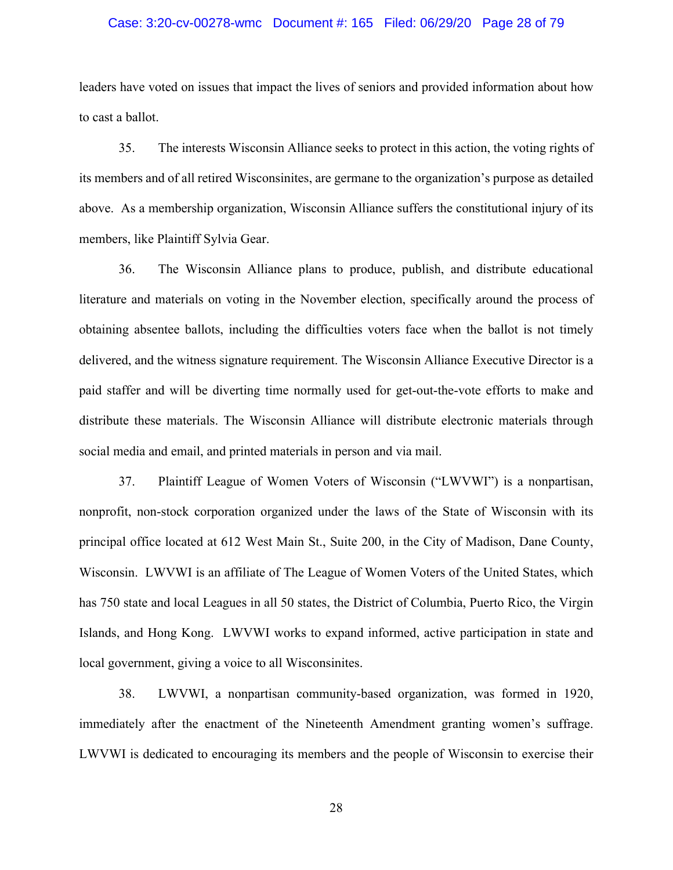### Case: 3:20-cv-00278-wmc Document #: 165 Filed: 06/29/20 Page 28 of 79

leaders have voted on issues that impact the lives of seniors and provided information about how to cast a ballot.

35. The interests Wisconsin Alliance seeks to protect in this action, the voting rights of its members and of all retired Wisconsinites, are germane to the organization's purpose as detailed above. As a membership organization, Wisconsin Alliance suffers the constitutional injury of its members, like Plaintiff Sylvia Gear.

36. The Wisconsin Alliance plans to produce, publish, and distribute educational literature and materials on voting in the November election, specifically around the process of obtaining absentee ballots, including the difficulties voters face when the ballot is not timely delivered, and the witness signature requirement. The Wisconsin Alliance Executive Director is a paid staffer and will be diverting time normally used for get-out-the-vote efforts to make and distribute these materials. The Wisconsin Alliance will distribute electronic materials through social media and email, and printed materials in person and via mail.

37. Plaintiff League of Women Voters of Wisconsin ("LWVWI") is a nonpartisan, nonprofit, non-stock corporation organized under the laws of the State of Wisconsin with its principal office located at 612 West Main St., Suite 200, in the City of Madison, Dane County, Wisconsin. LWVWI is an affiliate of The League of Women Voters of the United States, which has 750 state and local Leagues in all 50 states, the District of Columbia, Puerto Rico, the Virgin Islands, and Hong Kong. LWVWI works to expand informed, active participation in state and local government, giving a voice to all Wisconsinites.

38. LWVWI, a nonpartisan community-based organization, was formed in 1920, immediately after the enactment of the Nineteenth Amendment granting women's suffrage. LWVWI is dedicated to encouraging its members and the people of Wisconsin to exercise their

28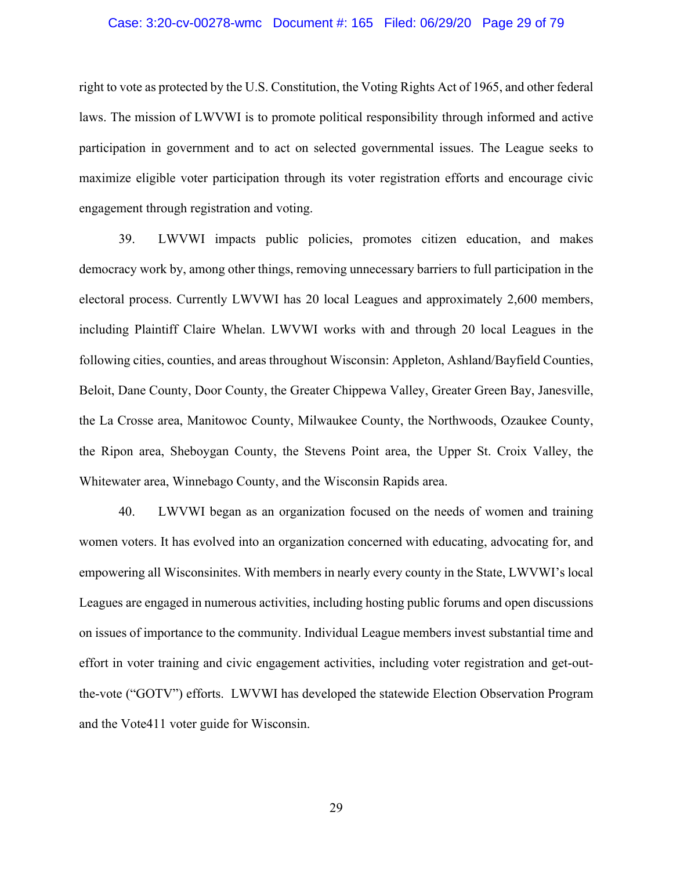# Case: 3:20-cv-00278-wmc Document #: 165 Filed: 06/29/20 Page 29 of 79

right to vote as protected by the U.S. Constitution, the Voting Rights Act of 1965, and other federal laws. The mission of LWVWI is to promote political responsibility through informed and active participation in government and to act on selected governmental issues. The League seeks to maximize eligible voter participation through its voter registration efforts and encourage civic engagement through registration and voting.

39. LWVWI impacts public policies, promotes citizen education, and makes democracy work by, among other things, removing unnecessary barriers to full participation in the electoral process. Currently LWVWI has 20 local Leagues and approximately 2,600 members, including Plaintiff Claire Whelan. LWVWI works with and through 20 local Leagues in the following cities, counties, and areas throughout Wisconsin: Appleton, Ashland/Bayfield Counties, Beloit, Dane County, Door County, the Greater Chippewa Valley, Greater Green Bay, Janesville, the La Crosse area, Manitowoc County, Milwaukee County, the Northwoods, Ozaukee County, the Ripon area, Sheboygan County, the Stevens Point area, the Upper St. Croix Valley, the Whitewater area, Winnebago County, and the Wisconsin Rapids area.

40. LWVWI began as an organization focused on the needs of women and training women voters. It has evolved into an organization concerned with educating, advocating for, and empowering all Wisconsinites. With members in nearly every county in the State, LWVWI's local Leagues are engaged in numerous activities, including hosting public forums and open discussions on issues of importance to the community. Individual League members invest substantial time and effort in voter training and civic engagement activities, including voter registration and get-outthe-vote ("GOTV") efforts. LWVWI has developed the statewide Election Observation Program and the Vote411 voter guide for Wisconsin.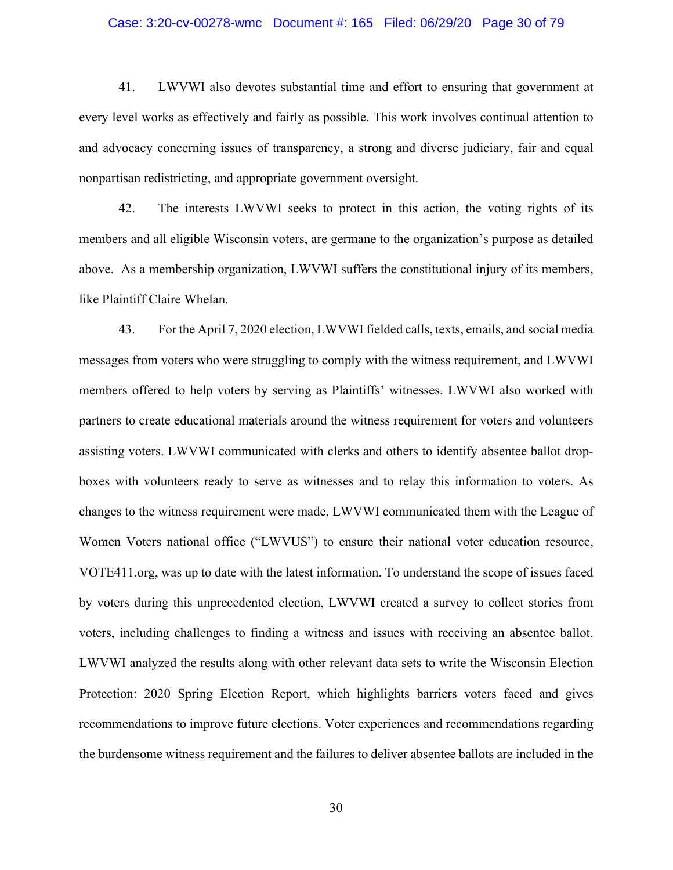## Case: 3:20-cv-00278-wmc Document #: 165 Filed: 06/29/20 Page 30 of 79

41. LWVWI also devotes substantial time and effort to ensuring that government at every level works as effectively and fairly as possible. This work involves continual attention to and advocacy concerning issues of transparency, a strong and diverse judiciary, fair and equal nonpartisan redistricting, and appropriate government oversight.

42. The interests LWVWI seeks to protect in this action, the voting rights of its members and all eligible Wisconsin voters, are germane to the organization's purpose as detailed above. As a membership organization, LWVWI suffers the constitutional injury of its members, like Plaintiff Claire Whelan.

43. For the April 7, 2020 election, LWVWI fielded calls, texts, emails, and social media messages from voters who were struggling to comply with the witness requirement, and LWVWI members offered to help voters by serving as Plaintiffs' witnesses. LWVWI also worked with partners to create educational materials around the witness requirement for voters and volunteers assisting voters. LWVWI communicated with clerks and others to identify absentee ballot dropboxes with volunteers ready to serve as witnesses and to relay this information to voters. As changes to the witness requirement were made, LWVWI communicated them with the League of Women Voters national office ("LWVUS") to ensure their national voter education resource, VOTE411.org, was up to date with the latest information. To understand the scope of issues faced by voters during this unprecedented election, LWVWI created a survey to collect stories from voters, including challenges to finding a witness and issues with receiving an absentee ballot. LWVWI analyzed the results along with other relevant data sets to write the Wisconsin Election Protection: 2020 Spring Election Report, which highlights barriers voters faced and gives recommendations to improve future elections. Voter experiences and recommendations regarding the burdensome witness requirement and the failures to deliver absentee ballots are included in the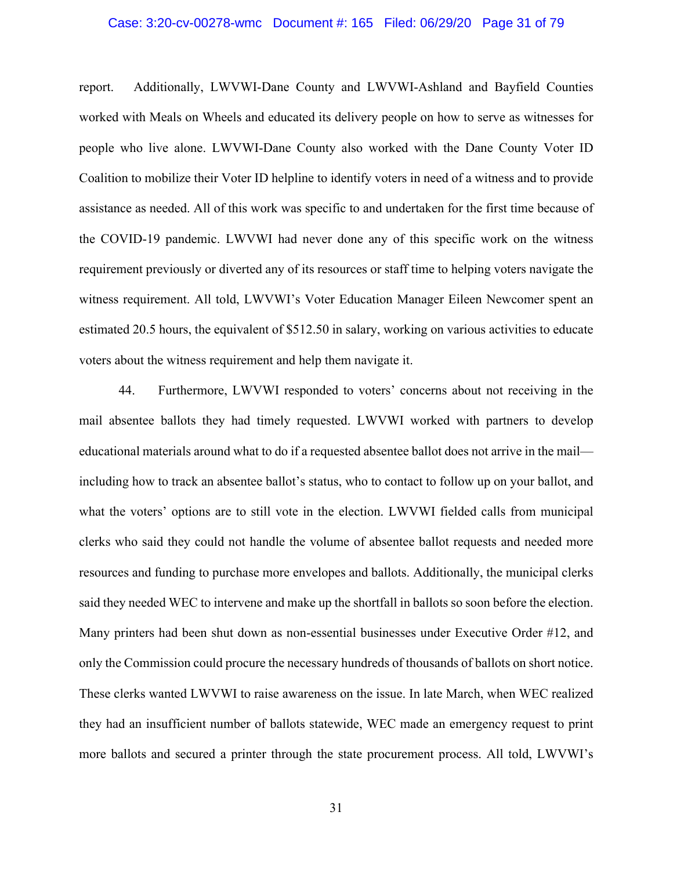### Case: 3:20-cv-00278-wmc Document #: 165 Filed: 06/29/20 Page 31 of 79

report. Additionally, LWVWI-Dane County and LWVWI-Ashland and Bayfield Counties worked with Meals on Wheels and educated its delivery people on how to serve as witnesses for people who live alone. LWVWI-Dane County also worked with the Dane County Voter ID Coalition to mobilize their Voter ID helpline to identify voters in need of a witness and to provide assistance as needed. All of this work was specific to and undertaken for the first time because of the COVID-19 pandemic. LWVWI had never done any of this specific work on the witness requirement previously or diverted any of its resources or staff time to helping voters navigate the witness requirement. All told, LWVWI's Voter Education Manager Eileen Newcomer spent an estimated 20.5 hours, the equivalent of \$512.50 in salary, working on various activities to educate voters about the witness requirement and help them navigate it.

44. Furthermore, LWVWI responded to voters' concerns about not receiving in the mail absentee ballots they had timely requested. LWVWI worked with partners to develop educational materials around what to do if a requested absentee ballot does not arrive in the mail including how to track an absentee ballot's status, who to contact to follow up on your ballot, and what the voters' options are to still vote in the election. LWVWI fielded calls from municipal clerks who said they could not handle the volume of absentee ballot requests and needed more resources and funding to purchase more envelopes and ballots. Additionally, the municipal clerks said they needed WEC to intervene and make up the shortfall in ballots so soon before the election. Many printers had been shut down as non-essential businesses under Executive Order #12, and only the Commission could procure the necessary hundreds of thousands of ballots on short notice. These clerks wanted LWVWI to raise awareness on the issue. In late March, when WEC realized they had an insufficient number of ballots statewide, WEC made an emergency request to print more ballots and secured a printer through the state procurement process. All told, LWVWI's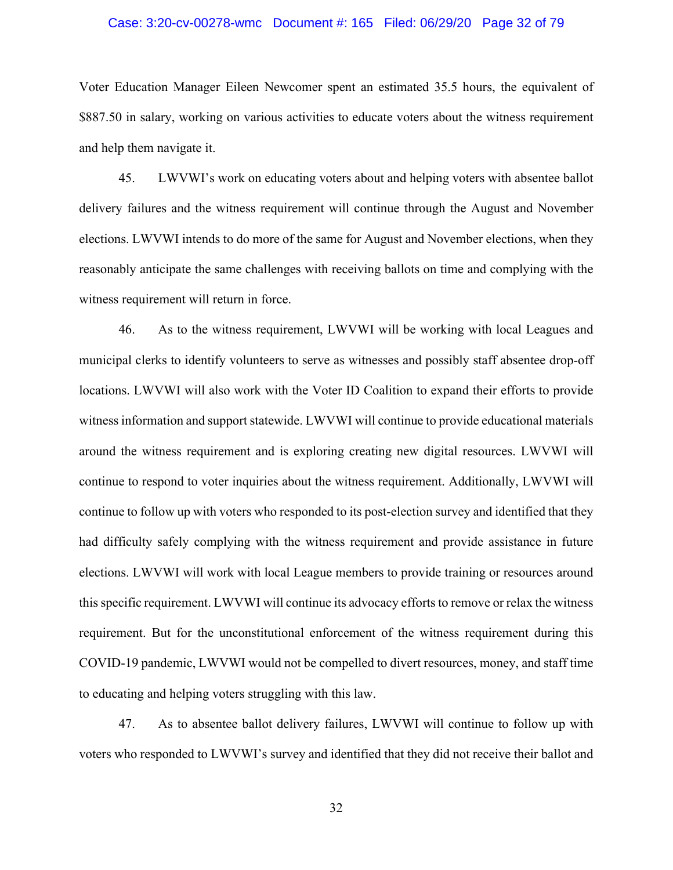## Case: 3:20-cv-00278-wmc Document #: 165 Filed: 06/29/20 Page 32 of 79

Voter Education Manager Eileen Newcomer spent an estimated 35.5 hours, the equivalent of \$887.50 in salary, working on various activities to educate voters about the witness requirement and help them navigate it.

45. LWVWI's work on educating voters about and helping voters with absentee ballot delivery failures and the witness requirement will continue through the August and November elections. LWVWI intends to do more of the same for August and November elections, when they reasonably anticipate the same challenges with receiving ballots on time and complying with the witness requirement will return in force.

46. As to the witness requirement, LWVWI will be working with local Leagues and municipal clerks to identify volunteers to serve as witnesses and possibly staff absentee drop-off locations. LWVWI will also work with the Voter ID Coalition to expand their efforts to provide witness information and support statewide. LWVWI will continue to provide educational materials around the witness requirement and is exploring creating new digital resources. LWVWI will continue to respond to voter inquiries about the witness requirement. Additionally, LWVWI will continue to follow up with voters who responded to its post-election survey and identified that they had difficulty safely complying with the witness requirement and provide assistance in future elections. LWVWI will work with local League members to provide training or resources around this specific requirement. LWVWI will continue its advocacy efforts to remove or relax the witness requirement. But for the unconstitutional enforcement of the witness requirement during this COVID-19 pandemic, LWVWI would not be compelled to divert resources, money, and staff time to educating and helping voters struggling with this law.

47. As to absentee ballot delivery failures, LWVWI will continue to follow up with voters who responded to LWVWI's survey and identified that they did not receive their ballot and

32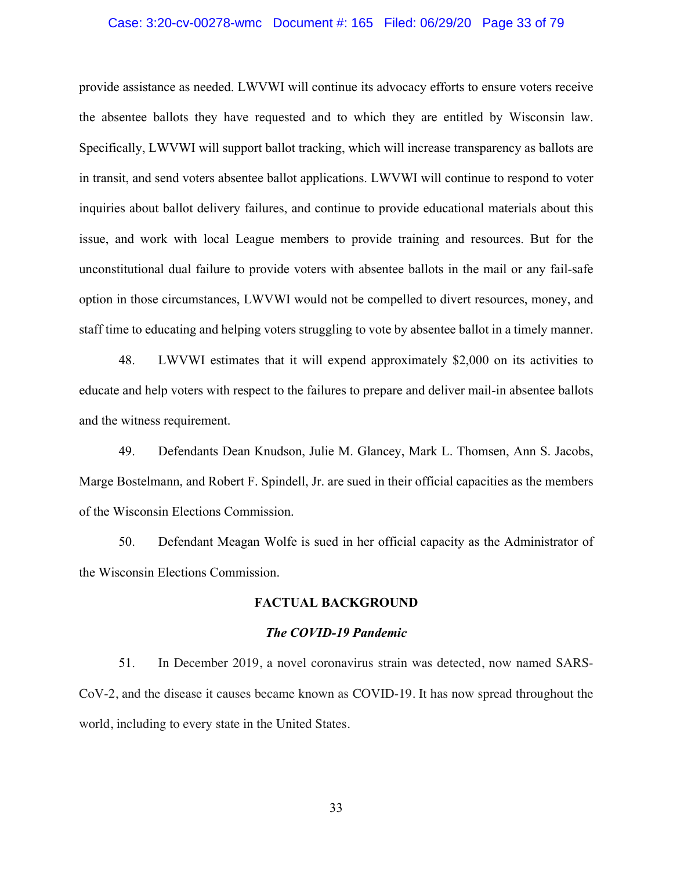### Case: 3:20-cv-00278-wmc Document #: 165 Filed: 06/29/20 Page 33 of 79

provide assistance as needed. LWVWI will continue its advocacy efforts to ensure voters receive the absentee ballots they have requested and to which they are entitled by Wisconsin law. Specifically, LWVWI will support ballot tracking, which will increase transparency as ballots are in transit, and send voters absentee ballot applications. LWVWI will continue to respond to voter inquiries about ballot delivery failures, and continue to provide educational materials about this issue, and work with local League members to provide training and resources. But for the unconstitutional dual failure to provide voters with absentee ballots in the mail or any fail-safe option in those circumstances, LWVWI would not be compelled to divert resources, money, and staff time to educating and helping voters struggling to vote by absentee ballot in a timely manner.

48. LWVWI estimates that it will expend approximately \$2,000 on its activities to educate and help voters with respect to the failures to prepare and deliver mail-in absentee ballots and the witness requirement.

49. Defendants Dean Knudson, Julie M. Glancey, Mark L. Thomsen, Ann S. Jacobs, Marge Bostelmann, and Robert F. Spindell, Jr. are sued in their official capacities as the members of the Wisconsin Elections Commission.

50. Defendant Meagan Wolfe is sued in her official capacity as the Administrator of the Wisconsin Elections Commission.

### **FACTUAL BACKGROUND**

#### *The COVID-19 Pandemic*

51. In December 2019, a novel coronavirus strain was detected, now named SARS-CoV-2, and the disease it causes became known as COVID-19. It has now spread throughout the world, including to every state in the United States.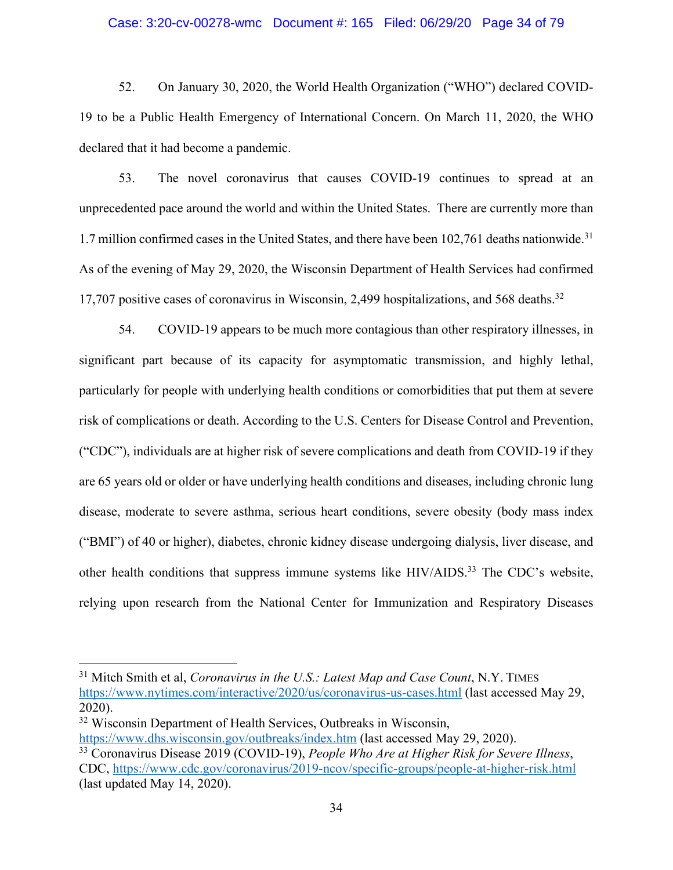### Case: 3:20-cv-00278-wmc Document #: 165 Filed: 06/29/20 Page 34 of 79

52. On January 30, 2020, the World Health Organization ("WHO") declared COVID-19 to be a Public Health Emergency of International Concern. On March 11, 2020, the WHO declared that it had become a pandemic.

53. The novel coronavirus that causes COVID-19 continues to spread at an unprecedented pace around the world and within the United States. There are currently more than 1.7 million confirmed cases in the United States, and there have been 102,761 deaths nationwide.<sup>31</sup> As of the evening of May 29, 2020, the Wisconsin Department of Health Services had confirmed 17,707 positive cases of coronavirus in Wisconsin, 2,499 hospitalizations, and 568 deaths.<sup>32</sup>

54. COVID-19 appears to be much more contagious than other respiratory illnesses, in significant part because of its capacity for asymptomatic transmission, and highly lethal, particularly for people with underlying health conditions or comorbidities that put them at severe risk of complications or death. According to the U.S. Centers for Disease Control and Prevention, ("CDC"), individuals are at higher risk of severe complications and death from COVID-19 if they are 65 years old or older or have underlying health conditions and diseases, including chronic lung disease, moderate to severe asthma, serious heart conditions, severe obesity (body mass index ("BMI") of 40 or higher), diabetes, chronic kidney disease undergoing dialysis, liver disease, and other health conditions that suppress immune systems like HIV/AIDS.<sup>33</sup> The CDC's website, relying upon research from the National Center for Immunization and Respiratory Diseases

<sup>31</sup> Mitch Smith et al, *Coronavirus in the U.S.: Latest Map and Case Count*, N.Y. TIMES https://www.nytimes.com/interactive/2020/us/coronavirus-us-cases.html (last accessed May 29, 2020).

<sup>&</sup>lt;sup>32</sup> Wisconsin Department of Health Services, Outbreaks in Wisconsin, https://www.dhs.wisconsin.gov/outbreaks/index.htm (last accessed May 29, 2020).

<sup>33</sup> Coronavirus Disease 2019 (COVID-19), *People Who Are at Higher Risk for Severe Illness*, CDC, https://www.cdc.gov/coronavirus/2019-ncov/specific-groups/people-at-higher-risk.html (last updated May 14, 2020).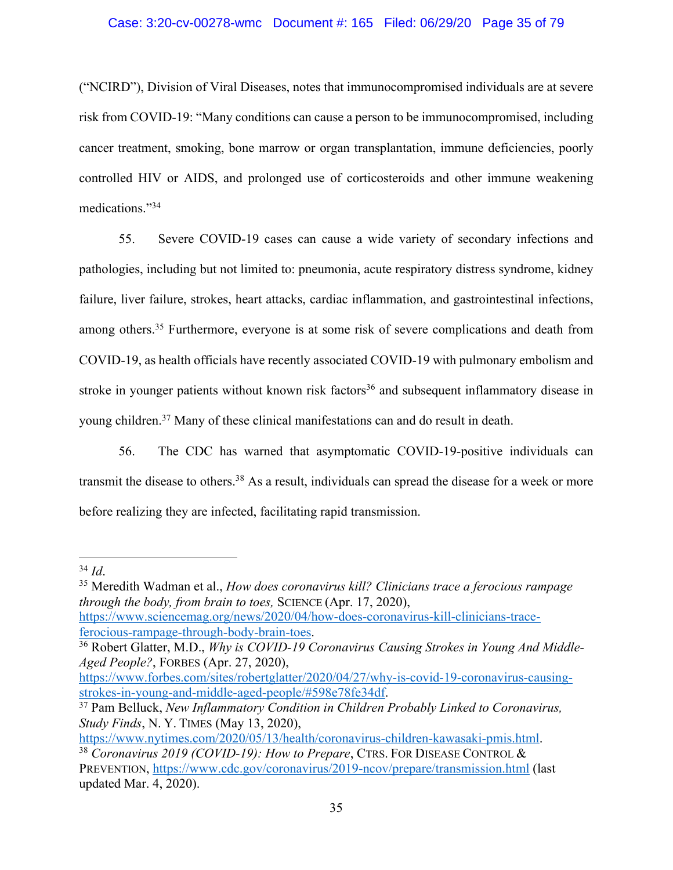## Case: 3:20-cv-00278-wmc Document #: 165 Filed: 06/29/20 Page 35 of 79

("NCIRD"), Division of Viral Diseases, notes that immunocompromised individuals are at severe risk from COVID-19: "Many conditions can cause a person to be immunocompromised, including cancer treatment, smoking, bone marrow or organ transplantation, immune deficiencies, poorly controlled HIV or AIDS, and prolonged use of corticosteroids and other immune weakening medications."34

55. Severe COVID-19 cases can cause a wide variety of secondary infections and pathologies, including but not limited to: pneumonia, acute respiratory distress syndrome, kidney failure, liver failure, strokes, heart attacks, cardiac inflammation, and gastrointestinal infections, among others.<sup>35</sup> Furthermore, everyone is at some risk of severe complications and death from COVID-19, as health officials have recently associated COVID-19 with pulmonary embolism and stroke in younger patients without known risk factors<sup>36</sup> and subsequent inflammatory disease in young children.37 Many of these clinical manifestations can and do result in death.

56. The CDC has warned that asymptomatic COVID-19-positive individuals can transmit the disease to others.<sup>38</sup> As a result, individuals can spread the disease for a week or more before realizing they are infected, facilitating rapid transmission.

<sup>34</sup> *Id*. 35 Meredith Wadman et al., *How does coronavirus kill? Clinicians trace a ferocious rampage through the body, from brain to toes,* SCIENCE (Apr. 17, 2020), https://www.sciencemag.org/news/2020/04/how-does-coronavirus-kill-clinicians-trace-

ferocious-rampage-through-body-brain-toes. 36 Robert Glatter, M.D., *Why is COVID-19 Coronavirus Causing Strokes in Young And Middle-Aged People?*, FORBES (Apr. 27, 2020),

https://www.forbes.com/sites/robertglatter/2020/04/27/why-is-covid-19-coronavirus-causingstrokes-in-young-and-middle-aged-people/#598e78fe34df.

<sup>37</sup> Pam Belluck, *New Inflammatory Condition in Children Probably Linked to Coronavirus, Study Finds*, N. Y. TIMES (May 13, 2020),

https://www.nytimes.com/2020/05/13/health/coronavirus-children-kawasaki-pmis.html.

<sup>38</sup> *Coronavirus 2019 (COVID-19): How to Prepare*, CTRS. FOR DISEASE CONTROL & PREVENTION, https://www.cdc.gov/coronavirus/2019-ncov/prepare/transmission.html (last updated Mar. 4, 2020).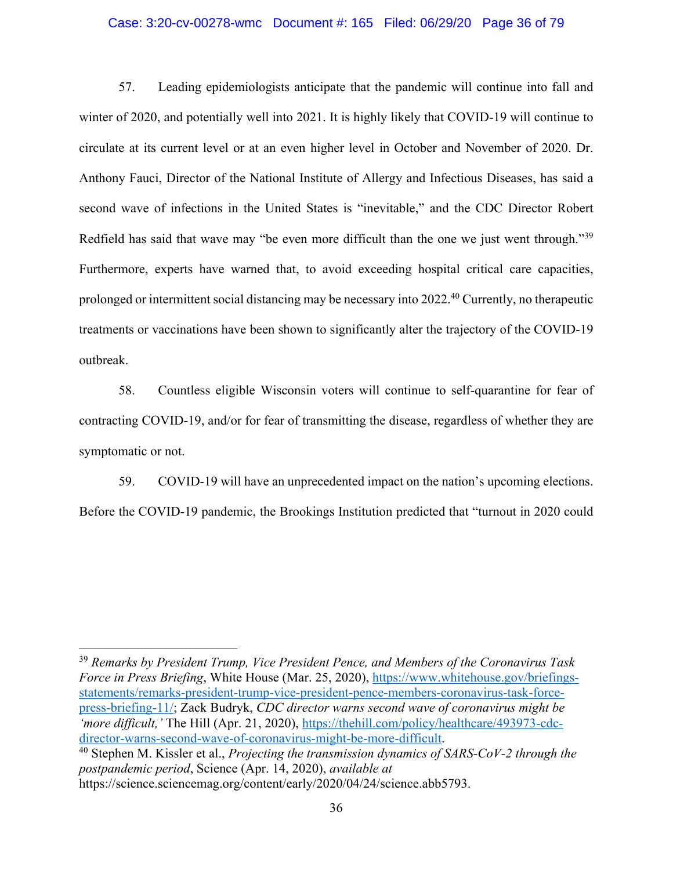### Case: 3:20-cv-00278-wmc Document #: 165 Filed: 06/29/20 Page 36 of 79

57. Leading epidemiologists anticipate that the pandemic will continue into fall and winter of 2020, and potentially well into 2021. It is highly likely that COVID-19 will continue to circulate at its current level or at an even higher level in October and November of 2020. Dr. Anthony Fauci, Director of the National Institute of Allergy and Infectious Diseases, has said a second wave of infections in the United States is "inevitable," and the CDC Director Robert Redfield has said that wave may "be even more difficult than the one we just went through."<sup>39</sup> Furthermore, experts have warned that, to avoid exceeding hospital critical care capacities, prolonged or intermittent social distancing may be necessary into 2022.40 Currently, no therapeutic treatments or vaccinations have been shown to significantly alter the trajectory of the COVID-19 outbreak.

58. Countless eligible Wisconsin voters will continue to self-quarantine for fear of contracting COVID-19, and/or for fear of transmitting the disease, regardless of whether they are symptomatic or not.

59. COVID-19 will have an unprecedented impact on the nation's upcoming elections. Before the COVID-19 pandemic, the Brookings Institution predicted that "turnout in 2020 could

<sup>39</sup> *Remarks by President Trump, Vice President Pence, and Members of the Coronavirus Task Force in Press Briefing*, White House (Mar. 25, 2020), https://www.whitehouse.gov/briefingsstatements/remarks-president-trump-vice-president-pence-members-coronavirus-task-forcepress-briefing-11/; Zack Budryk, *CDC director warns second wave of coronavirus might be 'more difficult,'* The Hill (Apr. 21, 2020), https://thehill.com/policy/healthcare/493973-cdcdirector-warns-second-wave-of-coronavirus-might-be-more-difficult.<br><sup>40</sup> Stephen M. Kissler et al., *Projecting the transmission dynamics of SARS-CoV-2 through the* 

*postpandemic period*, Science (Apr. 14, 2020), *available at*  https://science.sciencemag.org/content/early/2020/04/24/science.abb5793.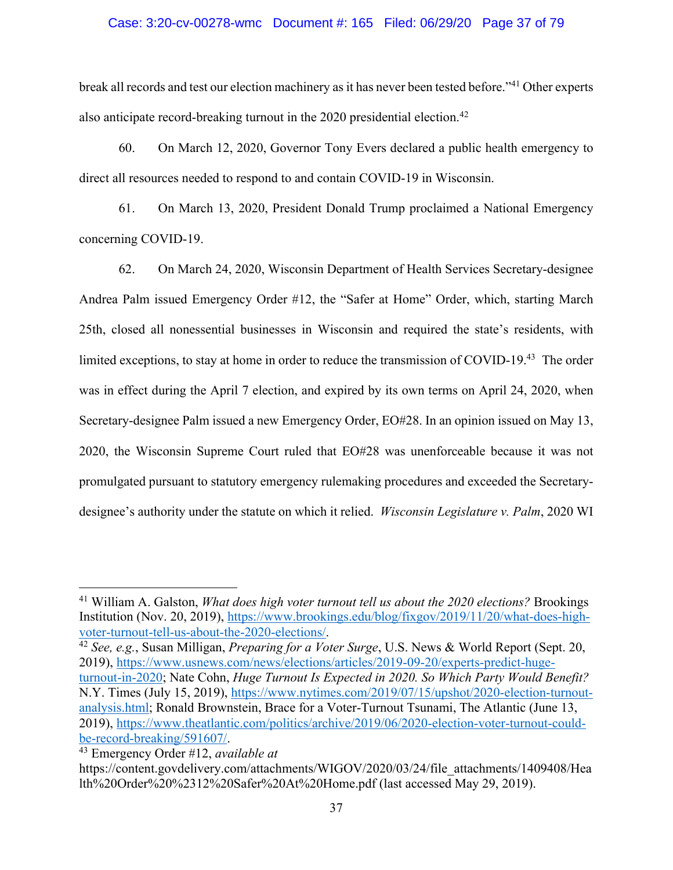## Case: 3:20-cv-00278-wmc Document #: 165 Filed: 06/29/20 Page 37 of 79

break all records and test our election machinery as it has never been tested before."41 Other experts also anticipate record-breaking turnout in the  $2020$  presidential election.<sup>42</sup>

60. On March 12, 2020, Governor Tony Evers declared a public health emergency to direct all resources needed to respond to and contain COVID-19 in Wisconsin.

61. On March 13, 2020, President Donald Trump proclaimed a National Emergency concerning COVID-19.

62. On March 24, 2020, Wisconsin Department of Health Services Secretary-designee Andrea Palm issued Emergency Order #12, the "Safer at Home" Order, which, starting March 25th, closed all nonessential businesses in Wisconsin and required the state's residents, with limited exceptions, to stay at home in order to reduce the transmission of COVID-19.43 The order was in effect during the April 7 election, and expired by its own terms on April 24, 2020, when Secretary-designee Palm issued a new Emergency Order, EO#28. In an opinion issued on May 13, 2020, the Wisconsin Supreme Court ruled that EO#28 was unenforceable because it was not promulgated pursuant to statutory emergency rulemaking procedures and exceeded the Secretarydesignee's authority under the statute on which it relied. *Wisconsin Legislature v. Palm*, 2020 WI

<sup>41</sup> William A. Galston, *What does high voter turnout tell us about the 2020 elections?* Brookings Institution (Nov. 20, 2019), https://www.brookings.edu/blog/fixgov/2019/11/20/what-does-highvoter-turnout-tell-us-about-the-2020-elections/.

<sup>42</sup> *See, e.g.*, Susan Milligan, *Preparing for a Voter Surge*, U.S. News & World Report (Sept. 20, 2019), https://www.usnews.com/news/elections/articles/2019-09-20/experts-predict-huge-

turnout-in-2020; Nate Cohn, *Huge Turnout Is Expected in 2020. So Which Party Would Benefit?*  N.Y. Times (July 15, 2019), https://www.nytimes.com/2019/07/15/upshot/2020-election-turnoutanalysis.html; Ronald Brownstein, Brace for a Voter-Turnout Tsunami, The Atlantic (June 13, 2019), https://www.theatlantic.com/politics/archive/2019/06/2020-election-voter-turnout-couldbe-record-breaking/591607/.

<sup>43</sup> Emergency Order #12, *available at*

https://content.govdelivery.com/attachments/WIGOV/2020/03/24/file\_attachments/1409408/Hea lth%20Order%20%2312%20Safer%20At%20Home.pdf (last accessed May 29, 2019).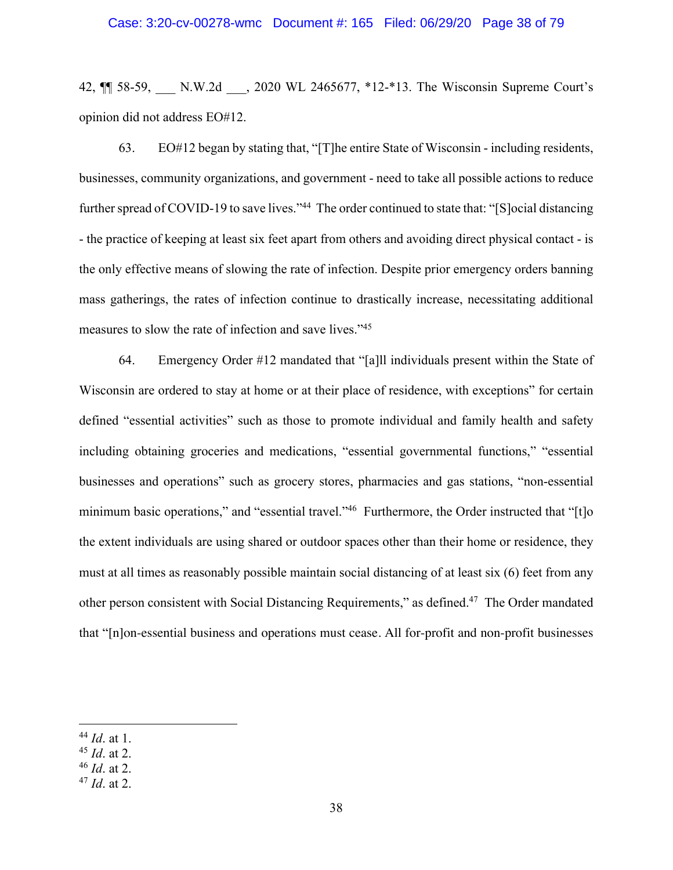#### Case: 3:20-cv-00278-wmc Document #: 165 Filed: 06/29/20 Page 38 of 79

42,  $\P$  58-59, N.W.2d , 2020 WL 2465677, \*12-\*13. The Wisconsin Supreme Court's opinion did not address EO#12.

63. EO#12 began by stating that, "[T]he entire State of Wisconsin - including residents, businesses, community organizations, and government - need to take all possible actions to reduce further spread of COVID-19 to save lives."<sup>44</sup> The order continued to state that: "[S]ocial distancing - the practice of keeping at least six feet apart from others and avoiding direct physical contact - is the only effective means of slowing the rate of infection. Despite prior emergency orders banning mass gatherings, the rates of infection continue to drastically increase, necessitating additional measures to slow the rate of infection and save lives."45

64. Emergency Order #12 mandated that "[a]ll individuals present within the State of Wisconsin are ordered to stay at home or at their place of residence, with exceptions" for certain defined "essential activities" such as those to promote individual and family health and safety including obtaining groceries and medications, "essential governmental functions," "essential businesses and operations" such as grocery stores, pharmacies and gas stations, "non-essential minimum basic operations," and "essential travel."<sup>46</sup> Furthermore, the Order instructed that "[t]o the extent individuals are using shared or outdoor spaces other than their home or residence, they must at all times as reasonably possible maintain social distancing of at least six (6) feet from any other person consistent with Social Distancing Requirements," as defined.47 The Order mandated that "[n]on-essential business and operations must cease. All for-profit and non-profit businesses

<sup>45</sup> *Id*. at 2.

<sup>44</sup> *Id*. at 1.

<sup>46</sup> *Id*. at 2.

<sup>47</sup> *Id*. at 2.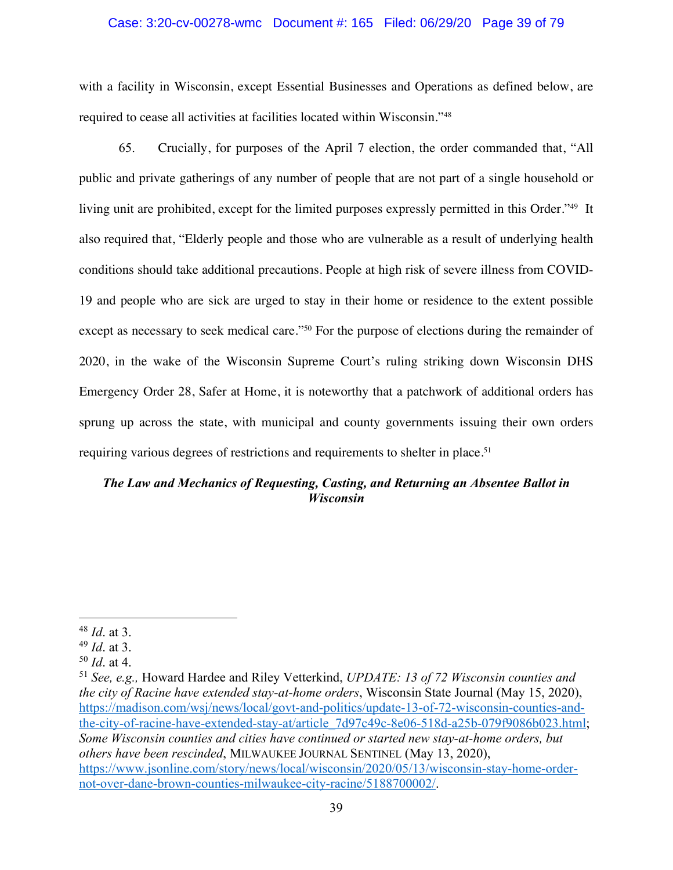### Case: 3:20-cv-00278-wmc Document #: 165 Filed: 06/29/20 Page 39 of 79

with a facility in Wisconsin, except Essential Businesses and Operations as defined below, are required to cease all activities at facilities located within Wisconsin."48

65. Crucially, for purposes of the April 7 election, the order commanded that, "All public and private gatherings of any number of people that are not part of a single household or living unit are prohibited, except for the limited purposes expressly permitted in this Order."<sup>49</sup> It also required that, "Elderly people and those who are vulnerable as a result of underlying health conditions should take additional precautions. People at high risk of severe illness from COVID-19 and people who are sick are urged to stay in their home or residence to the extent possible except as necessary to seek medical care."50 For the purpose of elections during the remainder of 2020, in the wake of the Wisconsin Supreme Court's ruling striking down Wisconsin DHS Emergency Order 28, Safer at Home, it is noteworthy that a patchwork of additional orders has sprung up across the state, with municipal and county governments issuing their own orders requiring various degrees of restrictions and requirements to shelter in place.<sup>51</sup>

# *The Law and Mechanics of Requesting, Casting, and Returning an Absentee Ballot in Wisconsin*

<sup>48</sup> *Id*. at 3.

<sup>49</sup> *Id*. at 3.

<sup>50</sup> *Id*. at 4.

<sup>51</sup> *See, e.g.,* Howard Hardee and Riley Vetterkind, *UPDATE: 13 of 72 Wisconsin counties and the city of Racine have extended stay-at-home orders*, Wisconsin State Journal (May 15, 2020), https://madison.com/wsj/news/local/govt-and-politics/update-13-of-72-wisconsin-counties-andthe-city-of-racine-have-extended-stay-at/article\_7d97c49c-8e06-518d-a25b-079f9086b023.html; *Some Wisconsin counties and cities have continued or started new stay-at-home orders, but others have been rescinded*, MILWAUKEE JOURNAL SENTINEL (May 13, 2020), https://www.jsonline.com/story/news/local/wisconsin/2020/05/13/wisconsin-stay-home-ordernot-over-dane-brown-counties-milwaukee-city-racine/5188700002/.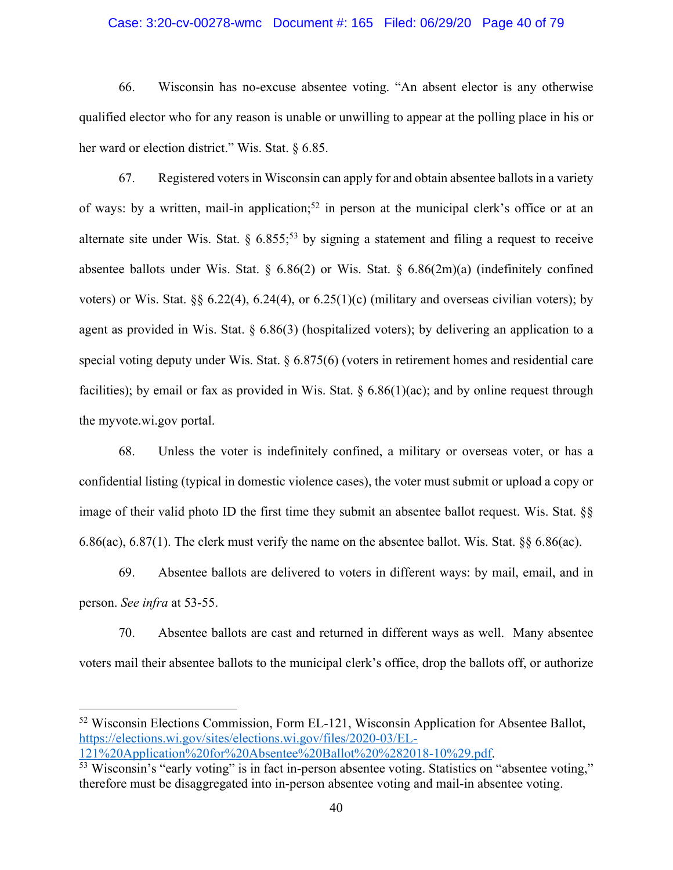### Case: 3:20-cv-00278-wmc Document #: 165 Filed: 06/29/20 Page 40 of 79

66. Wisconsin has no-excuse absentee voting. "An absent elector is any otherwise qualified elector who for any reason is unable or unwilling to appear at the polling place in his or her ward or election district." Wis. Stat. § 6.85.

67. Registered voters in Wisconsin can apply for and obtain absentee ballots in a variety of ways: by a written, mail-in application;<sup>52</sup> in person at the municipal clerk's office or at an alternate site under Wis. Stat.  $\S 6.855$ ;<sup>53</sup> by signing a statement and filing a request to receive absentee ballots under Wis. Stat. §  $6.86(2)$  or Wis. Stat. §  $6.86(2m)(a)$  (indefinitely confined voters) or Wis. Stat. §§ 6.22(4), 6.24(4), or 6.25(1)(c) (military and overseas civilian voters); by agent as provided in Wis. Stat. § 6.86(3) (hospitalized voters); by delivering an application to a special voting deputy under Wis. Stat. § 6.875(6) (voters in retirement homes and residential care facilities); by email or fax as provided in Wis. Stat.  $\S 6.86(1)(ac)$ ; and by online request through the myvote.wi.gov portal.

68. Unless the voter is indefinitely confined, a military or overseas voter, or has a confidential listing (typical in domestic violence cases), the voter must submit or upload a copy or image of their valid photo ID the first time they submit an absentee ballot request. Wis. Stat. §§ 6.86(ac), 6.87(1). The clerk must verify the name on the absentee ballot. Wis. Stat. §§ 6.86(ac).

69. Absentee ballots are delivered to voters in different ways: by mail, email, and in person. *See infra* at 53-55.

70. Absentee ballots are cast and returned in different ways as well. Many absentee voters mail their absentee ballots to the municipal clerk's office, drop the ballots off, or authorize

<sup>52</sup> Wisconsin Elections Commission, Form EL-121, Wisconsin Application for Absentee Ballot, https://elections.wi.gov/sites/elections.wi.gov/files/2020-03/EL-121%20Application%20for%20Absentee%20Ballot%20%282018-10%29.pdf.

<sup>53</sup> Wisconsin's "early voting" is in fact in-person absentee voting. Statistics on "absentee voting," therefore must be disaggregated into in-person absentee voting and mail-in absentee voting.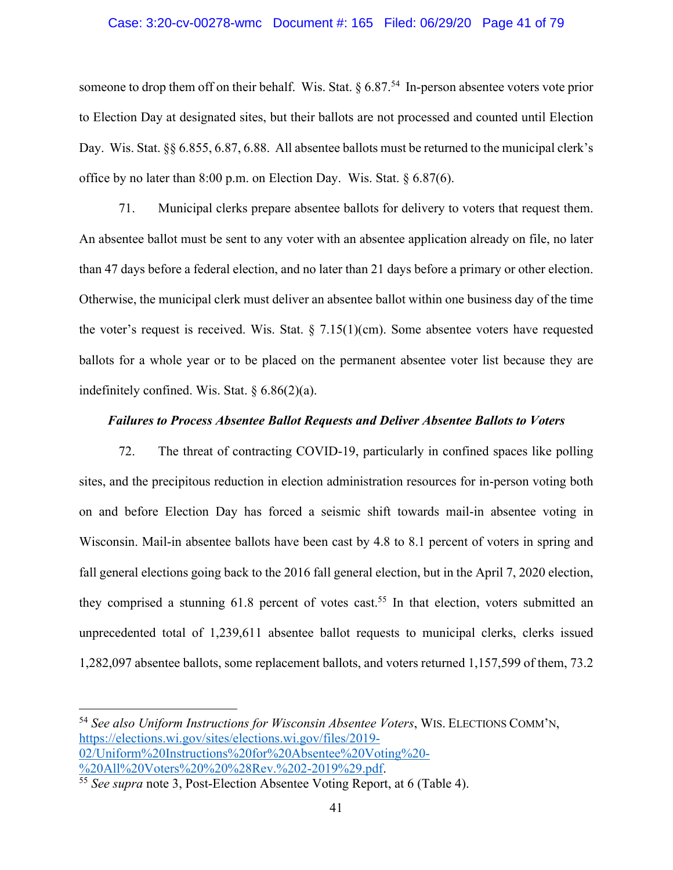#### Case: 3:20-cv-00278-wmc Document #: 165 Filed: 06/29/20 Page 41 of 79

someone to drop them off on their behalf. Wis. Stat.  $\S 6.87<sup>54</sup>$  In-person absentee voters vote prior to Election Day at designated sites, but their ballots are not processed and counted until Election Day. Wis. Stat. §§ 6.855, 6.87, 6.88. All absentee ballots must be returned to the municipal clerk's office by no later than 8:00 p.m. on Election Day. Wis. Stat. § 6.87(6).

71. Municipal clerks prepare absentee ballots for delivery to voters that request them. An absentee ballot must be sent to any voter with an absentee application already on file, no later than 47 days before a federal election, and no later than 21 days before a primary or other election. Otherwise, the municipal clerk must deliver an absentee ballot within one business day of the time the voter's request is received. Wis. Stat.  $\S$  7.15(1)(cm). Some absentee voters have requested ballots for a whole year or to be placed on the permanent absentee voter list because they are indefinitely confined. Wis. Stat.  $§ 6.86(2)(a)$ .

### *Failures to Process Absentee Ballot Requests and Deliver Absentee Ballots to Voters*

72. The threat of contracting COVID-19, particularly in confined spaces like polling sites, and the precipitous reduction in election administration resources for in-person voting both on and before Election Day has forced a seismic shift towards mail-in absentee voting in Wisconsin. Mail-in absentee ballots have been cast by 4.8 to 8.1 percent of voters in spring and fall general elections going back to the 2016 fall general election, but in the April 7, 2020 election, they comprised a stunning  $61.8$  percent of votes cast.<sup>55</sup> In that election, voters submitted an unprecedented total of 1,239,611 absentee ballot requests to municipal clerks, clerks issued 1,282,097 absentee ballots, some replacement ballots, and voters returned 1,157,599 of them, 73.2

<sup>54</sup> *See also Uniform Instructions for Wisconsin Absentee Voters*, WIS. ELECTIONS COMM'N, https://elections.wi.gov/sites/elections.wi.gov/files/2019- 02/Uniform%20Instructions%20for%20Absentee%20Voting%20- %20All%20Voters%20%20%28Rev.%202-2019%29.pdf.

<sup>55</sup> *See supra* note 3, Post-Election Absentee Voting Report, at 6 (Table 4).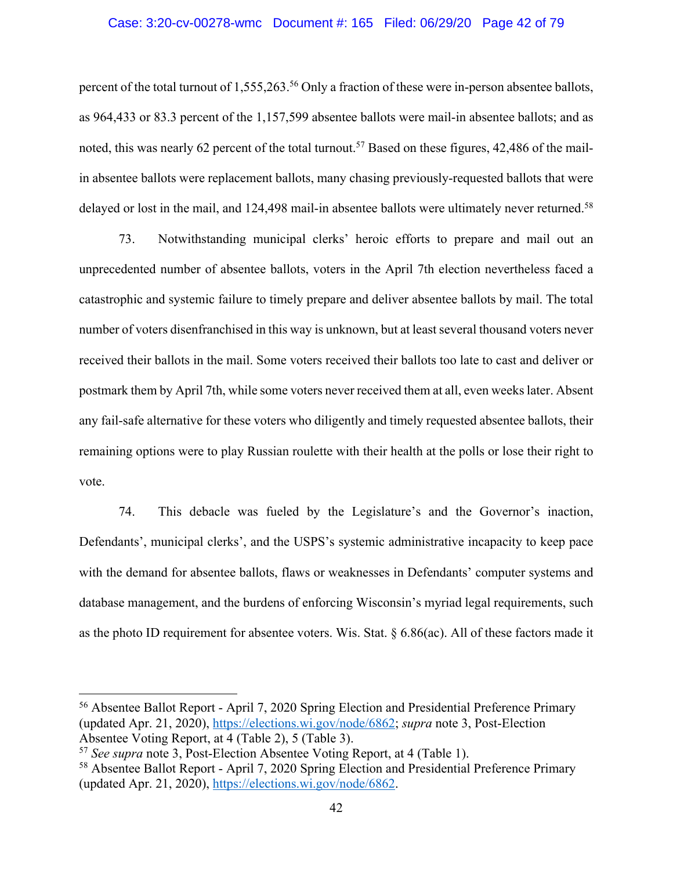#### Case: 3:20-cv-00278-wmc Document #: 165 Filed: 06/29/20 Page 42 of 79

percent of the total turnout of 1,555,263.<sup>56</sup> Only a fraction of these were in-person absentee ballots, as 964,433 or 83.3 percent of the 1,157,599 absentee ballots were mail-in absentee ballots; and as noted, this was nearly 62 percent of the total turnout.<sup>57</sup> Based on these figures, 42,486 of the mailin absentee ballots were replacement ballots, many chasing previously-requested ballots that were delayed or lost in the mail, and 124,498 mail-in absentee ballots were ultimately never returned.<sup>58</sup>

73. Notwithstanding municipal clerks' heroic efforts to prepare and mail out an unprecedented number of absentee ballots, voters in the April 7th election nevertheless faced a catastrophic and systemic failure to timely prepare and deliver absentee ballots by mail. The total number of voters disenfranchised in this way is unknown, but at least several thousand voters never received their ballots in the mail. Some voters received their ballots too late to cast and deliver or postmark them by April 7th, while some voters never received them at all, even weeks later. Absent any fail-safe alternative for these voters who diligently and timely requested absentee ballots, their remaining options were to play Russian roulette with their health at the polls or lose their right to vote.

74. This debacle was fueled by the Legislature's and the Governor's inaction, Defendants', municipal clerks', and the USPS's systemic administrative incapacity to keep pace with the demand for absentee ballots, flaws or weaknesses in Defendants' computer systems and database management, and the burdens of enforcing Wisconsin's myriad legal requirements, such as the photo ID requirement for absentee voters. Wis. Stat. § 6.86(ac). All of these factors made it

<sup>56</sup> Absentee Ballot Report - April 7, 2020 Spring Election and Presidential Preference Primary (updated Apr. 21, 2020), https://elections.wi.gov/node/6862; *supra* note 3, Post-Election Absentee Voting Report, at 4 (Table 2), 5 (Table 3).

<sup>57</sup> *See supra* note 3, Post-Election Absentee Voting Report, at 4 (Table 1).

<sup>58</sup> Absentee Ballot Report - April 7, 2020 Spring Election and Presidential Preference Primary (updated Apr. 21, 2020), https://elections.wi.gov/node/6862.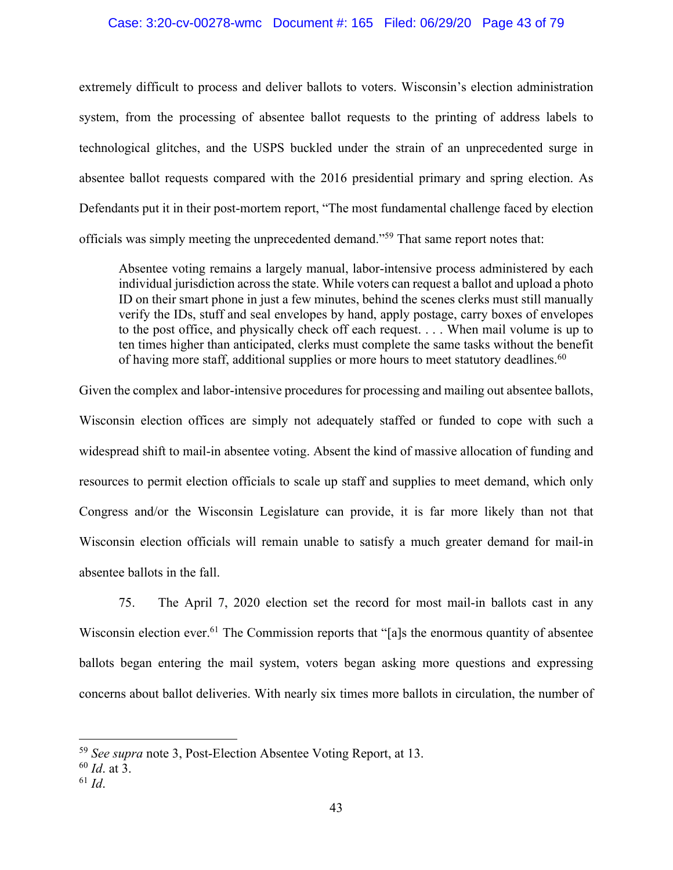### Case: 3:20-cv-00278-wmc Document #: 165 Filed: 06/29/20 Page 43 of 79

extremely difficult to process and deliver ballots to voters. Wisconsin's election administration system, from the processing of absentee ballot requests to the printing of address labels to technological glitches, and the USPS buckled under the strain of an unprecedented surge in absentee ballot requests compared with the 2016 presidential primary and spring election. As Defendants put it in their post-mortem report, "The most fundamental challenge faced by election officials was simply meeting the unprecedented demand."59 That same report notes that:

Absentee voting remains a largely manual, labor-intensive process administered by each individual jurisdiction across the state. While voters can request a ballot and upload a photo ID on their smart phone in just a few minutes, behind the scenes clerks must still manually verify the IDs, stuff and seal envelopes by hand, apply postage, carry boxes of envelopes to the post office, and physically check off each request. . . . When mail volume is up to ten times higher than anticipated, clerks must complete the same tasks without the benefit of having more staff, additional supplies or more hours to meet statutory deadlines.<sup>60</sup>

Given the complex and labor-intensive procedures for processing and mailing out absentee ballots, Wisconsin election offices are simply not adequately staffed or funded to cope with such a widespread shift to mail-in absentee voting. Absent the kind of massive allocation of funding and resources to permit election officials to scale up staff and supplies to meet demand, which only Congress and/or the Wisconsin Legislature can provide, it is far more likely than not that Wisconsin election officials will remain unable to satisfy a much greater demand for mail-in absentee ballots in the fall.

75. The April 7, 2020 election set the record for most mail-in ballots cast in any Wisconsin election ever.<sup>61</sup> The Commission reports that "[a]s the enormous quantity of absentee ballots began entering the mail system, voters began asking more questions and expressing concerns about ballot deliveries. With nearly six times more ballots in circulation, the number of

<sup>59</sup> *See supra* note 3, Post-Election Absentee Voting Report, at 13.

<sup>60</sup> *Id*. at 3.

<sup>61</sup> *Id*.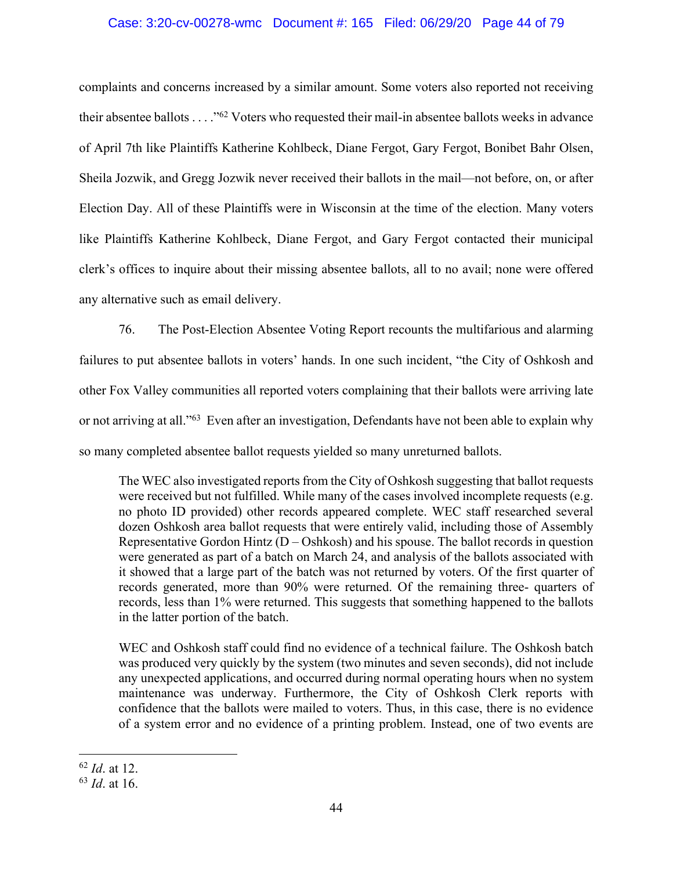## Case: 3:20-cv-00278-wmc Document #: 165 Filed: 06/29/20 Page 44 of 79

complaints and concerns increased by a similar amount. Some voters also reported not receiving their absentee ballots . . . ."62 Voters who requested their mail-in absentee ballots weeks in advance of April 7th like Plaintiffs Katherine Kohlbeck, Diane Fergot, Gary Fergot, Bonibet Bahr Olsen, Sheila Jozwik, and Gregg Jozwik never received their ballots in the mail—not before, on, or after Election Day. All of these Plaintiffs were in Wisconsin at the time of the election. Many voters like Plaintiffs Katherine Kohlbeck, Diane Fergot, and Gary Fergot contacted their municipal clerk's offices to inquire about their missing absentee ballots, all to no avail; none were offered any alternative such as email delivery.

76. The Post-Election Absentee Voting Report recounts the multifarious and alarming failures to put absentee ballots in voters' hands. In one such incident, "the City of Oshkosh and other Fox Valley communities all reported voters complaining that their ballots were arriving late or not arriving at all."63 Even after an investigation, Defendants have not been able to explain why so many completed absentee ballot requests yielded so many unreturned ballots.

The WEC also investigated reports from the City of Oshkosh suggesting that ballot requests were received but not fulfilled. While many of the cases involved incomplete requests (e.g. no photo ID provided) other records appeared complete. WEC staff researched several dozen Oshkosh area ballot requests that were entirely valid, including those of Assembly Representative Gordon Hintz  $(D - Oshkosh)$  and his spouse. The ballot records in question were generated as part of a batch on March 24, and analysis of the ballots associated with it showed that a large part of the batch was not returned by voters. Of the first quarter of records generated, more than 90% were returned. Of the remaining three- quarters of records, less than 1% were returned. This suggests that something happened to the ballots in the latter portion of the batch.

WEC and Oshkosh staff could find no evidence of a technical failure. The Oshkosh batch was produced very quickly by the system (two minutes and seven seconds), did not include any unexpected applications, and occurred during normal operating hours when no system maintenance was underway. Furthermore, the City of Oshkosh Clerk reports with confidence that the ballots were mailed to voters. Thus, in this case, there is no evidence of a system error and no evidence of a printing problem. Instead, one of two events are

<sup>62</sup> *Id*. at 12.

<sup>63</sup> *Id*. at 16.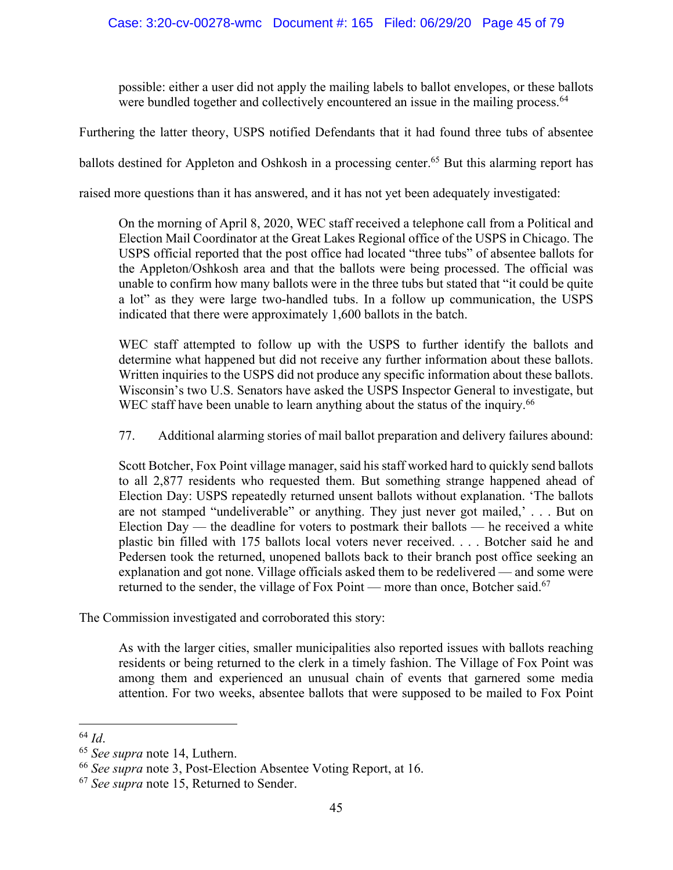possible: either a user did not apply the mailing labels to ballot envelopes, or these ballots were bundled together and collectively encountered an issue in the mailing process.<sup>64</sup>

Furthering the latter theory, USPS notified Defendants that it had found three tubs of absentee

ballots destined for Appleton and Oshkosh in a processing center.<sup>65</sup> But this alarming report has

raised more questions than it has answered, and it has not yet been adequately investigated:

On the morning of April 8, 2020, WEC staff received a telephone call from a Political and Election Mail Coordinator at the Great Lakes Regional office of the USPS in Chicago. The USPS official reported that the post office had located "three tubs" of absentee ballots for the Appleton/Oshkosh area and that the ballots were being processed. The official was unable to confirm how many ballots were in the three tubs but stated that "it could be quite a lot" as they were large two-handled tubs. In a follow up communication, the USPS indicated that there were approximately 1,600 ballots in the batch.

WEC staff attempted to follow up with the USPS to further identify the ballots and determine what happened but did not receive any further information about these ballots. Written inquiries to the USPS did not produce any specific information about these ballots. Wisconsin's two U.S. Senators have asked the USPS Inspector General to investigate, but WEC staff have been unable to learn anything about the status of the inquiry.<sup>66</sup>

77. Additional alarming stories of mail ballot preparation and delivery failures abound:

Scott Botcher, Fox Point village manager, said his staff worked hard to quickly send ballots to all 2,877 residents who requested them. But something strange happened ahead of Election Day: USPS repeatedly returned unsent ballots without explanation. 'The ballots are not stamped "undeliverable" or anything. They just never got mailed,' . . . But on Election Day — the deadline for voters to postmark their ballots — he received a white plastic bin filled with 175 ballots local voters never received. . . . Botcher said he and Pedersen took the returned, unopened ballots back to their branch post office seeking an explanation and got none. Village officials asked them to be redelivered — and some were returned to the sender, the village of Fox Point — more than once, Botcher said.<sup>67</sup>

The Commission investigated and corroborated this story:

As with the larger cities, smaller municipalities also reported issues with ballots reaching residents or being returned to the clerk in a timely fashion. The Village of Fox Point was among them and experienced an unusual chain of events that garnered some media attention. For two weeks, absentee ballots that were supposed to be mailed to Fox Point

<sup>64</sup> *Id*. 65 *See supra* note 14, Luthern.

<sup>66</sup> *See supra* note 3, Post-Election Absentee Voting Report, at 16.

<sup>67</sup> *See supra* note 15, Returned to Sender.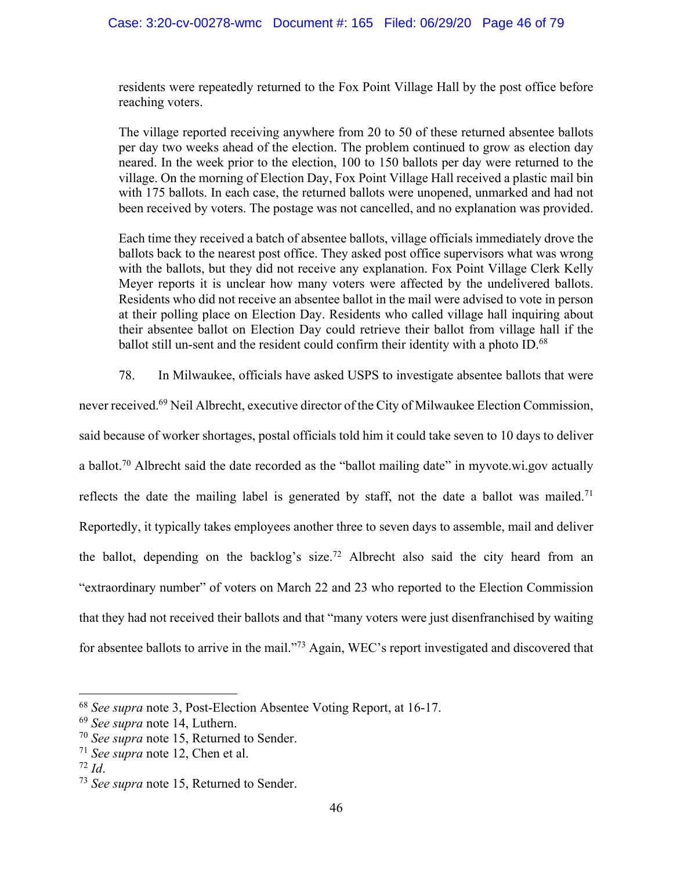residents were repeatedly returned to the Fox Point Village Hall by the post office before reaching voters.

The village reported receiving anywhere from 20 to 50 of these returned absentee ballots per day two weeks ahead of the election. The problem continued to grow as election day neared. In the week prior to the election, 100 to 150 ballots per day were returned to the village. On the morning of Election Day, Fox Point Village Hall received a plastic mail bin with 175 ballots. In each case, the returned ballots were unopened, unmarked and had not been received by voters. The postage was not cancelled, and no explanation was provided.

Each time they received a batch of absentee ballots, village officials immediately drove the ballots back to the nearest post office. They asked post office supervisors what was wrong with the ballots, but they did not receive any explanation. Fox Point Village Clerk Kelly Meyer reports it is unclear how many voters were affected by the undelivered ballots. Residents who did not receive an absentee ballot in the mail were advised to vote in person at their polling place on Election Day. Residents who called village hall inquiring about their absentee ballot on Election Day could retrieve their ballot from village hall if the ballot still un-sent and the resident could confirm their identity with a photo ID.<sup>68</sup>

78. In Milwaukee, officials have asked USPS to investigate absentee ballots that were

never received.69 Neil Albrecht, executive director of the City of Milwaukee Election Commission,

said because of worker shortages, postal officials told him it could take seven to 10 days to deliver a ballot.<sup>70</sup> Albrecht said the date recorded as the "ballot mailing date" in myvote.wi.gov actually reflects the date the mailing label is generated by staff, not the date a ballot was mailed.<sup>71</sup> Reportedly, it typically takes employees another three to seven days to assemble, mail and deliver the ballot, depending on the backlog's size.<sup>72</sup> Albrecht also said the city heard from an "extraordinary number" of voters on March 22 and 23 who reported to the Election Commission that they had not received their ballots and that "many voters were just disenfranchised by waiting for absentee ballots to arrive in the mail."73 Again, WEC's report investigated and discovered that

<sup>68</sup> *See supra* note 3, Post-Election Absentee Voting Report, at 16-17.

<sup>69</sup> *See supra* note 14, Luthern.

<sup>70</sup> *See supra* note 15, Returned to Sender.

<sup>71</sup> *See supra* note 12, Chen et al.

<sup>72</sup> *Id*.

<sup>73</sup> *See supra* note 15, Returned to Sender.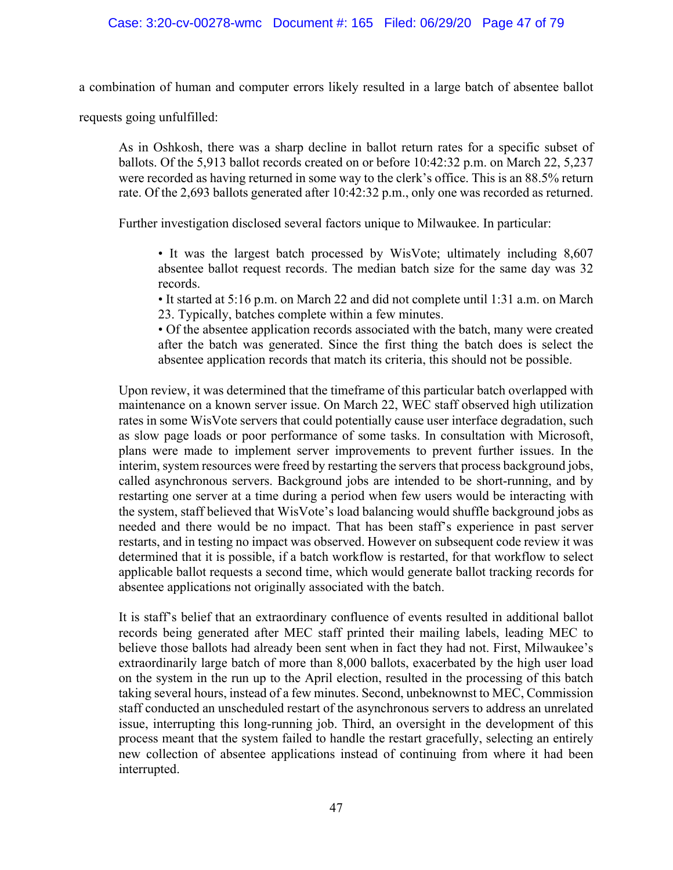a combination of human and computer errors likely resulted in a large batch of absentee ballot

requests going unfulfilled:

As in Oshkosh, there was a sharp decline in ballot return rates for a specific subset of ballots. Of the 5,913 ballot records created on or before 10:42:32 p.m. on March 22, 5,237 were recorded as having returned in some way to the clerk's office. This is an 88.5% return rate. Of the 2,693 ballots generated after 10:42:32 p.m., only one was recorded as returned.

Further investigation disclosed several factors unique to Milwaukee. In particular:

• It was the largest batch processed by WisVote; ultimately including 8,607 absentee ballot request records. The median batch size for the same day was 32 records.

• It started at 5:16 p.m. on March 22 and did not complete until 1:31 a.m. on March 23. Typically, batches complete within a few minutes.

• Of the absentee application records associated with the batch, many were created after the batch was generated. Since the first thing the batch does is select the absentee application records that match its criteria, this should not be possible.

Upon review, it was determined that the timeframe of this particular batch overlapped with maintenance on a known server issue. On March 22, WEC staff observed high utilization rates in some WisVote servers that could potentially cause user interface degradation, such as slow page loads or poor performance of some tasks. In consultation with Microsoft, plans were made to implement server improvements to prevent further issues. In the interim, system resources were freed by restarting the servers that process background jobs, called asynchronous servers. Background jobs are intended to be short-running, and by restarting one server at a time during a period when few users would be interacting with the system, staff believed that WisVote's load balancing would shuffle background jobs as needed and there would be no impact. That has been staff's experience in past server restarts, and in testing no impact was observed. However on subsequent code review it was determined that it is possible, if a batch workflow is restarted, for that workflow to select applicable ballot requests a second time, which would generate ballot tracking records for absentee applications not originally associated with the batch.

It is staff's belief that an extraordinary confluence of events resulted in additional ballot records being generated after MEC staff printed their mailing labels, leading MEC to believe those ballots had already been sent when in fact they had not. First, Milwaukee's extraordinarily large batch of more than 8,000 ballots, exacerbated by the high user load on the system in the run up to the April election, resulted in the processing of this batch taking several hours, instead of a few minutes. Second, unbeknownst to MEC, Commission staff conducted an unscheduled restart of the asynchronous servers to address an unrelated issue, interrupting this long-running job. Third, an oversight in the development of this process meant that the system failed to handle the restart gracefully, selecting an entirely new collection of absentee applications instead of continuing from where it had been interrupted.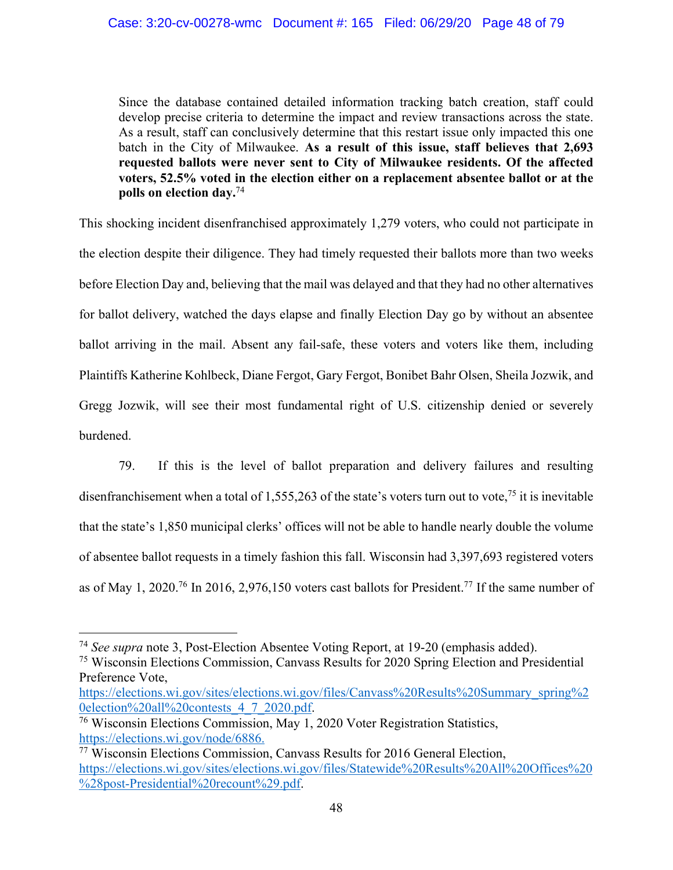Since the database contained detailed information tracking batch creation, staff could develop precise criteria to determine the impact and review transactions across the state. As a result, staff can conclusively determine that this restart issue only impacted this one batch in the City of Milwaukee. **As a result of this issue, staff believes that 2,693 requested ballots were never sent to City of Milwaukee residents. Of the affected voters, 52.5% voted in the election either on a replacement absentee ballot or at the polls on election day.**<sup>74</sup>

This shocking incident disenfranchised approximately 1,279 voters, who could not participate in the election despite their diligence. They had timely requested their ballots more than two weeks before Election Day and, believing that the mail was delayed and that they had no other alternatives for ballot delivery, watched the days elapse and finally Election Day go by without an absentee ballot arriving in the mail. Absent any fail-safe, these voters and voters like them, including Plaintiffs Katherine Kohlbeck, Diane Fergot, Gary Fergot, Bonibet Bahr Olsen, Sheila Jozwik, and Gregg Jozwik, will see their most fundamental right of U.S. citizenship denied or severely burdened.

79. If this is the level of ballot preparation and delivery failures and resulting disenfranchisement when a total of 1,555,263 of the state's voters turn out to vote,<sup>75</sup> it is inevitable that the state's 1,850 municipal clerks' offices will not be able to handle nearly double the volume of absentee ballot requests in a timely fashion this fall. Wisconsin had 3,397,693 registered voters as of May 1, 2020.<sup>76</sup> In 2016, 2,976,150 voters cast ballots for President.<sup>77</sup> If the same number of

<sup>74</sup> *See supra* note 3, Post-Election Absentee Voting Report, at 19-20 (emphasis added).

<sup>75</sup> Wisconsin Elections Commission, Canvass Results for 2020 Spring Election and Presidential Preference Vote,

https://elections.wi.gov/sites/elections.wi.gov/files/Canvass%20Results%20Summary\_spring%2 0election%20all%20contests\_4\_7\_2020.pdf.

 $\frac{76}{10}$  Wisconsin Elections Commission, May 1, 2020 Voter Registration Statistics, https://elections.wi.gov/node/6886.

<sup>77</sup> Wisconsin Elections Commission, Canvass Results for 2016 General Election, https://elections.wi.gov/sites/elections.wi.gov/files/Statewide%20Results%20All%20Offices%20 %28post-Presidential%20recount%29.pdf.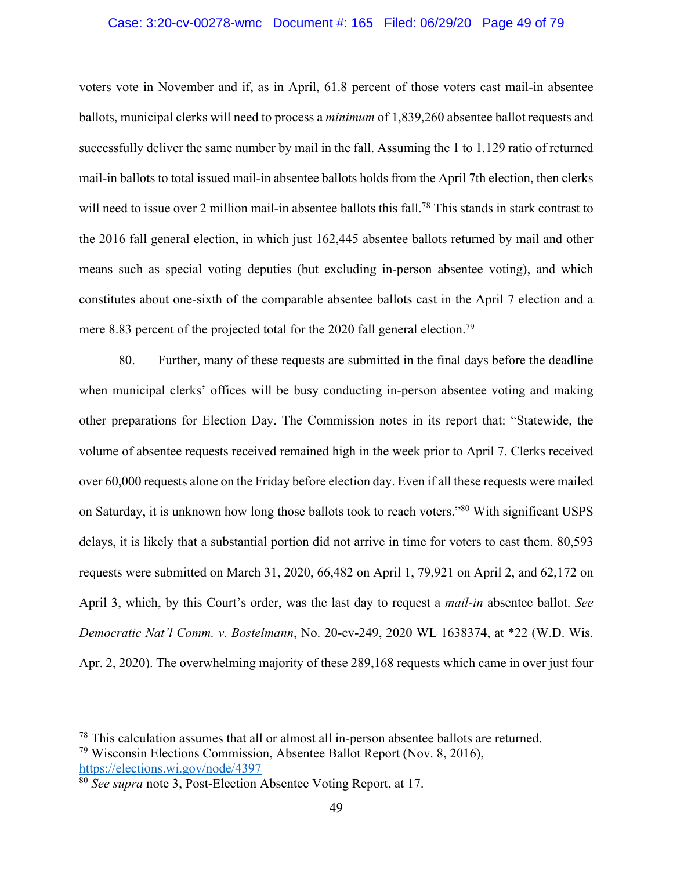#### Case: 3:20-cv-00278-wmc Document #: 165 Filed: 06/29/20 Page 49 of 79

voters vote in November and if, as in April, 61.8 percent of those voters cast mail-in absentee ballots, municipal clerks will need to process a *minimum* of 1,839,260 absentee ballot requests and successfully deliver the same number by mail in the fall. Assuming the 1 to 1.129 ratio of returned mail-in ballots to total issued mail-in absentee ballots holds from the April 7th election, then clerks will need to issue over 2 million mail-in absentee ballots this fall.<sup>78</sup> This stands in stark contrast to the 2016 fall general election, in which just 162,445 absentee ballots returned by mail and other means such as special voting deputies (but excluding in-person absentee voting), and which constitutes about one-sixth of the comparable absentee ballots cast in the April 7 election and a mere 8.83 percent of the projected total for the 2020 fall general election.<sup>79</sup>

80. Further, many of these requests are submitted in the final days before the deadline when municipal clerks' offices will be busy conducting in-person absentee voting and making other preparations for Election Day. The Commission notes in its report that: "Statewide, the volume of absentee requests received remained high in the week prior to April 7. Clerks received over 60,000 requests alone on the Friday before election day. Even if all these requests were mailed on Saturday, it is unknown how long those ballots took to reach voters."80 With significant USPS delays, it is likely that a substantial portion did not arrive in time for voters to cast them. 80,593 requests were submitted on March 31, 2020, 66,482 on April 1, 79,921 on April 2, and 62,172 on April 3, which, by this Court's order, was the last day to request a *mail-in* absentee ballot. *See Democratic Nat'l Comm. v. Bostelmann*, No. 20-cv-249, 2020 WL 1638374, at \*22 (W.D. Wis. Apr. 2, 2020). The overwhelming majority of these 289,168 requests which came in over just four

 $78$  This calculation assumes that all or almost all in-person absentee ballots are returned.

<sup>79</sup> Wisconsin Elections Commission, Absentee Ballot Report (Nov. 8, 2016), https://elections.wi.gov/node/4397

<sup>80</sup> *See supra* note 3, Post-Election Absentee Voting Report, at 17.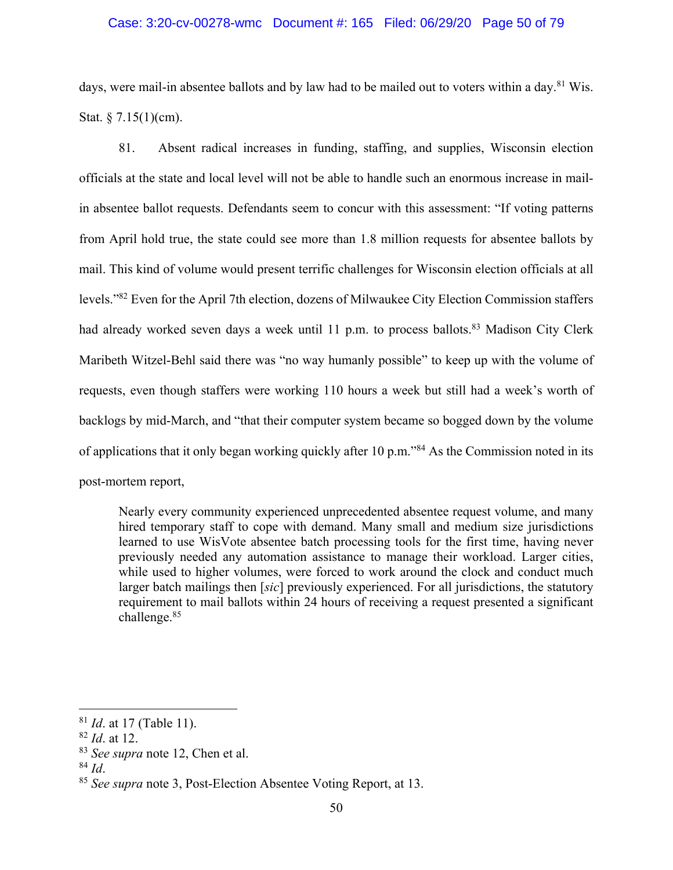### Case: 3:20-cv-00278-wmc Document #: 165 Filed: 06/29/20 Page 50 of 79

days, were mail-in absentee ballots and by law had to be mailed out to voters within a day.<sup>81</sup> Wis. Stat.  $§ 7.15(1)(cm)$ .

81. Absent radical increases in funding, staffing, and supplies, Wisconsin election officials at the state and local level will not be able to handle such an enormous increase in mailin absentee ballot requests. Defendants seem to concur with this assessment: "If voting patterns from April hold true, the state could see more than 1.8 million requests for absentee ballots by mail. This kind of volume would present terrific challenges for Wisconsin election officials at all levels."82 Even for the April 7th election, dozens of Milwaukee City Election Commission staffers had already worked seven days a week until 11 p.m. to process ballots.<sup>83</sup> Madison City Clerk Maribeth Witzel-Behl said there was "no way humanly possible" to keep up with the volume of requests, even though staffers were working 110 hours a week but still had a week's worth of backlogs by mid-March, and "that their computer system became so bogged down by the volume of applications that it only began working quickly after 10 p.m."84 As the Commission noted in its post-mortem report,

Nearly every community experienced unprecedented absentee request volume, and many hired temporary staff to cope with demand. Many small and medium size jurisdictions learned to use WisVote absentee batch processing tools for the first time, having never previously needed any automation assistance to manage their workload. Larger cities, while used to higher volumes, were forced to work around the clock and conduct much larger batch mailings then [*sic*] previously experienced. For all jurisdictions, the statutory requirement to mail ballots within 24 hours of receiving a request presented a significant challenge.85

<sup>81</sup> *Id*. at 17 (Table 11).

<sup>82</sup> *Id*. at 12.

<sup>83</sup> *See supra* note 12, Chen et al.

<sup>84</sup> *Id*.

<sup>85</sup> *See supra* note 3, Post-Election Absentee Voting Report, at 13.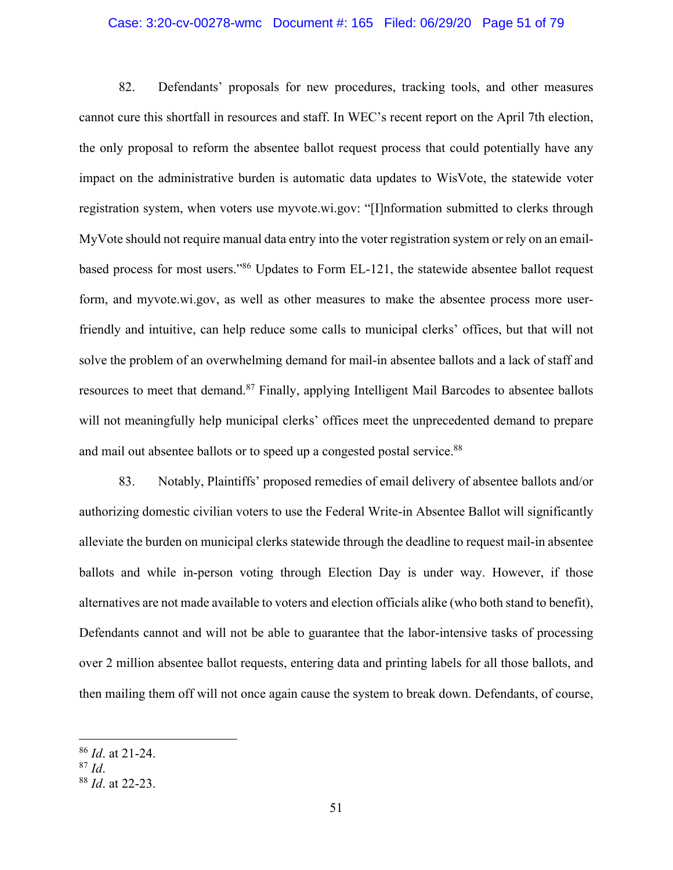## Case: 3:20-cv-00278-wmc Document #: 165 Filed: 06/29/20 Page 51 of 79

82. Defendants' proposals for new procedures, tracking tools, and other measures cannot cure this shortfall in resources and staff. In WEC's recent report on the April 7th election, the only proposal to reform the absentee ballot request process that could potentially have any impact on the administrative burden is automatic data updates to WisVote, the statewide voter registration system, when voters use myvote.wi.gov: "[I]nformation submitted to clerks through MyVote should not require manual data entry into the voter registration system or rely on an emailbased process for most users."86 Updates to Form EL-121, the statewide absentee ballot request form, and myvote.wi.gov, as well as other measures to make the absentee process more userfriendly and intuitive, can help reduce some calls to municipal clerks' offices, but that will not solve the problem of an overwhelming demand for mail-in absentee ballots and a lack of staff and resources to meet that demand.<sup>87</sup> Finally, applying Intelligent Mail Barcodes to absentee ballots will not meaningfully help municipal clerks' offices meet the unprecedented demand to prepare and mail out absentee ballots or to speed up a congested postal service.<sup>88</sup>

83. Notably, Plaintiffs' proposed remedies of email delivery of absentee ballots and/or authorizing domestic civilian voters to use the Federal Write-in Absentee Ballot will significantly alleviate the burden on municipal clerks statewide through the deadline to request mail-in absentee ballots and while in-person voting through Election Day is under way. However, if those alternatives are not made available to voters and election officials alike (who both stand to benefit), Defendants cannot and will not be able to guarantee that the labor-intensive tasks of processing over 2 million absentee ballot requests, entering data and printing labels for all those ballots, and then mailing them off will not once again cause the system to break down. Defendants, of course,

<sup>86</sup> *Id*. at 21-24.

<sup>87</sup> *Id*.

<sup>88</sup> *Id*. at 22-23.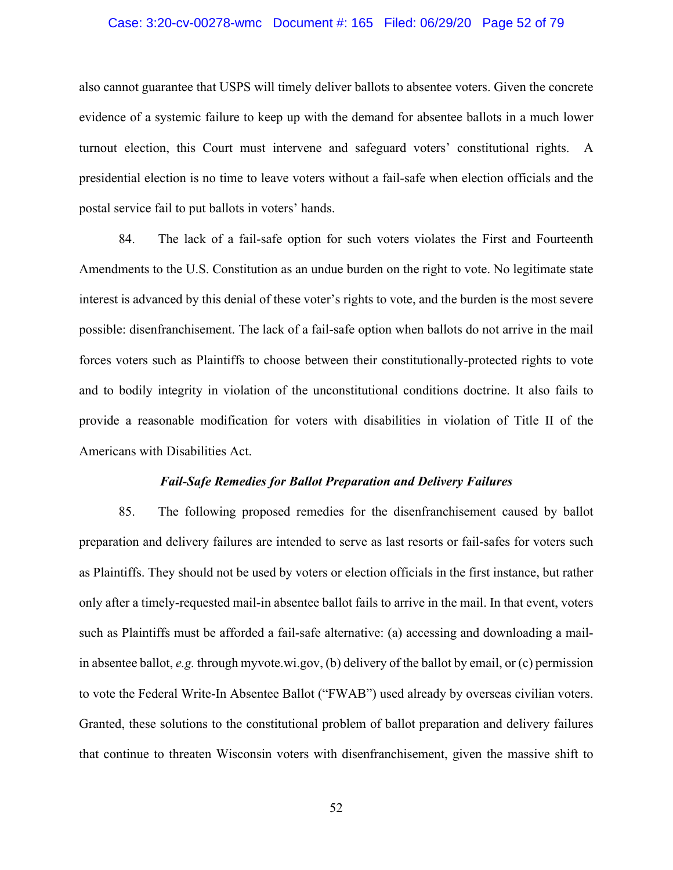## Case: 3:20-cv-00278-wmc Document #: 165 Filed: 06/29/20 Page 52 of 79

also cannot guarantee that USPS will timely deliver ballots to absentee voters. Given the concrete evidence of a systemic failure to keep up with the demand for absentee ballots in a much lower turnout election, this Court must intervene and safeguard voters' constitutional rights. A presidential election is no time to leave voters without a fail-safe when election officials and the postal service fail to put ballots in voters' hands.

84. The lack of a fail-safe option for such voters violates the First and Fourteenth Amendments to the U.S. Constitution as an undue burden on the right to vote. No legitimate state interest is advanced by this denial of these voter's rights to vote, and the burden is the most severe possible: disenfranchisement. The lack of a fail-safe option when ballots do not arrive in the mail forces voters such as Plaintiffs to choose between their constitutionally-protected rights to vote and to bodily integrity in violation of the unconstitutional conditions doctrine. It also fails to provide a reasonable modification for voters with disabilities in violation of Title II of the Americans with Disabilities Act.

#### *Fail-Safe Remedies for Ballot Preparation and Delivery Failures*

85. The following proposed remedies for the disenfranchisement caused by ballot preparation and delivery failures are intended to serve as last resorts or fail-safes for voters such as Plaintiffs. They should not be used by voters or election officials in the first instance, but rather only after a timely-requested mail-in absentee ballot fails to arrive in the mail. In that event, voters such as Plaintiffs must be afforded a fail-safe alternative: (a) accessing and downloading a mailin absentee ballot, *e.g.* through myvote.wi.gov, (b) delivery of the ballot by email, or (c) permission to vote the Federal Write-In Absentee Ballot ("FWAB") used already by overseas civilian voters. Granted, these solutions to the constitutional problem of ballot preparation and delivery failures that continue to threaten Wisconsin voters with disenfranchisement, given the massive shift to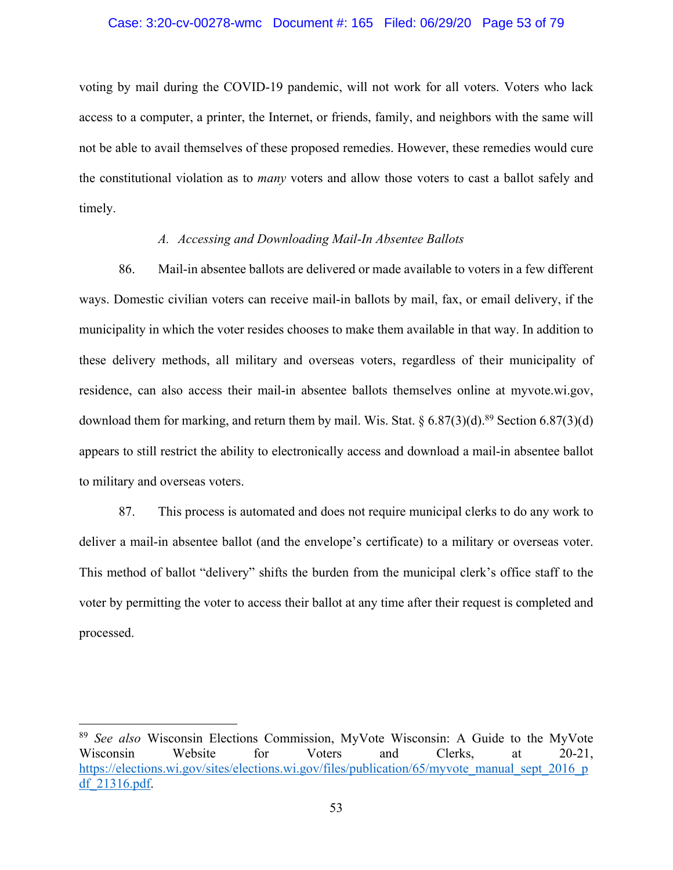#### Case: 3:20-cv-00278-wmc Document #: 165 Filed: 06/29/20 Page 53 of 79

voting by mail during the COVID-19 pandemic, will not work for all voters. Voters who lack access to a computer, a printer, the Internet, or friends, family, and neighbors with the same will not be able to avail themselves of these proposed remedies. However, these remedies would cure the constitutional violation as to *many* voters and allow those voters to cast a ballot safely and timely.

### *A. Accessing and Downloading Mail-In Absentee Ballots*

86. Mail-in absentee ballots are delivered or made available to voters in a few different ways. Domestic civilian voters can receive mail-in ballots by mail, fax, or email delivery, if the municipality in which the voter resides chooses to make them available in that way. In addition to these delivery methods, all military and overseas voters, regardless of their municipality of residence, can also access their mail-in absentee ballots themselves online at myvote.wi.gov, download them for marking, and return them by mail. Wis. Stat.  $\S 6.87(3)(d)$ .<sup>89</sup> Section 6.87(3)(d) appears to still restrict the ability to electronically access and download a mail-in absentee ballot to military and overseas voters.

87. This process is automated and does not require municipal clerks to do any work to deliver a mail-in absentee ballot (and the envelope's certificate) to a military or overseas voter. This method of ballot "delivery" shifts the burden from the municipal clerk's office staff to the voter by permitting the voter to access their ballot at any time after their request is completed and processed.

<sup>89</sup> *See also* Wisconsin Elections Commission, MyVote Wisconsin: A Guide to the MyVote Wisconsin Website for Voters and Clerks, at 20-21, https://elections.wi.gov/sites/elections.wi.gov/files/publication/65/myvote\_manual\_sept\_2016\_p df\_21316.pdf.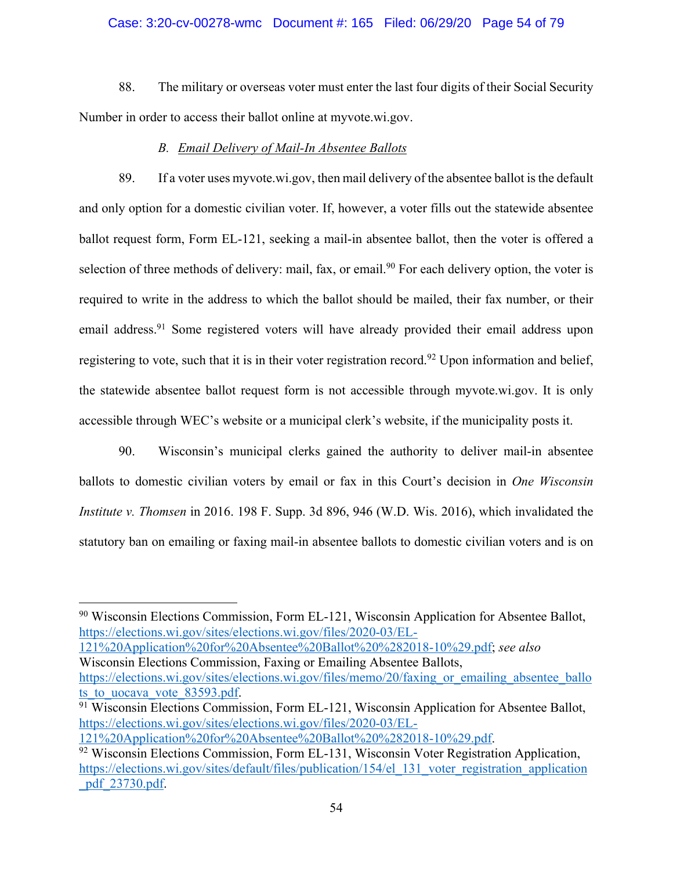### Case: 3:20-cv-00278-wmc Document #: 165 Filed: 06/29/20 Page 54 of 79

88. The military or overseas voter must enter the last four digits of their Social Security Number in order to access their ballot online at myvote.wi.gov.

## *B. Email Delivery of Mail-In Absentee Ballots*

89. If a voter uses myvote.wi.gov, then mail delivery of the absentee ballot is the default and only option for a domestic civilian voter. If, however, a voter fills out the statewide absentee ballot request form, Form EL-121, seeking a mail-in absentee ballot, then the voter is offered a selection of three methods of delivery: mail, fax, or email.<sup>90</sup> For each delivery option, the voter is required to write in the address to which the ballot should be mailed, their fax number, or their email address.<sup>91</sup> Some registered voters will have already provided their email address upon registering to vote, such that it is in their voter registration record.<sup>92</sup> Upon information and belief, the statewide absentee ballot request form is not accessible through myvote.wi.gov. It is only accessible through WEC's website or a municipal clerk's website, if the municipality posts it.

90. Wisconsin's municipal clerks gained the authority to deliver mail-in absentee ballots to domestic civilian voters by email or fax in this Court's decision in *One Wisconsin Institute v. Thomsen* in 2016. 198 F. Supp. 3d 896, 946 (W.D. Wis. 2016), which invalidated the statutory ban on emailing or faxing mail-in absentee ballots to domestic civilian voters and is on

121%20Application%20for%20Absentee%20Ballot%20%282018-10%29.pdf; *see also*  Wisconsin Elections Commission, Faxing or Emailing Absentee Ballots, https://elections.wi.gov/sites/elections.wi.gov/files/memo/20/faxing\_or\_emailing\_absentee\_ballo

ts to uocava vote 83593.pdf.  $91$  Wisconsin Elections Commission, Form EL-121, Wisconsin Application for Absentee Ballot, https://elections.wi.gov/sites/elections.wi.gov/files/2020-03/EL-

<sup>90</sup> Wisconsin Elections Commission, Form EL-121, Wisconsin Application for Absentee Ballot, https://elections.wi.gov/sites/elections.wi.gov/files/2020-03/EL-

<sup>121%20</sup>Application%20for%20Absentee%20Ballot%20%282018-10%29.pdf.

<sup>&</sup>lt;sup>92</sup> Wisconsin Elections Commission, Form EL-131, Wisconsin Voter Registration Application, https://elections.wi.gov/sites/default/files/publication/154/el\_131\_voter\_registration\_application \_pdf\_23730.pdf.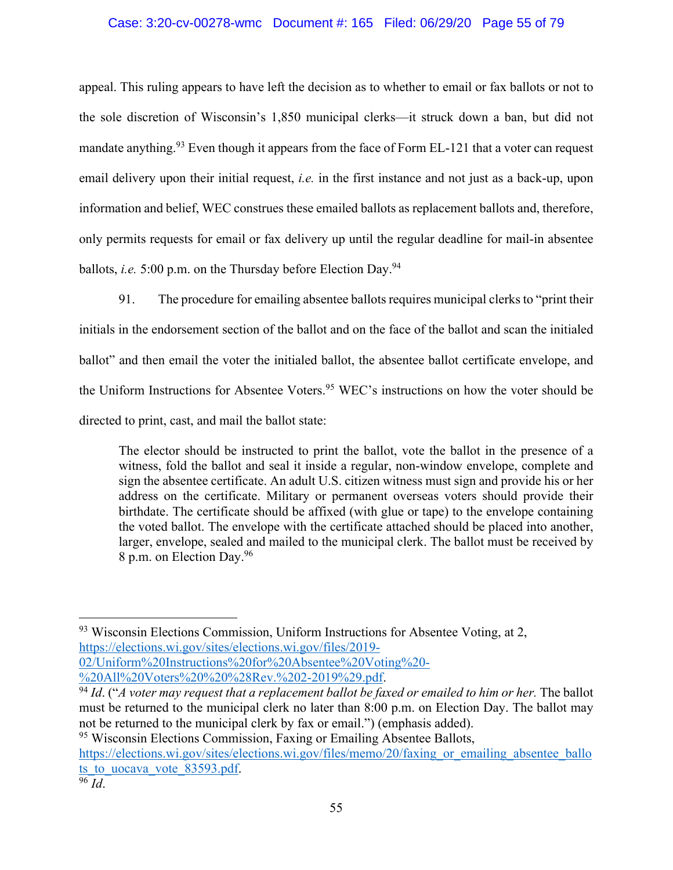## Case: 3:20-cv-00278-wmc Document #: 165 Filed: 06/29/20 Page 55 of 79

appeal. This ruling appears to have left the decision as to whether to email or fax ballots or not to the sole discretion of Wisconsin's 1,850 municipal clerks—it struck down a ban, but did not mandate anything.<sup>93</sup> Even though it appears from the face of Form EL-121 that a voter can request email delivery upon their initial request, *i.e.* in the first instance and not just as a back-up, upon information and belief, WEC construes these emailed ballots as replacement ballots and, therefore, only permits requests for email or fax delivery up until the regular deadline for mail-in absentee ballots, *i.e.* 5:00 p.m. on the Thursday before Election Day.<sup>94</sup>

91. The procedure for emailing absentee ballots requires municipal clerks to "print their initials in the endorsement section of the ballot and on the face of the ballot and scan the initialed ballot" and then email the voter the initialed ballot, the absentee ballot certificate envelope, and the Uniform Instructions for Absentee Voters.<sup>95</sup> WEC's instructions on how the voter should be directed to print, cast, and mail the ballot state:

The elector should be instructed to print the ballot, vote the ballot in the presence of a witness, fold the ballot and seal it inside a regular, non-window envelope, complete and sign the absentee certificate. An adult U.S. citizen witness must sign and provide his or her address on the certificate. Military or permanent overseas voters should provide their birthdate. The certificate should be affixed (with glue or tape) to the envelope containing the voted ballot. The envelope with the certificate attached should be placed into another, larger, envelope, sealed and mailed to the municipal clerk. The ballot must be received by 8 p.m. on Election Day.96

<sup>95</sup> Wisconsin Elections Commission, Faxing or Emailing Absentee Ballots, https://elections.wi.gov/sites/elections.wi.gov/files/memo/20/faxing or emailing absentee ballo ts to uocava vote 83593.pdf.  $96 \overline{Id}$ .

 $93$  Wisconsin Elections Commission, Uniform Instructions for Absentee Voting, at 2, https://elections.wi.gov/sites/elections.wi.gov/files/2019-

<sup>02/</sup>Uniform%20Instructions%20for%20Absentee%20Voting%20-

<sup>%20</sup>All%20Voters%20%20%28Rev.%202-2019%29.pdf. 94 *Id*. ("*A voter may request that a replacement ballot be faxed or emailed to him or her.* The ballot must be returned to the municipal clerk no later than 8:00 p.m. on Election Day. The ballot may not be returned to the municipal clerk by fax or email.") (emphasis added).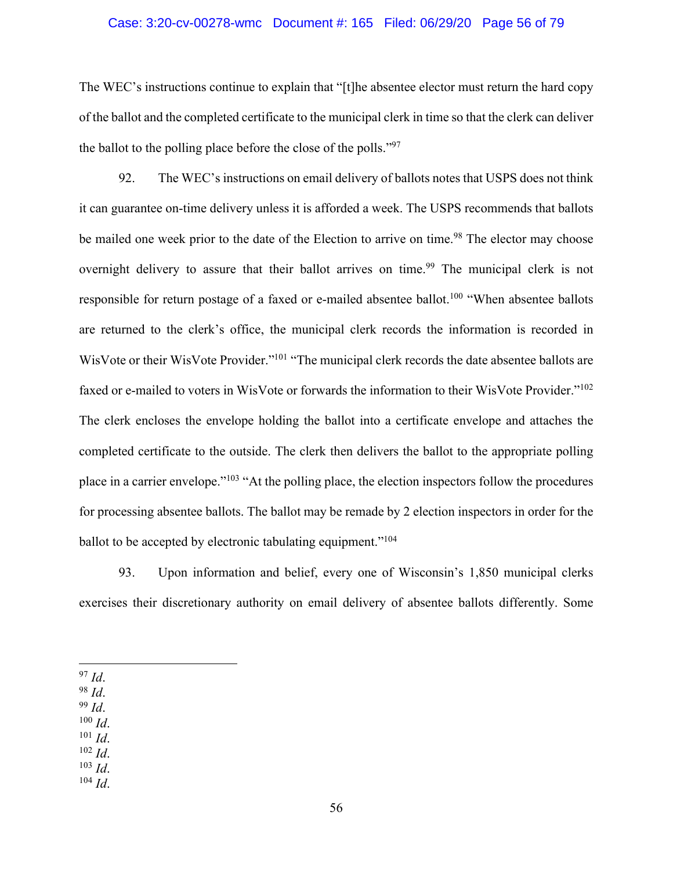#### Case: 3:20-cv-00278-wmc Document #: 165 Filed: 06/29/20 Page 56 of 79

The WEC's instructions continue to explain that "[t]he absentee elector must return the hard copy of the ballot and the completed certificate to the municipal clerk in time so that the clerk can deliver the ballot to the polling place before the close of the polls."97

92. The WEC's instructions on email delivery of ballots notes that USPS does not think it can guarantee on-time delivery unless it is afforded a week. The USPS recommends that ballots be mailed one week prior to the date of the Election to arrive on time.<sup>98</sup> The elector may choose overnight delivery to assure that their ballot arrives on time.<sup>99</sup> The municipal clerk is not responsible for return postage of a faxed or e-mailed absentee ballot.<sup>100</sup> "When absentee ballots are returned to the clerk's office, the municipal clerk records the information is recorded in WisVote or their WisVote Provider."101 "The municipal clerk records the date absentee ballots are faxed or e-mailed to voters in WisVote or forwards the information to their WisVote Provider."102 The clerk encloses the envelope holding the ballot into a certificate envelope and attaches the completed certificate to the outside. The clerk then delivers the ballot to the appropriate polling place in a carrier envelope."103 "At the polling place, the election inspectors follow the procedures for processing absentee ballots. The ballot may be remade by 2 election inspectors in order for the ballot to be accepted by electronic tabulating equipment."<sup>104</sup>

93. Upon information and belief, every one of Wisconsin's 1,850 municipal clerks exercises their discretionary authority on email delivery of absentee ballots differently. Some

<sup>97</sup> *Id*. 98 *Id*.

<sup>99</sup> *Id*.

- $100$  *Id.*
- 
- $\frac{101}{102}$  *Id.*

102 *Id*. 103 *Id*. 104 *Id*.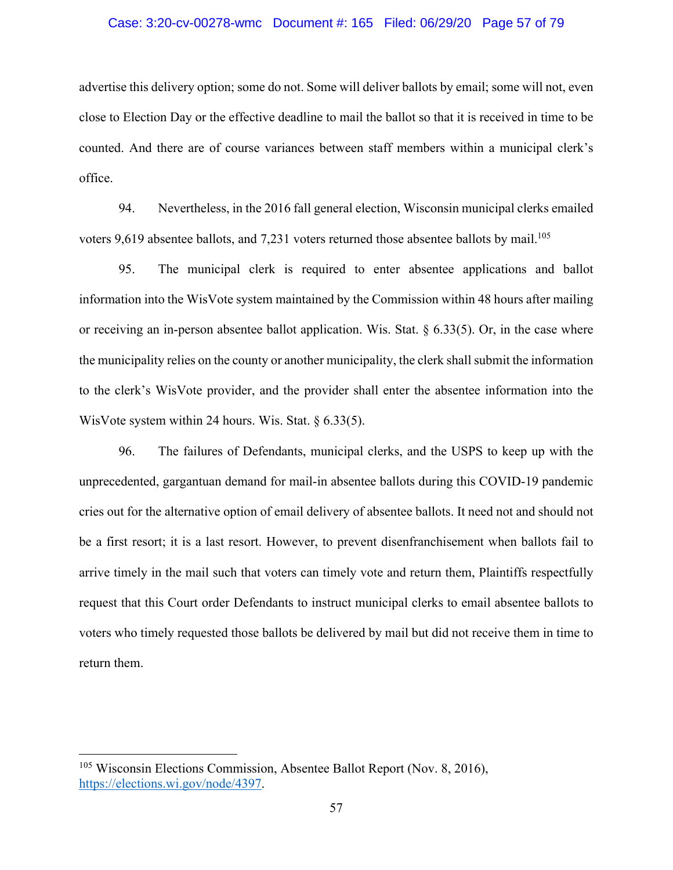#### Case: 3:20-cv-00278-wmc Document #: 165 Filed: 06/29/20 Page 57 of 79

advertise this delivery option; some do not. Some will deliver ballots by email; some will not, even close to Election Day or the effective deadline to mail the ballot so that it is received in time to be counted. And there are of course variances between staff members within a municipal clerk's office.

94. Nevertheless, in the 2016 fall general election, Wisconsin municipal clerks emailed voters 9,619 absentee ballots, and 7,231 voters returned those absentee ballots by mail.<sup>105</sup>

95. The municipal clerk is required to enter absentee applications and ballot information into the WisVote system maintained by the Commission within 48 hours after mailing or receiving an in-person absentee ballot application. Wis. Stat. § 6.33(5). Or, in the case where the municipality relies on the county or another municipality, the clerk shall submit the information to the clerk's WisVote provider, and the provider shall enter the absentee information into the WisVote system within 24 hours. Wis. Stat. § 6.33(5).

96. The failures of Defendants, municipal clerks, and the USPS to keep up with the unprecedented, gargantuan demand for mail-in absentee ballots during this COVID-19 pandemic cries out for the alternative option of email delivery of absentee ballots. It need not and should not be a first resort; it is a last resort. However, to prevent disenfranchisement when ballots fail to arrive timely in the mail such that voters can timely vote and return them, Plaintiffs respectfully request that this Court order Defendants to instruct municipal clerks to email absentee ballots to voters who timely requested those ballots be delivered by mail but did not receive them in time to return them.

<sup>105</sup> Wisconsin Elections Commission, Absentee Ballot Report (Nov. 8, 2016), https://elections.wi.gov/node/4397.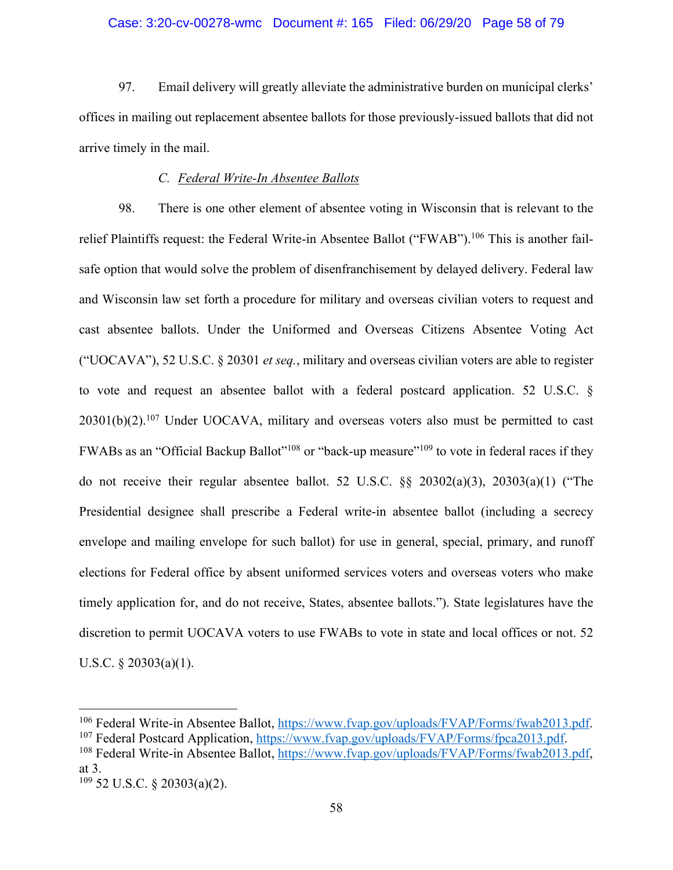### Case: 3:20-cv-00278-wmc Document #: 165 Filed: 06/29/20 Page 58 of 79

97. Email delivery will greatly alleviate the administrative burden on municipal clerks' offices in mailing out replacement absentee ballots for those previously-issued ballots that did not arrive timely in the mail.

### *C. Federal Write-In Absentee Ballots*

98. There is one other element of absentee voting in Wisconsin that is relevant to the relief Plaintiffs request: the Federal Write-in Absentee Ballot ("FWAB").<sup>106</sup> This is another failsafe option that would solve the problem of disenfranchisement by delayed delivery. Federal law and Wisconsin law set forth a procedure for military and overseas civilian voters to request and cast absentee ballots. Under the Uniformed and Overseas Citizens Absentee Voting Act ("UOCAVA"), 52 U.S.C. § 20301 *et seq.*, military and overseas civilian voters are able to register to vote and request an absentee ballot with a federal postcard application. 52 U.S.C. §  $20301(b)(2)$ .<sup>107</sup> Under UOCAVA, military and overseas voters also must be permitted to cast FWABs as an "Official Backup Ballot"<sup>108</sup> or "back-up measure"<sup>109</sup> to vote in federal races if they do not receive their regular absentee ballot. 52 U.S.C. §§ 20302(a)(3), 20303(a)(1) ("The Presidential designee shall prescribe a Federal write-in absentee ballot (including a secrecy envelope and mailing envelope for such ballot) for use in general, special, primary, and runoff elections for Federal office by absent uniformed services voters and overseas voters who make timely application for, and do not receive, States, absentee ballots."). State legislatures have the discretion to permit UOCAVA voters to use FWABs to vote in state and local offices or not. 52 U.S.C. § 20303(a)(1).

<sup>&</sup>lt;sup>106</sup> Federal Write-in Absentee Ballot, https://www.fvap.gov/uploads/FVAP/Forms/fwab2013.pdf.<br><sup>107</sup> Federal Postcard Application, https://www.fvap.gov/uploads/FVAP/Forms/fpca2013.pdf.<br><sup>108</sup> Federal Write-in Absentee Ballot

at 3.

<sup>109</sup> 52 U.S.C. § 20303(a)(2).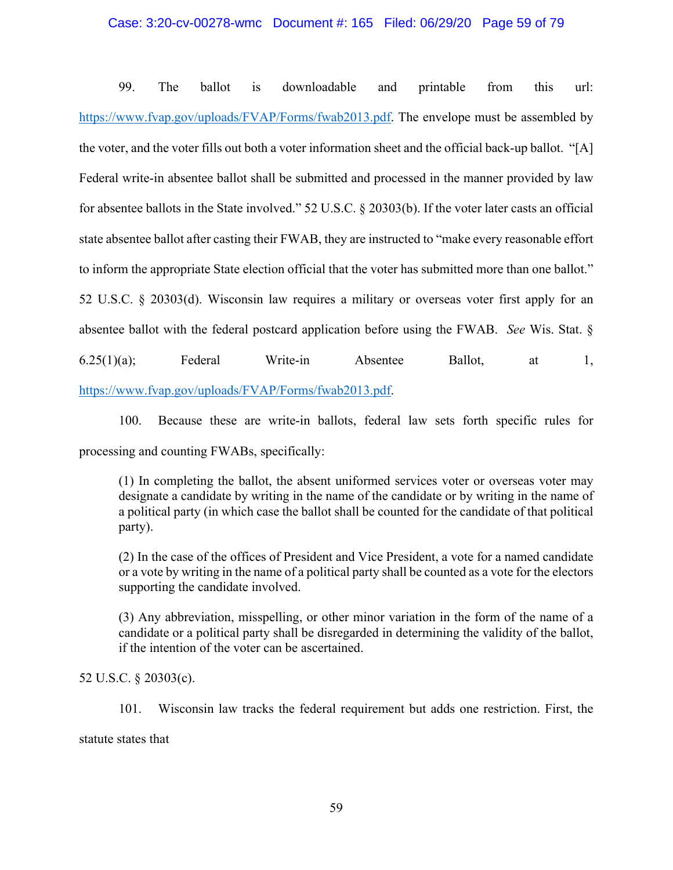### Case: 3:20-cv-00278-wmc Document #: 165 Filed: 06/29/20 Page 59 of 79

99. The ballot is downloadable and printable from this url: https://www.fvap.gov/uploads/FVAP/Forms/fwab2013.pdf. The envelope must be assembled by the voter, and the voter fills out both a voter information sheet and the official back-up ballot. "[A] Federal write-in absentee ballot shall be submitted and processed in the manner provided by law for absentee ballots in the State involved." 52 U.S.C. § 20303(b). If the voter later casts an official state absentee ballot after casting their FWAB, they are instructed to "make every reasonable effort to inform the appropriate State election official that the voter has submitted more than one ballot." 52 U.S.C. § 20303(d). Wisconsin law requires a military or overseas voter first apply for an absentee ballot with the federal postcard application before using the FWAB. *See* Wis. Stat. §  $6.25(1)(a)$ ; Federal Write-in Absentee Ballot, at 1, https://www.fvap.gov/uploads/FVAP/Forms/fwab2013.pdf.

100. Because these are write-in ballots, federal law sets forth specific rules for processing and counting FWABs, specifically:

(1) In completing the ballot, the absent uniformed services voter or overseas voter may designate a candidate by writing in the name of the candidate or by writing in the name of a political party (in which case the ballot shall be counted for the candidate of that political party).

(2) In the case of the offices of President and Vice President, a vote for a named candidate or a vote by writing in the name of a political party shall be counted as a vote for the electors supporting the candidate involved.

(3) Any abbreviation, misspelling, or other minor variation in the form of the name of a candidate or a political party shall be disregarded in determining the validity of the ballot, if the intention of the voter can be ascertained.

# 52 U.S.C. § 20303(c).

101. Wisconsin law tracks the federal requirement but adds one restriction. First, the statute states that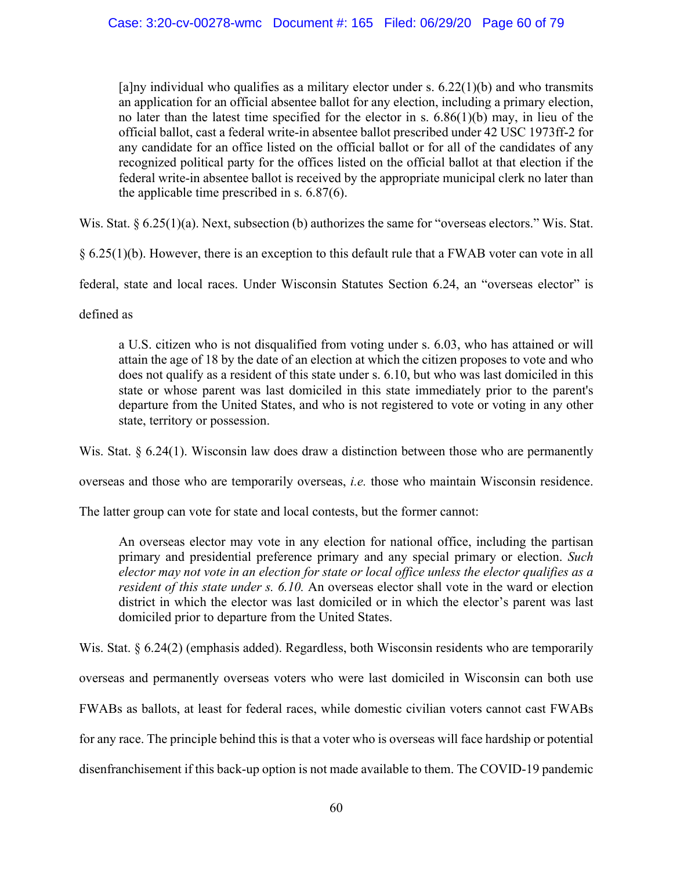[a]ny individual who qualifies as a military elector under s.  $6.22(1)(b)$  and who transmits an application for an official absentee ballot for any election, including a primary election, no later than the latest time specified for the elector in s. 6.86(1)(b) may, in lieu of the official ballot, cast a federal write-in absentee ballot prescribed under 42 USC 1973ff-2 for any candidate for an office listed on the official ballot or for all of the candidates of any recognized political party for the offices listed on the official ballot at that election if the federal write-in absentee ballot is received by the appropriate municipal clerk no later than the applicable time prescribed in s. 6.87(6).

Wis. Stat. § 6.25(1)(a). Next, subsection (b) authorizes the same for "overseas electors." Wis. Stat.

§ 6.25(1)(b). However, there is an exception to this default rule that a FWAB voter can vote in all

federal, state and local races. Under Wisconsin Statutes Section 6.24, an "overseas elector" is

defined as

a U.S. citizen who is not disqualified from voting under s. 6.03, who has attained or will attain the age of 18 by the date of an election at which the citizen proposes to vote and who does not qualify as a resident of this state under s. 6.10, but who was last domiciled in this state or whose parent was last domiciled in this state immediately prior to the parent's departure from the United States, and who is not registered to vote or voting in any other state, territory or possession.

Wis. Stat. § 6.24(1). Wisconsin law does draw a distinction between those who are permanently

overseas and those who are temporarily overseas, *i.e.* those who maintain Wisconsin residence.

The latter group can vote for state and local contests, but the former cannot:

An overseas elector may vote in any election for national office, including the partisan primary and presidential preference primary and any special primary or election. *Such elector may not vote in an election for state or local office unless the elector qualifies as a resident of this state under s. 6.10.* An overseas elector shall vote in the ward or election district in which the elector was last domiciled or in which the elector's parent was last domiciled prior to departure from the United States.

Wis. Stat. § 6.24(2) (emphasis added). Regardless, both Wisconsin residents who are temporarily overseas and permanently overseas voters who were last domiciled in Wisconsin can both use FWABs as ballots, at least for federal races, while domestic civilian voters cannot cast FWABs for any race. The principle behind this is that a voter who is overseas will face hardship or potential disenfranchisement if this back-up option is not made available to them. The COVID-19 pandemic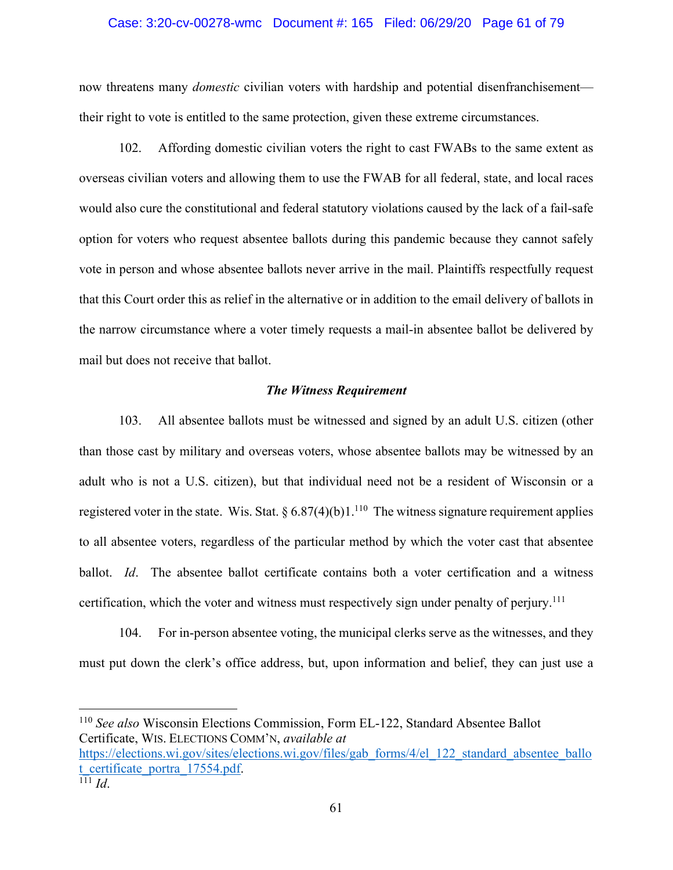#### Case: 3:20-cv-00278-wmc Document #: 165 Filed: 06/29/20 Page 61 of 79

now threatens many *domestic* civilian voters with hardship and potential disenfranchisement their right to vote is entitled to the same protection, given these extreme circumstances.

102. Affording domestic civilian voters the right to cast FWABs to the same extent as overseas civilian voters and allowing them to use the FWAB for all federal, state, and local races would also cure the constitutional and federal statutory violations caused by the lack of a fail-safe option for voters who request absentee ballots during this pandemic because they cannot safely vote in person and whose absentee ballots never arrive in the mail. Plaintiffs respectfully request that this Court order this as relief in the alternative or in addition to the email delivery of ballots in the narrow circumstance where a voter timely requests a mail-in absentee ballot be delivered by mail but does not receive that ballot.

### *The Witness Requirement*

103. All absentee ballots must be witnessed and signed by an adult U.S. citizen (other than those cast by military and overseas voters, whose absentee ballots may be witnessed by an adult who is not a U.S. citizen), but that individual need not be a resident of Wisconsin or a registered voter in the state. Wis. Stat.  $\S 6.87(4)(b)1$ .<sup>110</sup> The witness signature requirement applies to all absentee voters, regardless of the particular method by which the voter cast that absentee ballot. *Id*. The absentee ballot certificate contains both a voter certification and a witness certification, which the voter and witness must respectively sign under penalty of perjury.<sup>111</sup>

104. For in-person absentee voting, the municipal clerks serve as the witnesses, and they must put down the clerk's office address, but, upon information and belief, they can just use a

<sup>110</sup> *See also* Wisconsin Elections Commission, Form EL-122, Standard Absentee Ballot Certificate, WIS. ELECTIONS COMM'N, *available at*  https://elections.wi.gov/sites/elections.wi.gov/files/gab\_forms/4/el\_122\_standard\_absentee\_ballo t\_certificate\_portra\_17554.pdf. 111 *Id*.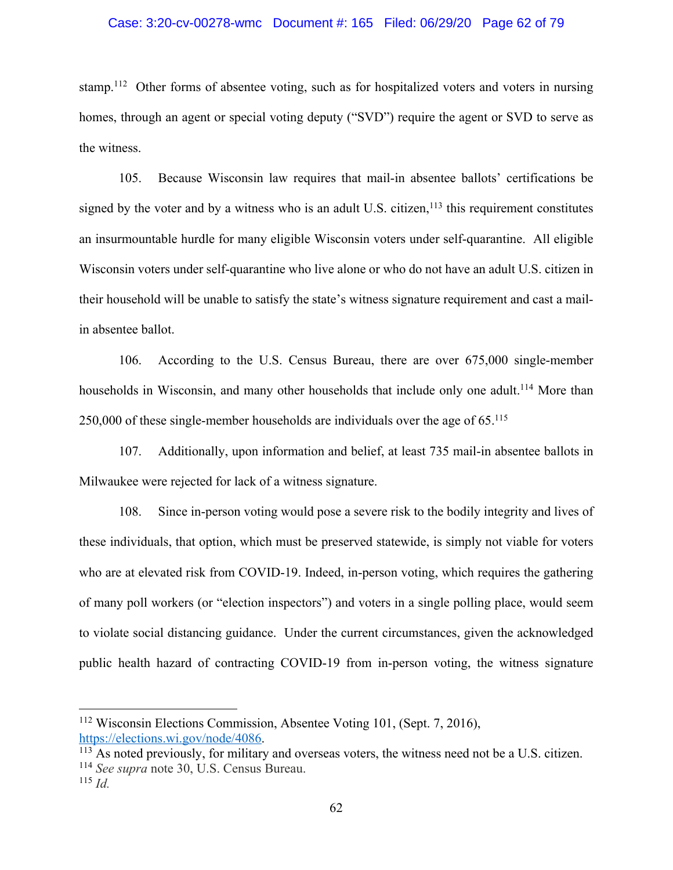#### Case: 3:20-cv-00278-wmc Document #: 165 Filed: 06/29/20 Page 62 of 79

stamp.<sup>112</sup> Other forms of absentee voting, such as for hospitalized voters and voters in nursing homes, through an agent or special voting deputy ("SVD") require the agent or SVD to serve as the witness.

105. Because Wisconsin law requires that mail-in absentee ballots' certifications be signed by the voter and by a witness who is an adult U.S. citizen,<sup>113</sup> this requirement constitutes an insurmountable hurdle for many eligible Wisconsin voters under self-quarantine. All eligible Wisconsin voters under self-quarantine who live alone or who do not have an adult U.S. citizen in their household will be unable to satisfy the state's witness signature requirement and cast a mailin absentee ballot.

106. According to the U.S. Census Bureau, there are over 675,000 single-member households in Wisconsin, and many other households that include only one adult.<sup>114</sup> More than 250,000 of these single-member households are individuals over the age of  $65$ <sup>115</sup>

107. Additionally, upon information and belief, at least 735 mail-in absentee ballots in Milwaukee were rejected for lack of a witness signature.

108. Since in-person voting would pose a severe risk to the bodily integrity and lives of these individuals, that option, which must be preserved statewide, is simply not viable for voters who are at elevated risk from COVID-19. Indeed, in-person voting, which requires the gathering of many poll workers (or "election inspectors") and voters in a single polling place, would seem to violate social distancing guidance. Under the current circumstances, given the acknowledged public health hazard of contracting COVID-19 from in-person voting, the witness signature

<sup>112</sup> Wisconsin Elections Commission, Absentee Voting 101, (Sept. 7, 2016), https://elections.wi.gov/node/4086.

 $\frac{113}{113}$  As noted previously, for military and overseas voters, the witness need not be a U.S. citizen. <sup>114</sup> *See supra* note 30, U.S. Census Bureau.

<sup>115</sup> *Id.*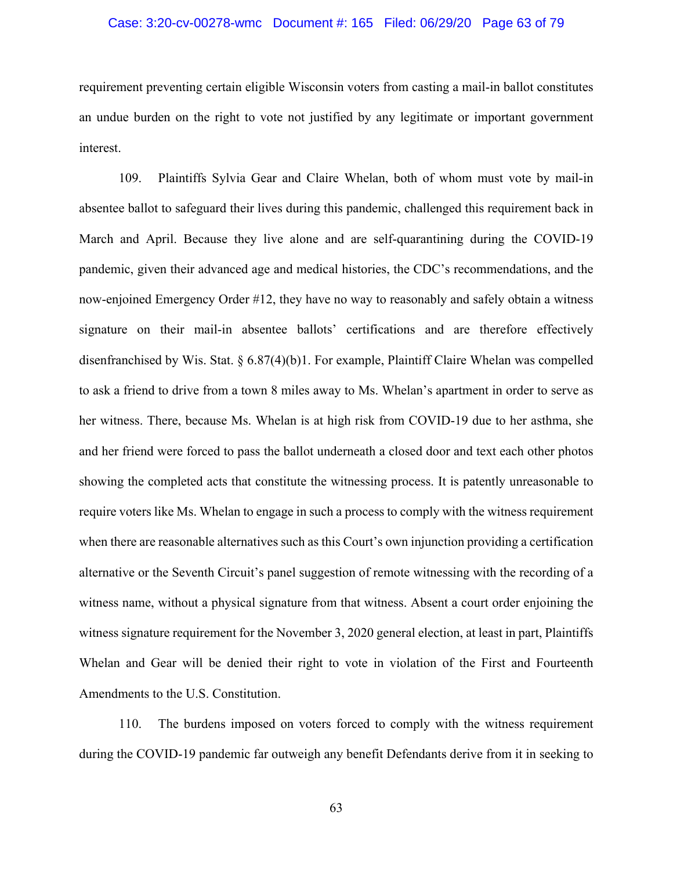### Case: 3:20-cv-00278-wmc Document #: 165 Filed: 06/29/20 Page 63 of 79

requirement preventing certain eligible Wisconsin voters from casting a mail-in ballot constitutes an undue burden on the right to vote not justified by any legitimate or important government interest.

109. Plaintiffs Sylvia Gear and Claire Whelan, both of whom must vote by mail-in absentee ballot to safeguard their lives during this pandemic, challenged this requirement back in March and April. Because they live alone and are self-quarantining during the COVID-19 pandemic, given their advanced age and medical histories, the CDC's recommendations, and the now-enjoined Emergency Order #12, they have no way to reasonably and safely obtain a witness signature on their mail-in absentee ballots' certifications and are therefore effectively disenfranchised by Wis. Stat. § 6.87(4)(b)1. For example, Plaintiff Claire Whelan was compelled to ask a friend to drive from a town 8 miles away to Ms. Whelan's apartment in order to serve as her witness. There, because Ms. Whelan is at high risk from COVID-19 due to her asthma, she and her friend were forced to pass the ballot underneath a closed door and text each other photos showing the completed acts that constitute the witnessing process. It is patently unreasonable to require voters like Ms. Whelan to engage in such a process to comply with the witness requirement when there are reasonable alternatives such as this Court's own injunction providing a certification alternative or the Seventh Circuit's panel suggestion of remote witnessing with the recording of a witness name, without a physical signature from that witness. Absent a court order enjoining the witness signature requirement for the November 3, 2020 general election, at least in part, Plaintiffs Whelan and Gear will be denied their right to vote in violation of the First and Fourteenth Amendments to the U.S. Constitution.

110. The burdens imposed on voters forced to comply with the witness requirement during the COVID-19 pandemic far outweigh any benefit Defendants derive from it in seeking to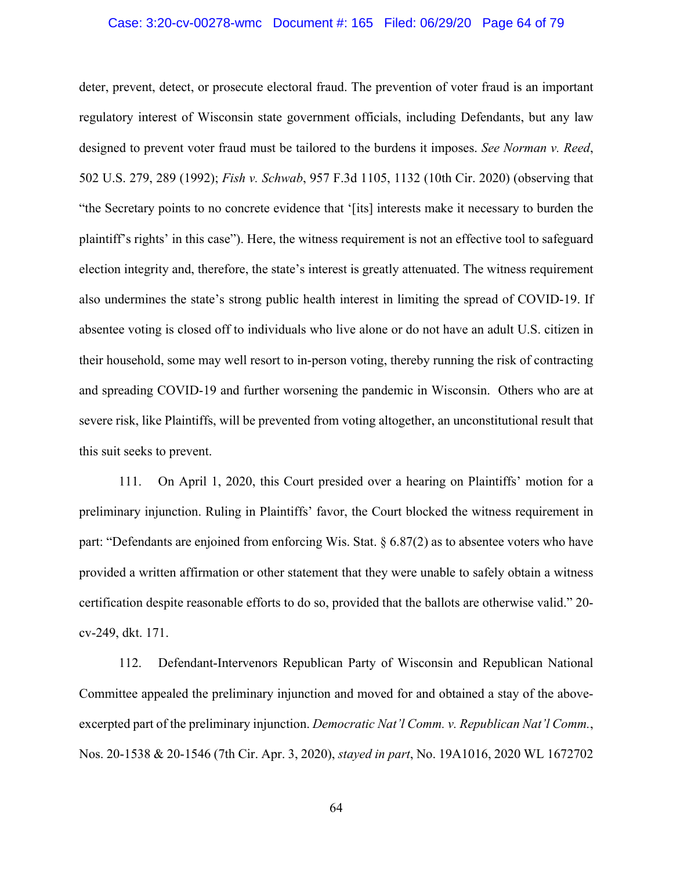## Case: 3:20-cv-00278-wmc Document #: 165 Filed: 06/29/20 Page 64 of 79

deter, prevent, detect, or prosecute electoral fraud. The prevention of voter fraud is an important regulatory interest of Wisconsin state government officials, including Defendants, but any law designed to prevent voter fraud must be tailored to the burdens it imposes. *See Norman v. Reed*, 502 U.S. 279, 289 (1992); *Fish v. Schwab*, 957 F.3d 1105, 1132 (10th Cir. 2020) (observing that "the Secretary points to no concrete evidence that '[its] interests make it necessary to burden the plaintiff's rights' in this case"). Here, the witness requirement is not an effective tool to safeguard election integrity and, therefore, the state's interest is greatly attenuated. The witness requirement also undermines the state's strong public health interest in limiting the spread of COVID-19. If absentee voting is closed off to individuals who live alone or do not have an adult U.S. citizen in their household, some may well resort to in-person voting, thereby running the risk of contracting and spreading COVID-19 and further worsening the pandemic in Wisconsin. Others who are at severe risk, like Plaintiffs, will be prevented from voting altogether, an unconstitutional result that this suit seeks to prevent.

111. On April 1, 2020, this Court presided over a hearing on Plaintiffs' motion for a preliminary injunction. Ruling in Plaintiffs' favor, the Court blocked the witness requirement in part: "Defendants are enjoined from enforcing Wis. Stat.  $\S 6.87(2)$  as to absentee voters who have provided a written affirmation or other statement that they were unable to safely obtain a witness certification despite reasonable efforts to do so, provided that the ballots are otherwise valid." 20 cv-249, dkt. 171.

112. Defendant-Intervenors Republican Party of Wisconsin and Republican National Committee appealed the preliminary injunction and moved for and obtained a stay of the aboveexcerpted part of the preliminary injunction. *Democratic Nat'l Comm. v. Republican Nat'l Comm.*, Nos. 20-1538 & 20-1546 (7th Cir. Apr. 3, 2020), *stayed in part*, No. 19A1016, 2020 WL 1672702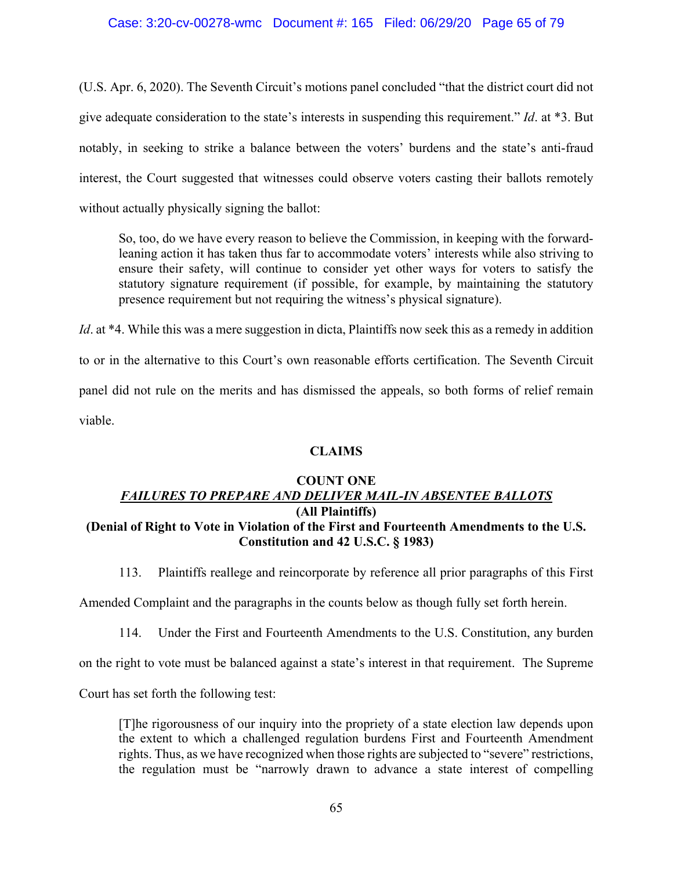## Case: 3:20-cv-00278-wmc Document #: 165 Filed: 06/29/20 Page 65 of 79

(U.S. Apr. 6, 2020). The Seventh Circuit's motions panel concluded "that the district court did not give adequate consideration to the state's interests in suspending this requirement." *Id*. at \*3. But notably, in seeking to strike a balance between the voters' burdens and the state's anti-fraud interest, the Court suggested that witnesses could observe voters casting their ballots remotely without actually physically signing the ballot:

So, too, do we have every reason to believe the Commission, in keeping with the forwardleaning action it has taken thus far to accommodate voters' interests while also striving to ensure their safety, will continue to consider yet other ways for voters to satisfy the statutory signature requirement (if possible, for example, by maintaining the statutory presence requirement but not requiring the witness's physical signature).

*Id*. at \*4. While this was a mere suggestion in dicta, Plaintiffs now seek this as a remedy in addition to or in the alternative to this Court's own reasonable efforts certification. The Seventh Circuit panel did not rule on the merits and has dismissed the appeals, so both forms of relief remain viable.

## **CLAIMS**

# **COUNT ONE** *FAILURES TO PREPARE AND DELIVER MAIL-IN ABSENTEE BALLOTS* **(All Plaintiffs) (Denial of Right to Vote in Violation of the First and Fourteenth Amendments to the U.S. Constitution and 42 U.S.C. § 1983)**

113. Plaintiffs reallege and reincorporate by reference all prior paragraphs of this First

Amended Complaint and the paragraphs in the counts below as though fully set forth herein.

114. Under the First and Fourteenth Amendments to the U.S. Constitution, any burden

on the right to vote must be balanced against a state's interest in that requirement. The Supreme

Court has set forth the following test:

[T]he rigorousness of our inquiry into the propriety of a state election law depends upon the extent to which a challenged regulation burdens First and Fourteenth Amendment rights. Thus, as we have recognized when those rights are subjected to "severe" restrictions, the regulation must be "narrowly drawn to advance a state interest of compelling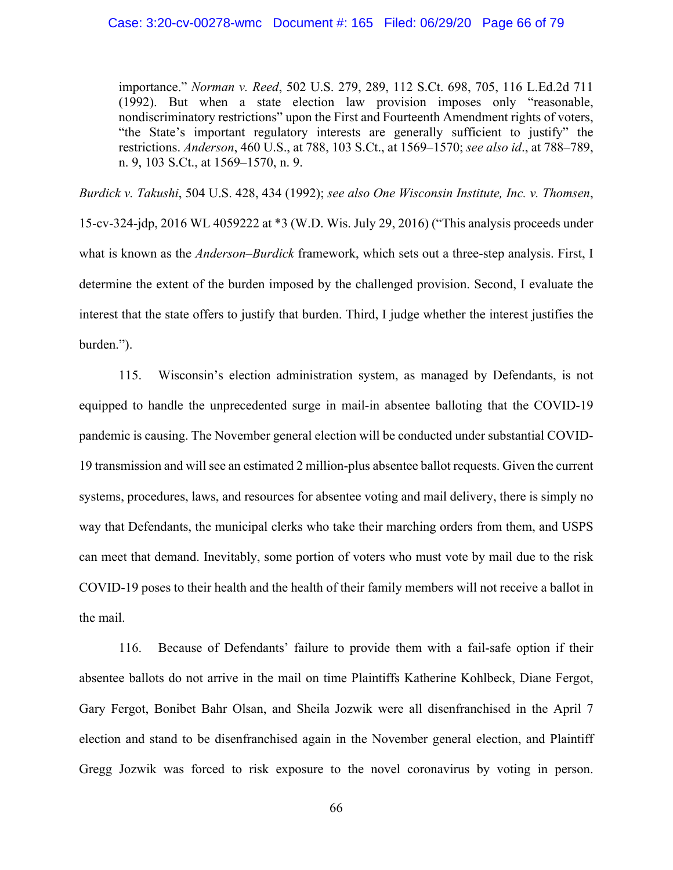#### Case: 3:20-cv-00278-wmc Document #: 165 Filed: 06/29/20 Page 66 of 79

importance." *Norman v. Reed*, 502 U.S. 279, 289, 112 S.Ct. 698, 705, 116 L.Ed.2d 711 (1992). But when a state election law provision imposes only "reasonable, nondiscriminatory restrictions" upon the First and Fourteenth Amendment rights of voters, "the State's important regulatory interests are generally sufficient to justify" the restrictions. *Anderson*, 460 U.S., at 788, 103 S.Ct., at 1569–1570; *see also id*., at 788–789, n. 9, 103 S.Ct., at 1569–1570, n. 9.

*Burdick v. Takushi*, 504 U.S. 428, 434 (1992); *see also One Wisconsin Institute, Inc. v. Thomsen*, 15-cv-324-jdp, 2016 WL 4059222 at \*3 (W.D. Wis. July 29, 2016) ("This analysis proceeds under what is known as the *Anderson–Burdick* framework, which sets out a three-step analysis. First, I determine the extent of the burden imposed by the challenged provision. Second, I evaluate the interest that the state offers to justify that burden. Third, I judge whether the interest justifies the burden.").

115. Wisconsin's election administration system, as managed by Defendants, is not equipped to handle the unprecedented surge in mail-in absentee balloting that the COVID-19 pandemic is causing. The November general election will be conducted under substantial COVID-19 transmission and will see an estimated 2 million-plus absentee ballot requests. Given the current systems, procedures, laws, and resources for absentee voting and mail delivery, there is simply no way that Defendants, the municipal clerks who take their marching orders from them, and USPS can meet that demand. Inevitably, some portion of voters who must vote by mail due to the risk COVID-19 poses to their health and the health of their family members will not receive a ballot in the mail.

116. Because of Defendants' failure to provide them with a fail-safe option if their absentee ballots do not arrive in the mail on time Plaintiffs Katherine Kohlbeck, Diane Fergot, Gary Fergot, Bonibet Bahr Olsan, and Sheila Jozwik were all disenfranchised in the April 7 election and stand to be disenfranchised again in the November general election, and Plaintiff Gregg Jozwik was forced to risk exposure to the novel coronavirus by voting in person.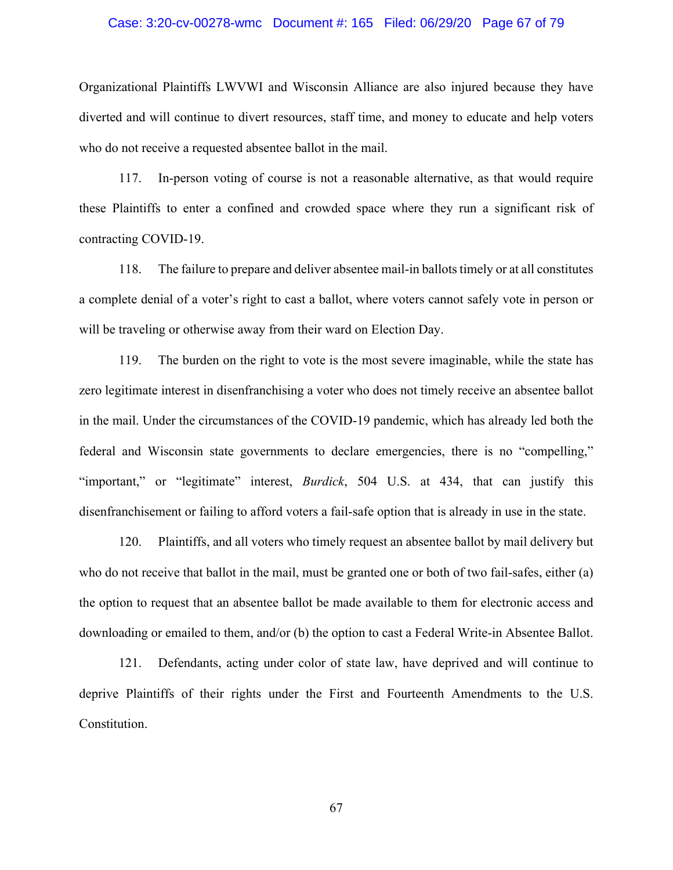### Case: 3:20-cv-00278-wmc Document #: 165 Filed: 06/29/20 Page 67 of 79

Organizational Plaintiffs LWVWI and Wisconsin Alliance are also injured because they have diverted and will continue to divert resources, staff time, and money to educate and help voters who do not receive a requested absentee ballot in the mail.

117. In-person voting of course is not a reasonable alternative, as that would require these Plaintiffs to enter a confined and crowded space where they run a significant risk of contracting COVID-19.

118. The failure to prepare and deliver absentee mail-in ballots timely or at all constitutes a complete denial of a voter's right to cast a ballot, where voters cannot safely vote in person or will be traveling or otherwise away from their ward on Election Day.

119. The burden on the right to vote is the most severe imaginable, while the state has zero legitimate interest in disenfranchising a voter who does not timely receive an absentee ballot in the mail. Under the circumstances of the COVID-19 pandemic, which has already led both the federal and Wisconsin state governments to declare emergencies, there is no "compelling," "important," or "legitimate" interest, *Burdick*, 504 U.S. at 434, that can justify this disenfranchisement or failing to afford voters a fail-safe option that is already in use in the state.

120. Plaintiffs, and all voters who timely request an absentee ballot by mail delivery but who do not receive that ballot in the mail, must be granted one or both of two fail-safes, either (a) the option to request that an absentee ballot be made available to them for electronic access and downloading or emailed to them, and/or (b) the option to cast a Federal Write-in Absentee Ballot.

121. Defendants, acting under color of state law, have deprived and will continue to deprive Plaintiffs of their rights under the First and Fourteenth Amendments to the U.S. Constitution.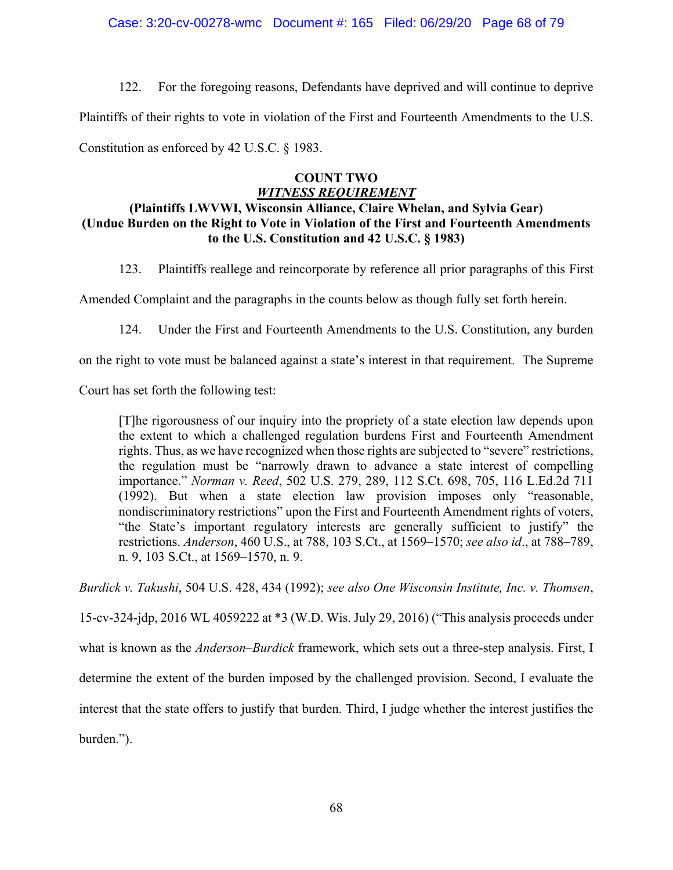## Case: 3:20-cv-00278-wmc Document #: 165 Filed: 06/29/20 Page 68 of 79

122. For the foregoing reasons, Defendants have deprived and will continue to deprive Plaintiffs of their rights to vote in violation of the First and Fourteenth Amendments to the U.S. Constitution as enforced by 42 U.S.C. § 1983.

## **COUNT TWO** *WITNESS REQUIREMENT*

# **(Plaintiffs LWVWI, Wisconsin Alliance, Claire Whelan, and Sylvia Gear) (Undue Burden on the Right to Vote in Violation of the First and Fourteenth Amendments to the U.S. Constitution and 42 U.S.C. § 1983)**

123. Plaintiffs reallege and reincorporate by reference all prior paragraphs of this First

Amended Complaint and the paragraphs in the counts below as though fully set forth herein.

124. Under the First and Fourteenth Amendments to the U.S. Constitution, any burden

on the right to vote must be balanced against a state's interest in that requirement. The Supreme

Court has set forth the following test:

[T]he rigorousness of our inquiry into the propriety of a state election law depends upon the extent to which a challenged regulation burdens First and Fourteenth Amendment rights. Thus, as we have recognized when those rights are subjected to "severe" restrictions, the regulation must be "narrowly drawn to advance a state interest of compelling importance." *Norman v. Reed*, 502 U.S. 279, 289, 112 S.Ct. 698, 705, 116 L.Ed.2d 711 (1992). But when a state election law provision imposes only "reasonable, nondiscriminatory restrictions" upon the First and Fourteenth Amendment rights of voters, "the State's important regulatory interests are generally sufficient to justify" the restrictions. *Anderson*, 460 U.S., at 788, 103 S.Ct., at 1569–1570; *see also id*., at 788–789, n. 9, 103 S.Ct., at 1569–1570, n. 9.

*Burdick v. Takushi*, 504 U.S. 428, 434 (1992); *see also One Wisconsin Institute, Inc. v. Thomsen*,

15-cv-324-jdp, 2016 WL 4059222 at \*3 (W.D. Wis. July 29, 2016) ("This analysis proceeds under

what is known as the *Anderson–Burdick* framework, which sets out a three-step analysis. First, I

determine the extent of the burden imposed by the challenged provision. Second, I evaluate the

interest that the state offers to justify that burden. Third, I judge whether the interest justifies the

burden.").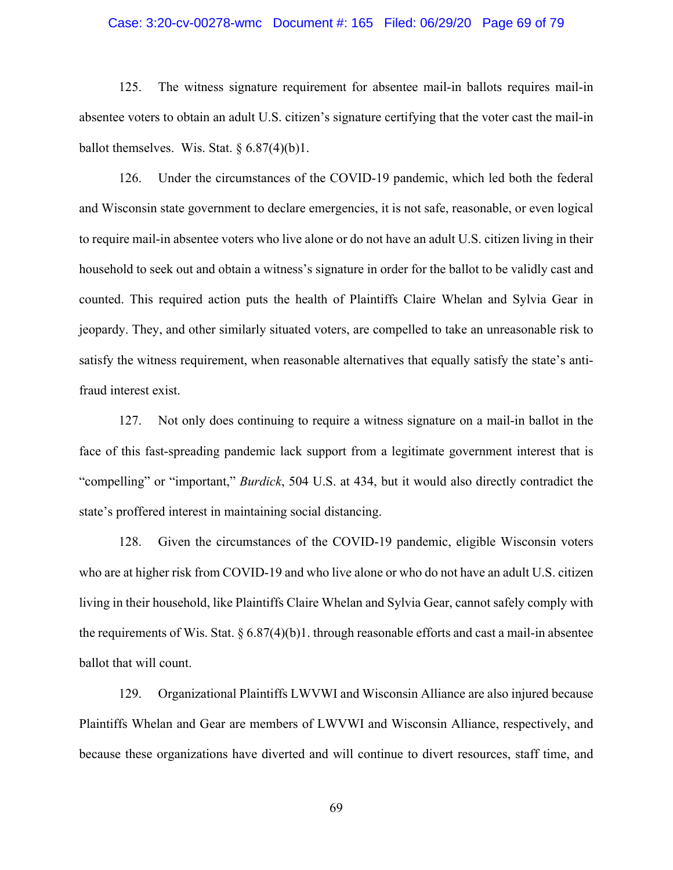## Case: 3:20-cv-00278-wmc Document #: 165 Filed: 06/29/20 Page 69 of 79

125. The witness signature requirement for absentee mail-in ballots requires mail-in absentee voters to obtain an adult U.S. citizen's signature certifying that the voter cast the mail-in ballot themselves. Wis. Stat.  $\S 6.87(4)(b)1$ .

126. Under the circumstances of the COVID-19 pandemic, which led both the federal and Wisconsin state government to declare emergencies, it is not safe, reasonable, or even logical to require mail-in absentee voters who live alone or do not have an adult U.S. citizen living in their household to seek out and obtain a witness's signature in order for the ballot to be validly cast and counted. This required action puts the health of Plaintiffs Claire Whelan and Sylvia Gear in jeopardy. They, and other similarly situated voters, are compelled to take an unreasonable risk to satisfy the witness requirement, when reasonable alternatives that equally satisfy the state's antifraud interest exist.

127. Not only does continuing to require a witness signature on a mail-in ballot in the face of this fast-spreading pandemic lack support from a legitimate government interest that is "compelling" or "important," *Burdick*, 504 U.S. at 434, but it would also directly contradict the state's proffered interest in maintaining social distancing.

128. Given the circumstances of the COVID-19 pandemic, eligible Wisconsin voters who are at higher risk from COVID-19 and who live alone or who do not have an adult U.S. citizen living in their household, like Plaintiffs Claire Whelan and Sylvia Gear, cannot safely comply with the requirements of Wis. Stat.  $\S 6.87(4)(b)1$ . through reasonable efforts and cast a mail-in absentee ballot that will count.

129. Organizational Plaintiffs LWVWI and Wisconsin Alliance are also injured because Plaintiffs Whelan and Gear are members of LWVWI and Wisconsin Alliance, respectively, and because these organizations have diverted and will continue to divert resources, staff time, and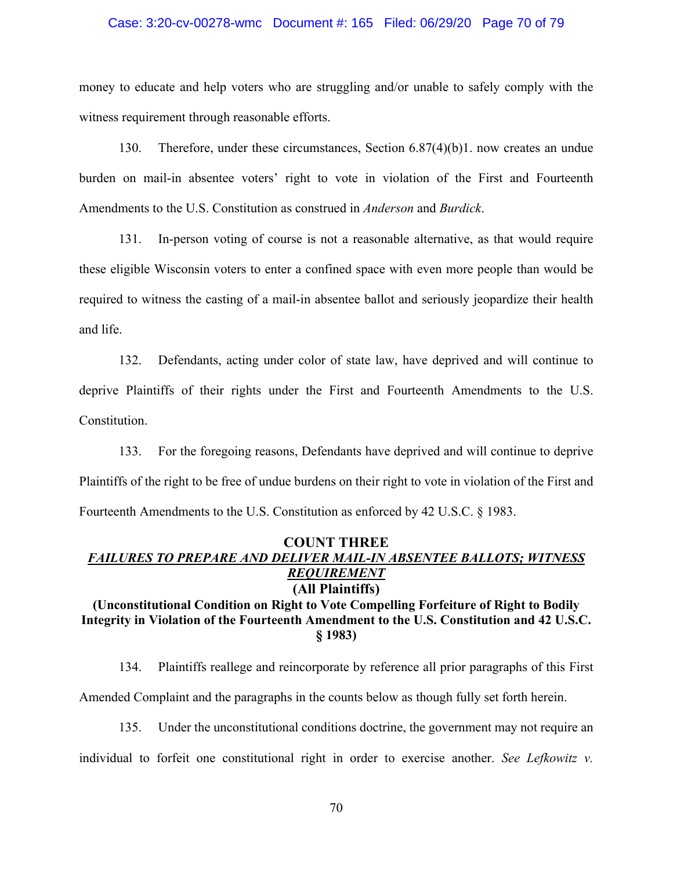#### Case: 3:20-cv-00278-wmc Document #: 165 Filed: 06/29/20 Page 70 of 79

money to educate and help voters who are struggling and/or unable to safely comply with the witness requirement through reasonable efforts.

130. Therefore, under these circumstances, Section 6.87(4)(b)1. now creates an undue burden on mail-in absentee voters' right to vote in violation of the First and Fourteenth Amendments to the U.S. Constitution as construed in *Anderson* and *Burdick*.

131. In-person voting of course is not a reasonable alternative, as that would require these eligible Wisconsin voters to enter a confined space with even more people than would be required to witness the casting of a mail-in absentee ballot and seriously jeopardize their health and life.

132. Defendants, acting under color of state law, have deprived and will continue to deprive Plaintiffs of their rights under the First and Fourteenth Amendments to the U.S. Constitution.

133. For the foregoing reasons, Defendants have deprived and will continue to deprive Plaintiffs of the right to be free of undue burdens on their right to vote in violation of the First and Fourteenth Amendments to the U.S. Constitution as enforced by 42 U.S.C. § 1983.

## **COUNT THREE** *FAILURES TO PREPARE AND DELIVER MAIL-IN ABSENTEE BALLOTS; WITNESS REQUIREMENT* **(All Plaintiffs)**

# **(Unconstitutional Condition on Right to Vote Compelling Forfeiture of Right to Bodily Integrity in Violation of the Fourteenth Amendment to the U.S. Constitution and 42 U.S.C. § 1983)**

134. Plaintiffs reallege and reincorporate by reference all prior paragraphs of this First Amended Complaint and the paragraphs in the counts below as though fully set forth herein.

135. Under the unconstitutional conditions doctrine, the government may not require an individual to forfeit one constitutional right in order to exercise another. *See Lefkowitz v.*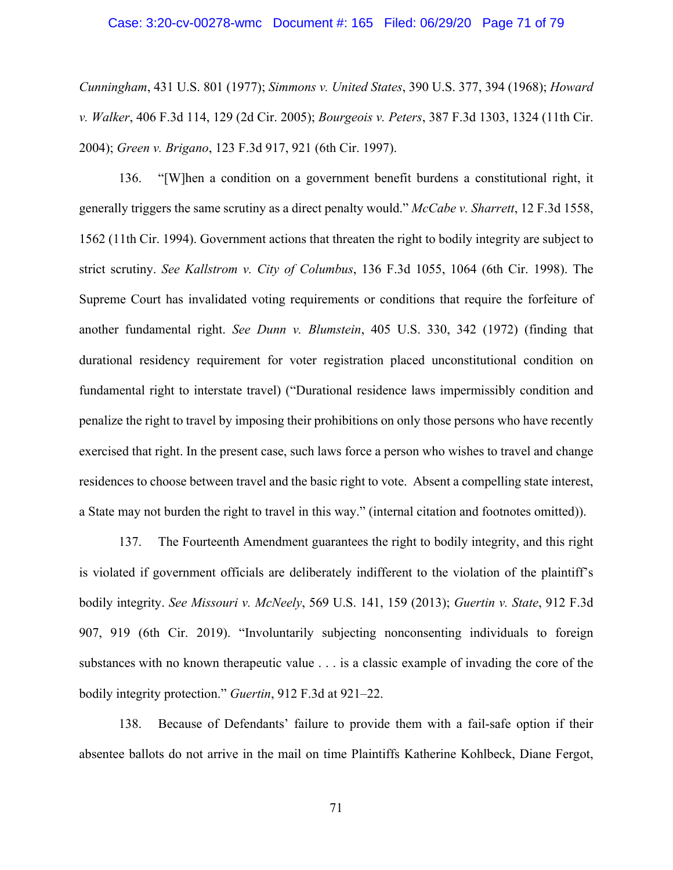## Case: 3:20-cv-00278-wmc Document #: 165 Filed: 06/29/20 Page 71 of 79

*Cunningham*, 431 U.S. 801 (1977); *Simmons v. United States*, 390 U.S. 377, 394 (1968); *Howard v. Walker*, 406 F.3d 114, 129 (2d Cir. 2005); *Bourgeois v. Peters*, 387 F.3d 1303, 1324 (11th Cir. 2004); *Green v. Brigano*, 123 F.3d 917, 921 (6th Cir. 1997).

136. "[W]hen a condition on a government benefit burdens a constitutional right, it generally triggers the same scrutiny as a direct penalty would." *McCabe v. Sharrett*, 12 F.3d 1558, 1562 (11th Cir. 1994). Government actions that threaten the right to bodily integrity are subject to strict scrutiny. *See Kallstrom v. City of Columbus*, 136 F.3d 1055, 1064 (6th Cir. 1998). The Supreme Court has invalidated voting requirements or conditions that require the forfeiture of another fundamental right. *See Dunn v. Blumstein*, 405 U.S. 330, 342 (1972) (finding that durational residency requirement for voter registration placed unconstitutional condition on fundamental right to interstate travel) ("Durational residence laws impermissibly condition and penalize the right to travel by imposing their prohibitions on only those persons who have recently exercised that right. In the present case, such laws force a person who wishes to travel and change residences to choose between travel and the basic right to vote. Absent a compelling state interest, a State may not burden the right to travel in this way." (internal citation and footnotes omitted)).

137. The Fourteenth Amendment guarantees the right to bodily integrity, and this right is violated if government officials are deliberately indifferent to the violation of the plaintiff's bodily integrity. *See Missouri v. McNeely*, 569 U.S. 141, 159 (2013); *Guertin v. State*, 912 F.3d 907, 919 (6th Cir. 2019). "Involuntarily subjecting nonconsenting individuals to foreign substances with no known therapeutic value . . . is a classic example of invading the core of the bodily integrity protection." *Guertin*, 912 F.3d at 921–22.

138. Because of Defendants' failure to provide them with a fail-safe option if their absentee ballots do not arrive in the mail on time Plaintiffs Katherine Kohlbeck, Diane Fergot,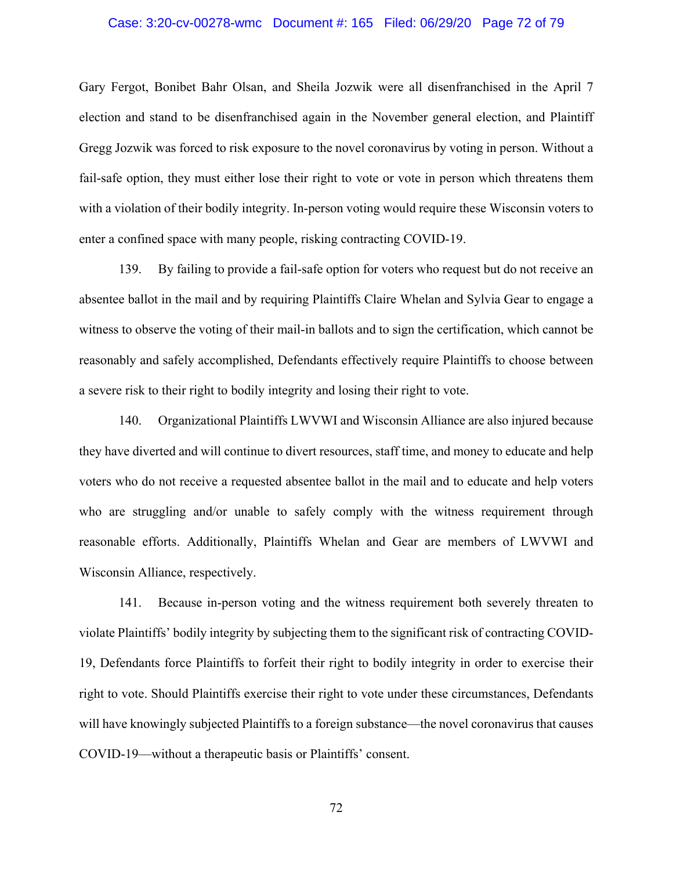## Case: 3:20-cv-00278-wmc Document #: 165 Filed: 06/29/20 Page 72 of 79

Gary Fergot, Bonibet Bahr Olsan, and Sheila Jozwik were all disenfranchised in the April 7 election and stand to be disenfranchised again in the November general election, and Plaintiff Gregg Jozwik was forced to risk exposure to the novel coronavirus by voting in person. Without a fail-safe option, they must either lose their right to vote or vote in person which threatens them with a violation of their bodily integrity. In-person voting would require these Wisconsin voters to enter a confined space with many people, risking contracting COVID-19.

139. By failing to provide a fail-safe option for voters who request but do not receive an absentee ballot in the mail and by requiring Plaintiffs Claire Whelan and Sylvia Gear to engage a witness to observe the voting of their mail-in ballots and to sign the certification, which cannot be reasonably and safely accomplished, Defendants effectively require Plaintiffs to choose between a severe risk to their right to bodily integrity and losing their right to vote.

140. Organizational Plaintiffs LWVWI and Wisconsin Alliance are also injured because they have diverted and will continue to divert resources, staff time, and money to educate and help voters who do not receive a requested absentee ballot in the mail and to educate and help voters who are struggling and/or unable to safely comply with the witness requirement through reasonable efforts. Additionally, Plaintiffs Whelan and Gear are members of LWVWI and Wisconsin Alliance, respectively.

141. Because in-person voting and the witness requirement both severely threaten to violate Plaintiffs' bodily integrity by subjecting them to the significant risk of contracting COVID-19, Defendants force Plaintiffs to forfeit their right to bodily integrity in order to exercise their right to vote. Should Plaintiffs exercise their right to vote under these circumstances, Defendants will have knowingly subjected Plaintiffs to a foreign substance—the novel coronavirus that causes COVID-19—without a therapeutic basis or Plaintiffs' consent.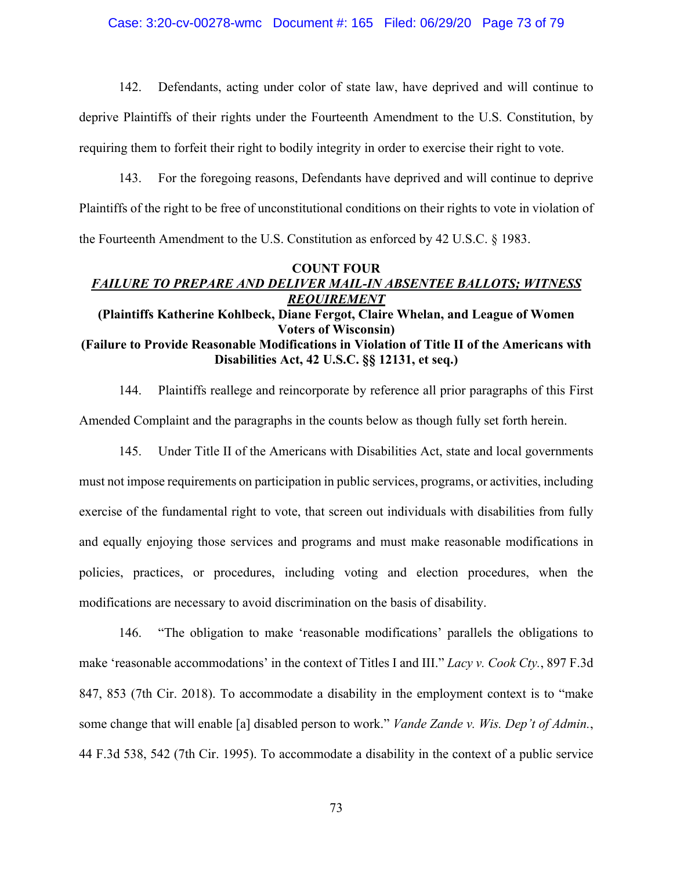## Case: 3:20-cv-00278-wmc Document #: 165 Filed: 06/29/20 Page 73 of 79

142. Defendants, acting under color of state law, have deprived and will continue to deprive Plaintiffs of their rights under the Fourteenth Amendment to the U.S. Constitution, by requiring them to forfeit their right to bodily integrity in order to exercise their right to vote.

143. For the foregoing reasons, Defendants have deprived and will continue to deprive Plaintiffs of the right to be free of unconstitutional conditions on their rights to vote in violation of the Fourteenth Amendment to the U.S. Constitution as enforced by 42 U.S.C. § 1983.

# **COUNT FOUR** *FAILURE TO PREPARE AND DELIVER MAIL-IN ABSENTEE BALLOTS; WITNESS REQUIREMENT* **(Plaintiffs Katherine Kohlbeck, Diane Fergot, Claire Whelan, and League of Women Voters of Wisconsin) (Failure to Provide Reasonable Modifications in Violation of Title II of the Americans with Disabilities Act, 42 U.S.C. §§ 12131, et seq.)**

144. Plaintiffs reallege and reincorporate by reference all prior paragraphs of this First Amended Complaint and the paragraphs in the counts below as though fully set forth herein.

145. Under Title II of the Americans with Disabilities Act, state and local governments must not impose requirements on participation in public services, programs, or activities, including exercise of the fundamental right to vote, that screen out individuals with disabilities from fully and equally enjoying those services and programs and must make reasonable modifications in policies, practices, or procedures, including voting and election procedures, when the modifications are necessary to avoid discrimination on the basis of disability.

146. "The obligation to make 'reasonable modifications' parallels the obligations to make 'reasonable accommodations' in the context of Titles I and III." *Lacy v. Cook Cty.*, 897 F.3d 847, 853 (7th Cir. 2018). To accommodate a disability in the employment context is to "make some change that will enable [a] disabled person to work." *Vande Zande v. Wis. Dep't of Admin.*, 44 F.3d 538, 542 (7th Cir. 1995). To accommodate a disability in the context of a public service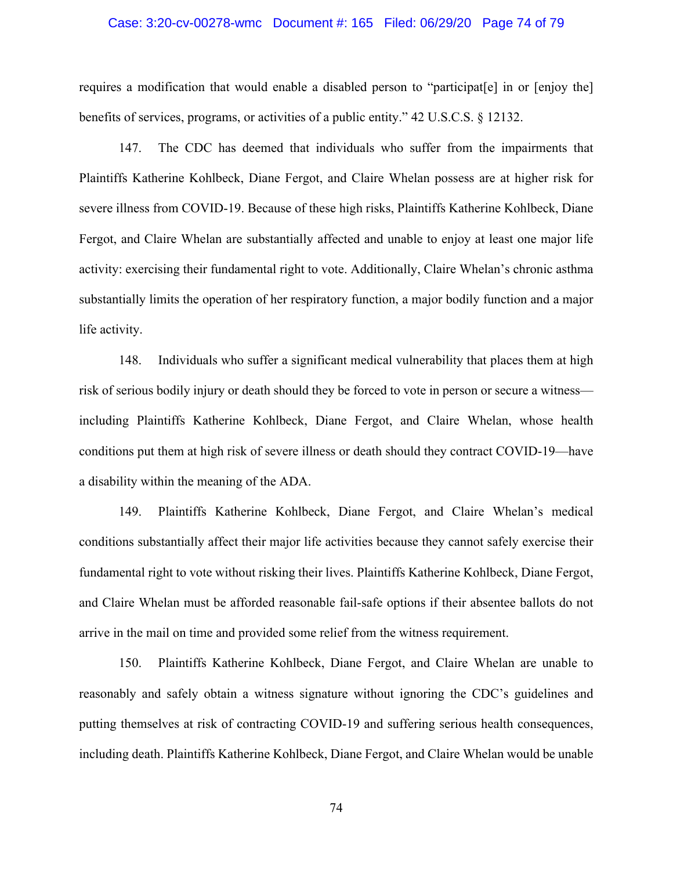# Case: 3:20-cv-00278-wmc Document #: 165 Filed: 06/29/20 Page 74 of 79

requires a modification that would enable a disabled person to "participat[e] in or [enjoy the] benefits of services, programs, or activities of a public entity." 42 U.S.C.S. § 12132.

147. The CDC has deemed that individuals who suffer from the impairments that Plaintiffs Katherine Kohlbeck, Diane Fergot, and Claire Whelan possess are at higher risk for severe illness from COVID-19. Because of these high risks, Plaintiffs Katherine Kohlbeck, Diane Fergot, and Claire Whelan are substantially affected and unable to enjoy at least one major life activity: exercising their fundamental right to vote. Additionally, Claire Whelan's chronic asthma substantially limits the operation of her respiratory function, a major bodily function and a major life activity.

148. Individuals who suffer a significant medical vulnerability that places them at high risk of serious bodily injury or death should they be forced to vote in person or secure a witness including Plaintiffs Katherine Kohlbeck, Diane Fergot, and Claire Whelan, whose health conditions put them at high risk of severe illness or death should they contract COVID-19—have a disability within the meaning of the ADA.

149. Plaintiffs Katherine Kohlbeck, Diane Fergot, and Claire Whelan's medical conditions substantially affect their major life activities because they cannot safely exercise their fundamental right to vote without risking their lives. Plaintiffs Katherine Kohlbeck, Diane Fergot, and Claire Whelan must be afforded reasonable fail-safe options if their absentee ballots do not arrive in the mail on time and provided some relief from the witness requirement.

150. Plaintiffs Katherine Kohlbeck, Diane Fergot, and Claire Whelan are unable to reasonably and safely obtain a witness signature without ignoring the CDC's guidelines and putting themselves at risk of contracting COVID-19 and suffering serious health consequences, including death. Plaintiffs Katherine Kohlbeck, Diane Fergot, and Claire Whelan would be unable

74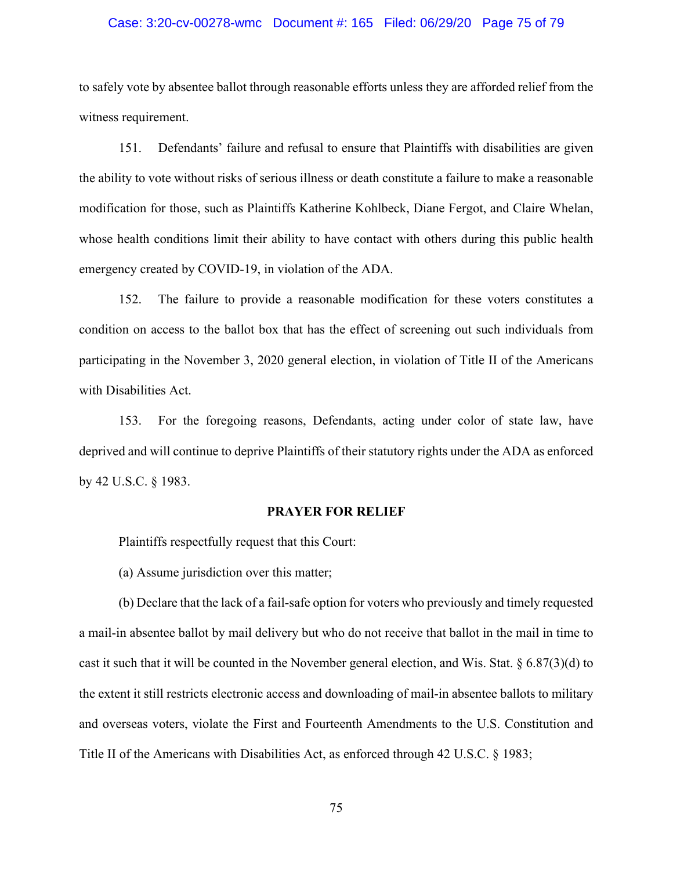### Case: 3:20-cv-00278-wmc Document #: 165 Filed: 06/29/20 Page 75 of 79

to safely vote by absentee ballot through reasonable efforts unless they are afforded relief from the witness requirement.

151. Defendants' failure and refusal to ensure that Plaintiffs with disabilities are given the ability to vote without risks of serious illness or death constitute a failure to make a reasonable modification for those, such as Plaintiffs Katherine Kohlbeck, Diane Fergot, and Claire Whelan, whose health conditions limit their ability to have contact with others during this public health emergency created by COVID-19, in violation of the ADA.

152. The failure to provide a reasonable modification for these voters constitutes a condition on access to the ballot box that has the effect of screening out such individuals from participating in the November 3, 2020 general election, in violation of Title II of the Americans with Disabilities Act.

153. For the foregoing reasons, Defendants, acting under color of state law, have deprived and will continue to deprive Plaintiffs of their statutory rights under the ADA as enforced by 42 U.S.C. § 1983.

# **PRAYER FOR RELIEF**

Plaintiffs respectfully request that this Court:

(a) Assume jurisdiction over this matter;

(b) Declare that the lack of a fail-safe option for voters who previously and timely requested a mail-in absentee ballot by mail delivery but who do not receive that ballot in the mail in time to cast it such that it will be counted in the November general election, and Wis. Stat. § 6.87(3)(d) to the extent it still restricts electronic access and downloading of mail-in absentee ballots to military and overseas voters, violate the First and Fourteenth Amendments to the U.S. Constitution and Title II of the Americans with Disabilities Act, as enforced through 42 U.S.C. § 1983;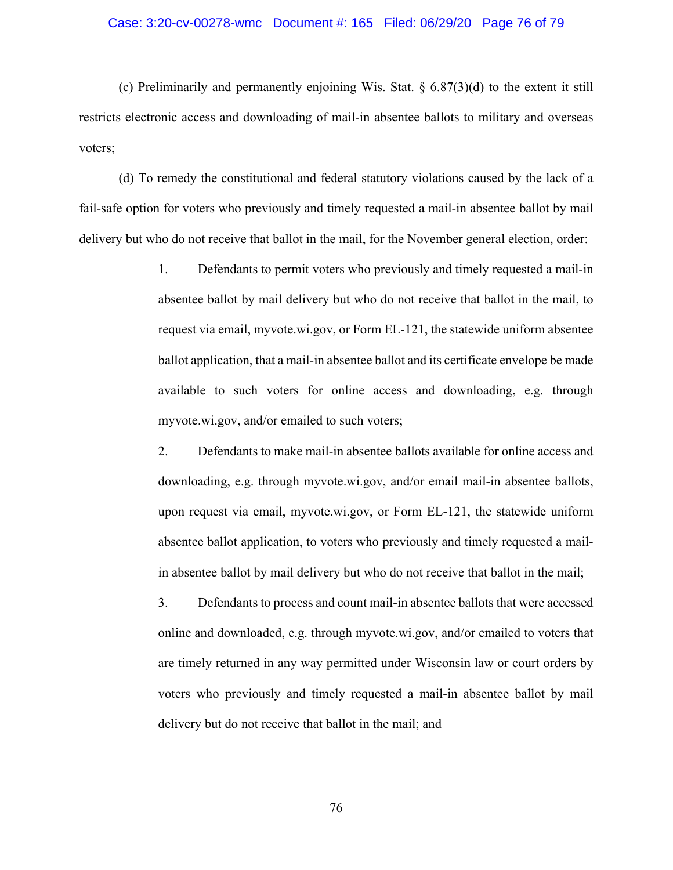#### Case: 3:20-cv-00278-wmc Document #: 165 Filed: 06/29/20 Page 76 of 79

(c) Preliminarily and permanently enjoining Wis. Stat.  $\S$  6.87(3)(d) to the extent it still restricts electronic access and downloading of mail-in absentee ballots to military and overseas voters;

(d) To remedy the constitutional and federal statutory violations caused by the lack of a fail-safe option for voters who previously and timely requested a mail-in absentee ballot by mail delivery but who do not receive that ballot in the mail, for the November general election, order:

> 1. Defendants to permit voters who previously and timely requested a mail-in absentee ballot by mail delivery but who do not receive that ballot in the mail, to request via email, myvote.wi.gov, or Form EL-121, the statewide uniform absentee ballot application, that a mail-in absentee ballot and its certificate envelope be made available to such voters for online access and downloading, e.g. through myvote.wi.gov, and/or emailed to such voters;

> 2. Defendants to make mail-in absentee ballots available for online access and downloading, e.g. through myvote.wi.gov, and/or email mail-in absentee ballots, upon request via email, myvote.wi.gov, or Form EL-121, the statewide uniform absentee ballot application, to voters who previously and timely requested a mailin absentee ballot by mail delivery but who do not receive that ballot in the mail;

> 3. Defendants to process and count mail-in absentee ballots that were accessed online and downloaded, e.g. through myvote.wi.gov, and/or emailed to voters that are timely returned in any way permitted under Wisconsin law or court orders by voters who previously and timely requested a mail-in absentee ballot by mail delivery but do not receive that ballot in the mail; and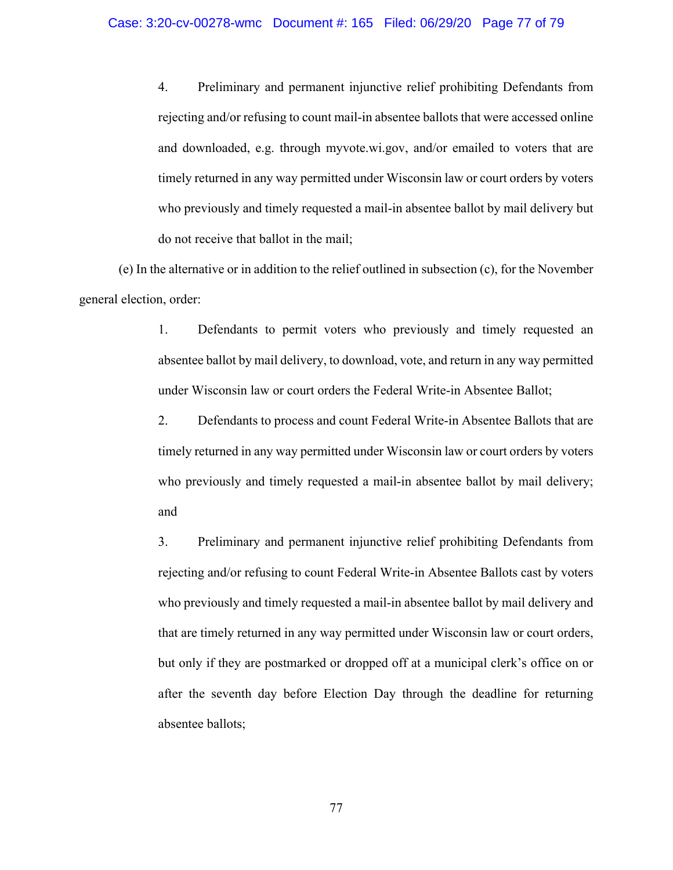# Case: 3:20-cv-00278-wmc Document #: 165 Filed: 06/29/20 Page 77 of 79

4. Preliminary and permanent injunctive relief prohibiting Defendants from rejecting and/or refusing to count mail-in absentee ballots that were accessed online and downloaded, e.g. through myvote.wi.gov, and/or emailed to voters that are timely returned in any way permitted under Wisconsin law or court orders by voters who previously and timely requested a mail-in absentee ballot by mail delivery but do not receive that ballot in the mail;

(e) In the alternative or in addition to the relief outlined in subsection (c), for the November general election, order:

> 1. Defendants to permit voters who previously and timely requested an absentee ballot by mail delivery, to download, vote, and return in any way permitted under Wisconsin law or court orders the Federal Write-in Absentee Ballot;

> 2. Defendants to process and count Federal Write-in Absentee Ballots that are timely returned in any way permitted under Wisconsin law or court orders by voters who previously and timely requested a mail-in absentee ballot by mail delivery; and

> 3. Preliminary and permanent injunctive relief prohibiting Defendants from rejecting and/or refusing to count Federal Write-in Absentee Ballots cast by voters who previously and timely requested a mail-in absentee ballot by mail delivery and that are timely returned in any way permitted under Wisconsin law or court orders, but only if they are postmarked or dropped off at a municipal clerk's office on or after the seventh day before Election Day through the deadline for returning absentee ballots;

> > 77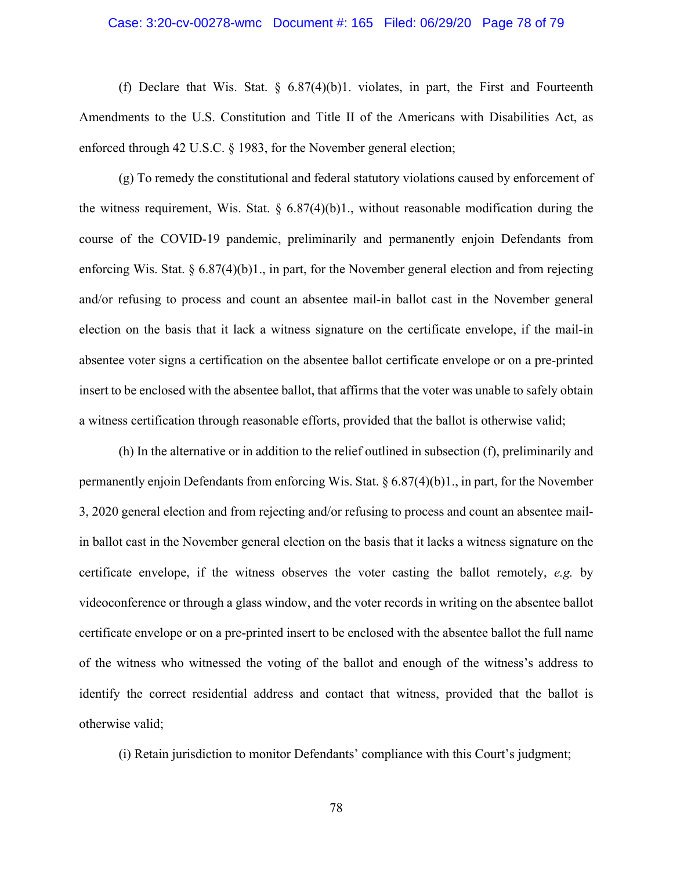### Case: 3:20-cv-00278-wmc Document #: 165 Filed: 06/29/20 Page 78 of 79

(f) Declare that Wis. Stat.  $\S$  6.87(4)(b)1. violates, in part, the First and Fourteenth Amendments to the U.S. Constitution and Title II of the Americans with Disabilities Act, as enforced through 42 U.S.C. § 1983, for the November general election;

(g) To remedy the constitutional and federal statutory violations caused by enforcement of the witness requirement, Wis. Stat.  $\S 6.87(4)(b)1$ ., without reasonable modification during the course of the COVID-19 pandemic, preliminarily and permanently enjoin Defendants from enforcing Wis. Stat. § 6.87(4)(b)1., in part, for the November general election and from rejecting and/or refusing to process and count an absentee mail-in ballot cast in the November general election on the basis that it lack a witness signature on the certificate envelope, if the mail-in absentee voter signs a certification on the absentee ballot certificate envelope or on a pre-printed insert to be enclosed with the absentee ballot, that affirms that the voter was unable to safely obtain a witness certification through reasonable efforts, provided that the ballot is otherwise valid;

(h) In the alternative or in addition to the relief outlined in subsection (f), preliminarily and permanently enjoin Defendants from enforcing Wis. Stat. § 6.87(4)(b)1., in part, for the November 3, 2020 general election and from rejecting and/or refusing to process and count an absentee mailin ballot cast in the November general election on the basis that it lacks a witness signature on the certificate envelope, if the witness observes the voter casting the ballot remotely, *e.g.* by videoconference or through a glass window, and the voter records in writing on the absentee ballot certificate envelope or on a pre-printed insert to be enclosed with the absentee ballot the full name of the witness who witnessed the voting of the ballot and enough of the witness's address to identify the correct residential address and contact that witness, provided that the ballot is otherwise valid;

(i) Retain jurisdiction to monitor Defendants' compliance with this Court's judgment;